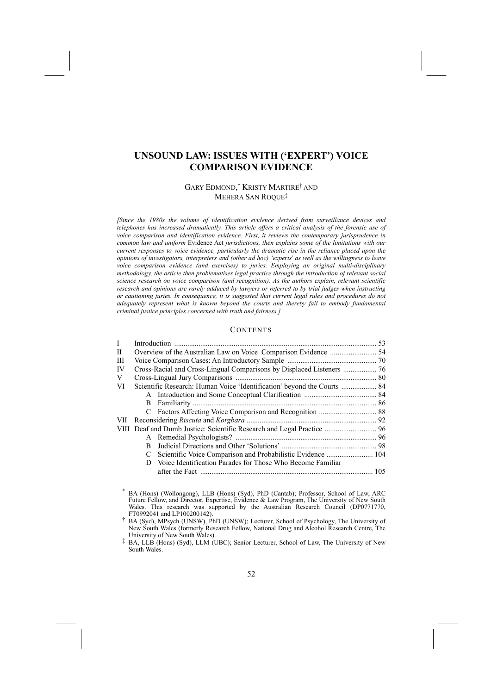# **UNSOUND LAW: ISSUES WITH (/EXPERT3) VOICE COMPARISON EVIDENCE**

# GARY EDMOND,<sup>\*</sup> KRISTY MARTIRE<sup>†</sup> AND MEHERA SAN ROQUE<sup>‡</sup>

*[Since the 1980s the volume of identification evidence derived from surveillance devices and telephones has increased dramatically. This article offers a critical analysis of the forensic use of voice comparison and identification evidence. First, it reviews the contemporary jurisprudence in common law and uniform* Evidence Act *jurisdictions, then explains some of the limitations with our current responses to voice evidence, particularly the dramatic rise in the reliance placed upon the opinions of investigators, interpreters and* (*other ad hoc*) 'experts' *as well as the willingness to leave voice comparison evidence (and exercises) to juries. Employing an original multi-disciplinary methodology, the article then problematises legal practice through the introduction of relevant social science research on voice comparison (and recognition). As the authors explain, relevant scientific research and opinions are rarely adduced by lawyers or referred to by trial judges when instructing or cautioning juries. In consequence, it is suggested that current legal rules and procedures do not adequately represent what is known beyond the courts and thereby fail to embody fundamental criminal justice principles concerned with truth and fairness.]* 

## **CONTENTS**

| $\mathbf{I}$ |                                                                         |                                                            |     |  |  |
|--------------|-------------------------------------------------------------------------|------------------------------------------------------------|-----|--|--|
| П            |                                                                         |                                                            |     |  |  |
| Ш            |                                                                         |                                                            |     |  |  |
| IV           |                                                                         |                                                            |     |  |  |
| V            |                                                                         |                                                            |     |  |  |
| VI           | Scientific Research: Human Voice 'Identification' beyond the Courts  84 |                                                            |     |  |  |
|              |                                                                         |                                                            |     |  |  |
|              |                                                                         |                                                            |     |  |  |
|              |                                                                         |                                                            |     |  |  |
|              |                                                                         |                                                            |     |  |  |
|              |                                                                         |                                                            |     |  |  |
|              |                                                                         |                                                            |     |  |  |
|              | B                                                                       |                                                            |     |  |  |
|              |                                                                         |                                                            |     |  |  |
|              | D                                                                       | Voice Identification Parades for Those Who Become Familiar |     |  |  |
|              |                                                                         |                                                            | 105 |  |  |
|              |                                                                         |                                                            |     |  |  |

\* BA (Hons) (Wollongong), LLB (Hons) (Syd), PhD (Cantab); Professor, School of Law, ARC Future Fellow, and Director, Expertise, Evidence & Law Program, The University of New South Wales. This research was supported by the Australian Research Council (DP0771770, FT0992041 and LP100200142). 3 BA (Syd), MPsych (UNSW), PhD (UNSW); Lecturer, School of Psychology, The University of

New South Wales (formerly Research Fellow, National Drug and Alcohol Research Centre, The

University of New South Wales).<br><sup>‡</sup> BA, LLB (Hons) (Syd), LLM (UBC); Senior Lecturer, School of Law, The University of New South Wales.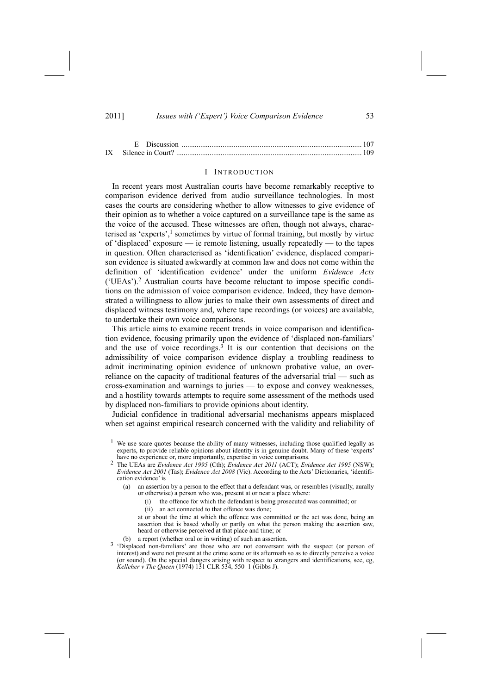## I INTRODUCTION

In recent years most Australian courts have become remarkably receptive to comparison evidence derived from audio surveillance technologies. In most cases the courts are considering whether to allow witnesses to give evidence of their opinion as to whether a voice captured on a surveillance tape is the same as the voice of the accused. These witnesses are often, though not always, characterised as 'experts',<sup>1</sup> sometimes by virtue of formal training, but mostly by virtue of 'displaced' exposure  $\frac{d}{dx}$  ie remote listening, usually repeatedly  $\frac{d}{dx}$  to the tapes in question. Often characterised as 'identification' evidence, displaced comparison evidence is situated awkwardly at common law and does not come within the definition of 'identification evidence' under the uniform *Evidence Acts* ('UEAs').<sup>2</sup> Australian courts have become reluctant to impose specific conditions on the admission of voice comparison evidence. Indeed, they have demonstrated a willingness to allow juries to make their own assessments of direct and displaced witness testimony and, where tape recordings (or voices) are available, to undertake their own voice comparisons.

This article aims to examine recent trends in voice comparison and identification evidence, focusing primarily upon the evidence of 'displaced non-familiars' and the use of voice recordings. $3$  It is our contention that decisions on the admissibility of voice comparison evidence display a troubling readiness to admit incriminating opinion evidence of unknown probative value, an overreliance on the capacity of traditional features of the adversarial trial  $-$  such as  $\frac{1}{2}$  cross-examination and warnings to juries  $\frac{1}{2}$  to expose and convey weaknesses, and a hostility towards attempts to require some assessment of the methods used by displaced non-familiars to provide opinions about identity.

Judicial confidence in traditional adversarial mechanisms appears misplaced when set against empirical research concerned with the validity and reliability of

(a) an assertion by a person to the effect that a defendant was, or resembles (visually, aurally or otherwise) a person who was, present at or near a place where:

- (i) the offence for which the defendant is being prosecuted was committed; or
- (ii) an act connected to that offence was done;
- at or about the time at which the offence was committed or the act was done, being an assertion that is based wholly or partly on what the person making the assertion saw, heard or otherwise perceived at that place and time; or
- 
- (b) a report (whether oral or in writing) of such an assertion.<br> $3$  'Displaced non-familiars' are those who are not conversant with the suspect (or person of interest) and were not present at the crime scene or its aftermath so as to directly perceive a voice (or sound). On the special dangers arising with respect to strangers and identifications, see, eg, *Kelleher v The Queen* (1974) 131 CLR 534, 550-1 (Gibbs J).

<sup>&</sup>lt;sup>1</sup> We use scare quotes because the ability of many witnesses, including those qualified legally as experts, to provide reliable opinions about identity is in genuine doubt. Many of these 'experts' have no experience or, more importantly, expertise in voice comparisons.

<sup>&</sup>lt;sup>2</sup> The UEAs are *Evidence Act 1995* (Cth); *Evidence Act 2011* (ACT); *Evidence Act 1995* (NSW); *Evidence Act 2001* (Tas); *Evidence Act 2008* (Vic). According to the Acts' Dictionaries, 'identification evidence' is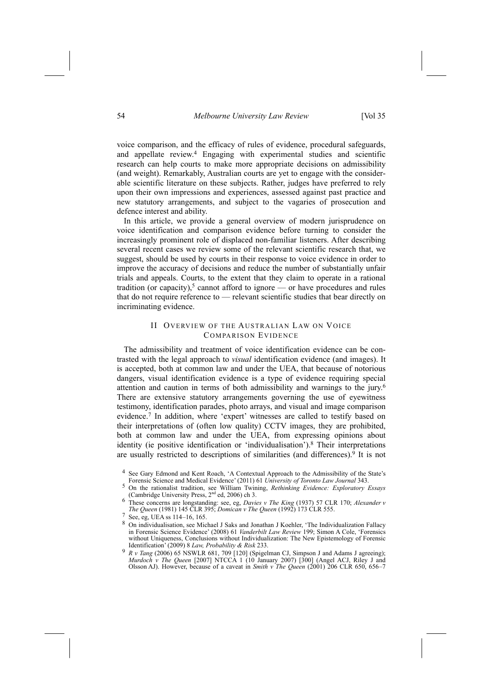voice comparison, and the efficacy of rules of evidence, procedural safeguards, and appellate review.4 Engaging with experimental studies and scientific research can help courts to make more appropriate decisions on admissibility (and weight). Remarkably, Australian courts are yet to engage with the considerable scientific literature on these subjects. Rather, judges have preferred to rely upon their own impressions and experiences, assessed against past practice and new statutory arrangements, and subject to the vagaries of prosecution and defence interest and ability.

In this article, we provide a general overview of modern jurisprudence on voice identification and comparison evidence before turning to consider the increasingly prominent role of displaced non-familiar listeners. After describing several recent cases we review some of the relevant scientific research that, we suggest, should be used by courts in their response to voice evidence in order to improve the accuracy of decisions and reduce the number of substantially unfair trials and appeals. Courts, to the extent that they claim to operate in a rational tradition (or capacity),<sup>5</sup> cannot afford to ignore — or have procedures and rules that do not require reference to  $-$  relevant scientific studies that bear directly on incriminating evidence.

# II OVERVIEW OF THE AUSTRALIAN LAW ON VOICE COMPARISON EVIDENCE

The admissibility and treatment of voice identification evidence can be contrasted with the legal approach to *visual* identification evidence (and images). It is accepted, both at common law and under the UEA, that because of notorious dangers, visual identification evidence is a type of evidence requiring special attention and caution in terms of both admissibility and warnings to the jury.6 There are extensive statutory arrangements governing the use of eyewitness testimony, identification parades, photo arrays, and visual and image comparison evidence.<sup>7</sup> In addition, where 'expert' witnesses are called to testify based on their interpretations of (often low quality) CCTV images, they are prohibited, both at common law and under the UEA, from expressing opinions about identity (ie positive identification or 'individualisation').<sup>8</sup> Their interpretations are usually restricted to descriptions of similarities (and differences).<sup>9</sup> It is not

8 On individualisation, see Michael J Saks and Jonathan J Koehler, 'The Individualization Fallacy in Forensic Science Evidence' (2008) 61 *Vanderbilt Law Review* 199; Simon A Cole, 'Forensics without Uniqueness, Conclusions without Individualization: The New Epistemology of Forensic Identification[ (2009) 8 *Law, Probability & Risk* 233.

<sup>&</sup>lt;sup>4</sup> See Gary Edmond and Kent Roach, 'A Contextual Approach to the Admissibility of the State's Forensic Science and Medical Evidence' (2011) 61 *University of Toronto Law Journal* 343

<sup>5</sup> On the rationalist tradition, see William Twining, *Rethinking Evidence: Exploratory Essays*

<sup>(</sup>Cambridge University Press, 2nd ed, 2006) ch 3. 6 These concerns are longstanding: see, eg, *Davies <sup>v</sup> The King* (1937) 57 CLR 170; *Alexander <sup>v</sup> The Queen* (1981) 145 CLR 395; *Domican v The Queen* (1992) 173 CLR 555.

 $7 \text{ See, eg, UEA}$  ss 114-16, 165.

<sup>9</sup> *R v Tang* (2006) 65 NSWLR 681, 709 [120] (Spigelman CJ, Simpson J and Adams J agreeing); *Murdoch v The Queen* [2007] NTCCA 1 (10 January 2007) [300] (Angel ACJ, Riley J and Olsson AJ). However, because of a caveat in *Smith v The Queen* (2001) 206 CLR 650, 656-7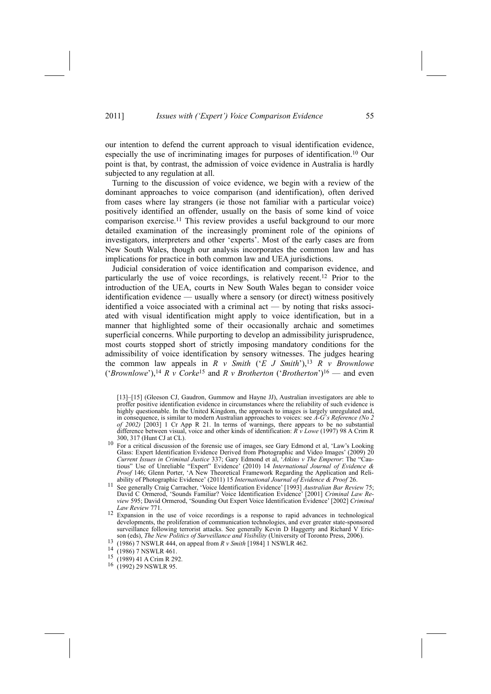our intention to defend the current approach to visual identification evidence, especially the use of incriminating images for purposes of identification.10 Our point is that, by contrast, the admission of voice evidence in Australia is hardly subjected to any regulation at all.

Turning to the discussion of voice evidence, we begin with a review of the dominant approaches to voice comparison (and identification), often derived from cases where lay strangers (ie those not familiar with a particular voice) positively identified an offender, usually on the basis of some kind of voice comparison exercise.<sup>11</sup> This review provides a useful background to our more detailed examination of the increasingly prominent role of the opinions of investigators, interpreters and other 'experts'. Most of the early cases are from New South Wales, though our analysis incorporates the common law and has implications for practice in both common law and UEA jurisdictions.

Judicial consideration of voice identification and comparison evidence, and particularly the use of voice recordings, is relatively recent.12 Prior to the introduction of the UEA, courts in New South Wales began to consider voice identification evidence — usually where a sensory (or direct) witness positively identified a voice associated with a criminal act — by noting that risks associated with visual identification might apply to voice identification, but in a manner that highlighted some of their occasionally archaic and sometimes superficial concerns. While purporting to develop an admissibility jurisprudence, most courts stopped short of strictly imposing mandatory conditions for the admissibility of voice identification by sensory witnesses. The judges hearing the common law appeals in  $R \vee S$  *mith* ( $E \cup S$  *Mith*),<sup>13</sup>  $R \vee B$  *rownlowe* ('Brownlowe'),<sup>14</sup> *R v Corke*<sup>15</sup> and *R v Brotherton* ('*Brotherton*')<sup>16</sup> — and even

[13]-[15] (Gleeson CJ, Gaudron, Gummow and Hayne JJ), Australian investigators are able to proffer positive identification evidence in circumstances where the reliability of such evidence is highly questionable. In the United Kingdom, the approach to images is largely unregulated and, in consequence, is similar to modern Australian approaches to voices: see *A-G's Reference* (No 2 *of 2002)* [2003] 1 Cr App R 21. In terms of warnings, there appears to be no substantial difference between visual, voice and other kinds of identification: *R v Lowe* (1997) 98 A Crim R

- $\frac{10}{10}$  For a critical discussion of the forensic use of images, see Gary Edmond et al, 'Law's Looking Glass: Expert Identification Evidence Derived from Photographic and Video Images' (2009)  $20$ *Current Issues in Criminal Justice* 337; Gary Edmond et al, *Atkins v The Emperor*: The "Cautious" Use of Unreliable "Expert" Evidence' (2010) 14 *International Journal of Evidence & Proof* 146; Glenn Porter, 'A New Theoretical Framework Regarding the Application and Reliability of Photographic Evidence[ (2011) 15 *International Journal of Evidence & Proof* 26.
- <sup>11</sup> See generally Craig Carracher, 'Voice Identification Evidence' [1993] *Australian Bar Review* 75; David C Ormerod, 'Sounds Familiar? Voice Identification Evidence' [2001] *Criminal Law Review* 595; David Ormerod, 'Sounding Out Expert Voice Identification Evidence' [2002] *Criminal Law Review* 771.
- 12 Expansion in the use of voice recordings is a response to rapid advances in technological developments, the proliferation of communication technologies, and ever greater state-sponsored surveillance following terrorist attacks. See generally Kevin D Haggerty and Richard V Ericson (eds), The New Politics of Surveillance and Visibility (University of Toronto Press, 2006).<br>
<sup>13</sup> (1986) 7 NSWLR 444, on appeal from *R v Smith* [1984] 1 NSWLR 462.
- 
- 
- <sup>14</sup> (1986) 7 NSWLR 461.<br><sup>15</sup> (1989) 41 A Crim R 292.<br><sup>16</sup> (1992) 29 NSWLR 95.
-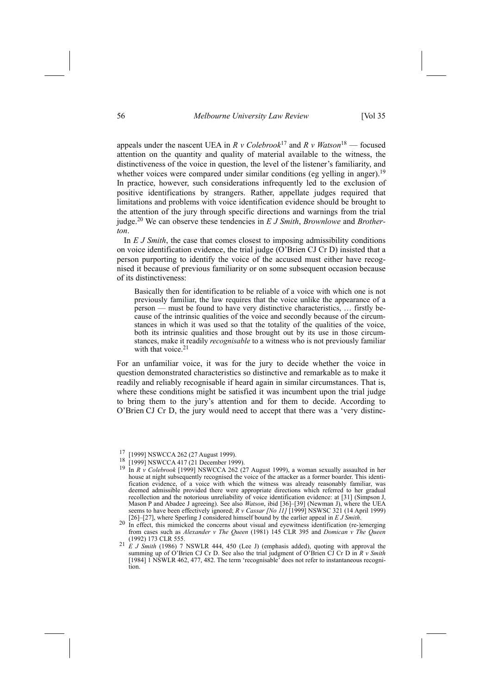appeals under the nascent UEA in  $R$  *v Colebrook*<sup>17</sup> and  $R$  *v Watson*<sup>18</sup> — focused attention on the quantity and quality of material available to the witness, the distinctiveness of the voice in question, the level of the listener's familiarity, and whether voices were compared under similar conditions (eg yelling in anger).<sup>19</sup> In practice, however, such considerations infrequently led to the exclusion of positive identifications by strangers. Rather, appellate judges required that limitations and problems with voice identification evidence should be brought to the attention of the jury through specific directions and warnings from the trial judge.20 We can observe these tendencies in *E J Smith*, *Brownlowe* and *Brotherton*.

In *E J Smith*, the case that comes closest to imposing admissibility conditions on voice identification evidence, the trial judge  $(O^{\prime}B$ rien CJ Cr D) insisted that a person purporting to identify the voice of the accused must either have recognised it because of previous familiarity or on some subsequent occasion because of its distinctiveness:

Basically then for identification to be reliable of a voice with which one is not previously familiar, the law requires that the voice unlike the appearance of a  $person$  must be found to have very distinctive characteristics,  $\dots$  firstly because of the intrinsic qualities of the voice and secondly because of the circumstances in which it was used so that the totality of the qualities of the voice, both its intrinsic qualities and those brought out by its use in those circumstances, make it readily *recognisable* to a witness who is not previously familiar with that voice.<sup>21</sup>

For an unfamiliar voice, it was for the jury to decide whether the voice in question demonstrated characteristics so distinctive and remarkable as to make it readily and reliably recognisable if heard again in similar circumstances. That is, where these conditions might be satisfied it was incumbent upon the trial judge to bring them to the jury's attention and for them to decide. According to O'Brien CJ Cr D, the jury would need to accept that there was a 'very distinc-

<sup>17 [1999]</sup> NSWCCA 262 (27 August 1999). 18 [1999] NSWCCA 417 (21 December 1999). 19 In *<sup>R</sup> <sup>v</sup> Colebrook* [1999] NSWCCA 262 (27 August 1999), a woman sexually assaulted in her house at night subsequently recognised the voice of the attacker as a former boarder. This identification evidence, of a voice with which the witness was already reasonably familiar, was deemed admissible provided there were appropriate directions which referred to her gradual recollection and the notorious unreliability of voice identification evidence: at [31] (Simpson J, Mason P and Abadee J agreeing). See also *Watson*, ibid [36]–[39] (Newman J), where the UEA seems to have been effectively ignored; *R v Cassar [No II]* [1999] NSWSC 321 (14 April 1999) [26]–[27], where Sperling J considered himself bound by the earlier appeal in *E J Smith*.

<sup>[26]</sup>n[27], where Sperling J considered himself bound by the earlier appeal in *<sup>E</sup> <sup>J</sup> Smith*. 20 In effect, this mimicked the concerns about visual and eyewitness identification (re-)emerging from cases such as *Alexander v The Queen* (1981) 145 CLR 395 and *Domican v The Queen* (1992) 173 CLR 555.<br><sup>21</sup> *E J Smith* (1986) 7 NSWLR 444, 450 (Lee J) (emphasis added), quoting with approval the

summing up of O'Brien CJ Cr D. See also the trial judgment of O'Brien CJ Cr D in  $R$  *v Smith* [1984]  $1$  NSWLR 462, 477, 482. The term 'recognisable' does not refer to instantaneous recognition.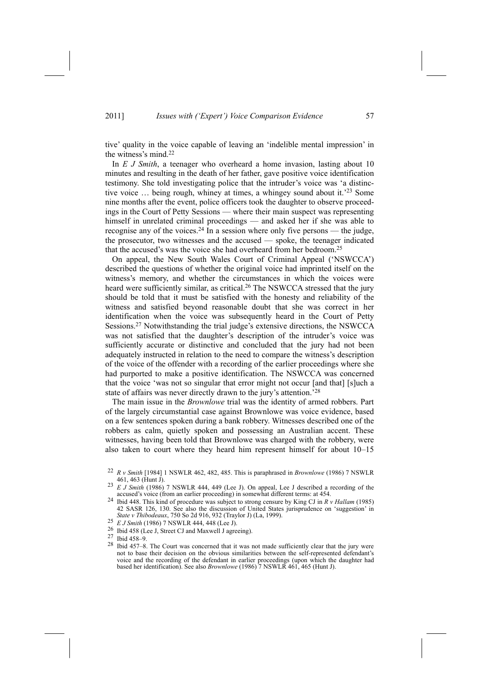tive' quality in the voice capable of leaving an 'indelible mental impression' in the witness's mind.<sup>22</sup>

In *E J Smith*, a teenager who overheard a home invasion, lasting about 10 minutes and resulting in the death of her father, gave positive voice identification testimony. She told investigating police that the intruder's voice was 'a distinctive voice  $\ldots$  being rough, whiney at times, a whingey sound about it.<sup>23</sup> Some nine months after the event, police officers took the daughter to observe proceedings in the Court of Petty Sessions — where their main suspect was representing himself in unrelated criminal proceedings — and asked her if she was able to recognise any of the voices.<sup>24</sup> In a session where only five persons — the judge, the prosecutor, two witnesses and the accused  $-$  spoke, the teenager indicated that the accused's was the voice she had overheard from her bedroom.<sup>25</sup>

On appeal, the New South Wales Court of Criminal Appeal ('NSWCCA') described the questions of whether the original voice had imprinted itself on the witness's memory, and whether the circumstances in which the voices were heard were sufficiently similar, as critical.<sup>26</sup> The NSWCCA stressed that the jury should be told that it must be satisfied with the honesty and reliability of the witness and satisfied beyond reasonable doubt that she was correct in her identification when the voice was subsequently heard in the Court of Petty Sessions.<sup>27</sup> Notwithstanding the trial judge's extensive directions, the NSWCCA was not satisfied that the daughter's description of the intruder's voice was sufficiently accurate or distinctive and concluded that the jury had not been adequately instructed in relation to the need to compare the witness's description of the voice of the offender with a recording of the earlier proceedings where she had purported to make a positive identification. The NSWCCA was concerned that the voice 'was not so singular that error might not occur [and that] [s]uch a state of affairs was never directly drawn to the jury's attention.<sup>28</sup>

The main issue in the *Brownlowe* trial was the identity of armed robbers. Part of the largely circumstantial case against Brownlowe was voice evidence, based on a few sentences spoken during a bank robbery. Witnesses described one of the robbers as calm, quietly spoken and possessing an Australian accent. These witnesses, having been told that Brownlowe was charged with the robbery, were also taken to court where they heard him represent himself for about  $10-15$ 

- 
- *State <i>I Smith* (1986) 7 NSWLR 444, 448 (Lee J). 26 Ibid 458 (Lee J, Street CJ and Maxwell J agreeing). 27 Ibid 458–9.
- 
- $28$  Ibid 457-8. The Court was concerned that it was not made sufficiently clear that the jury were not to base their decision on the obvious similarities between the self-represented defendant's voice and the recording of the defendant in earlier proceedings (upon which the daughter had based her identification). See also *Brownlowe* (1986) 7 NSWLR 461, 465 (Hunt J).

<sup>22</sup> *R v Smith* [1984] 1 NSWLR 462, 482, 485. This is paraphrased in *Brownlowe* (1986) 7 NSWLR

<sup>&</sup>lt;sup>23</sup> *E J Smith* (1986) 7 NSWLR 444, 449 (Lee J). On appeal, Lee J described a recording of the accused's voice (from an earlier proceeding) in somewhat different terms: at 454.

accused[s voice (from an earlier proceeding) in somewhat different terms: at 454. 24 Ibid 448. This kind of procedure was subject to strong censure by King CJ in *<sup>R</sup> <sup>v</sup> Hallam* (1985) 42 SASR 126, 130. See also the discussion of United States jurisprudence on 'suggestion' in State v Thibodeaux, 750 So 2d 916, 932 (Traylor J) (La, 1999).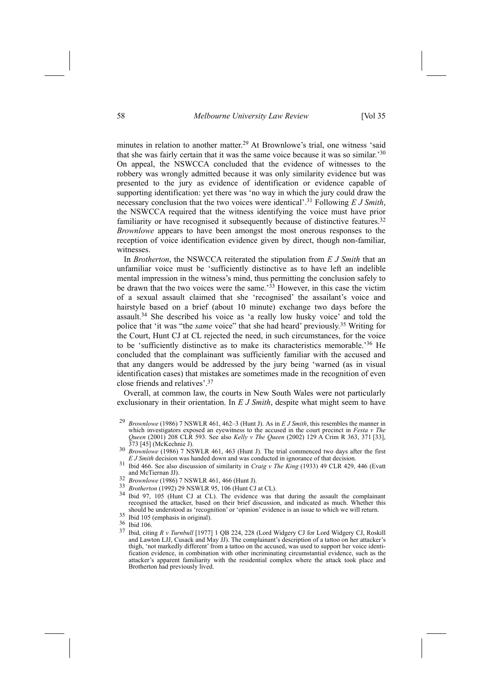minutes in relation to another matter.<sup>29</sup> At Brownlowe's trial, one witness 'said that she was fairly certain that it was the same voice because it was so similar.<sup>30</sup> On appeal, the NSWCCA concluded that the evidence of witnesses to the robbery was wrongly admitted because it was only similarity evidence but was presented to the jury as evidence of identification or evidence capable of supporting identification: yet there was 'no way in which the jury could draw the necessary conclusion that the two voices were identical'.<sup>31</sup> Following *E J Smith*, the NSWCCA required that the witness identifying the voice must have prior familiarity or have recognised it subsequently because of distinctive features.32 *Brownlowe* appears to have been amongst the most onerous responses to the reception of voice identification evidence given by direct, though non-familiar, witnesses.

In *Brotherton*, the NSWCCA reiterated the stipulation from *E J Smith* that an unfamiliar voice must be 'sufficiently distinctive as to have left an indelible mental impression in the witness's mind, thus permitting the conclusion safely to be drawn that the two voices were the same.<sup> $33$ </sup> However, in this case the victim of a sexual assault claimed that she 'recognised' the assailant's voice and hairstyle based on a brief (about 10 minute) exchange two days before the assault.<sup>34</sup> She described his voice as 'a really low husky voice' and told the police that 'it was "the *same* voice" that she had heard' previously.<sup>35</sup> Writing for the Court, Hunt CJ at CL rejected the need, in such circumstances, for the voice to be 'sufficiently distinctive as to make its characteristics memorable.<sup>36</sup> He concluded that the complainant was sufficiently familiar with the accused and that any dangers would be addressed by the jury being 'warned (as in visual identification cases) that mistakes are sometimes made in the recognition of even close friends and relatives'.<sup>37</sup>

Overall, at common law, the courts in New South Wales were not particularly exclusionary in their orientation. In *E J Smith*, despite what might seem to have

- 373 [45] (McKechnie J).<br><sup>30</sup> *Brownlowe* (1986) 7 NSWLR 461, 463 (Hunt J). The trial commenced two days after the first *E J Smith* decision was handed down and was conducted in ignorance of that decision.
- <sup>31</sup> Ibid 466. See also discussion of similarity in *Craig v The King* (1933) 49 CLR 429, 446 (Evatt
- 
- 
- and McTiernan JJ).<br><sup>32</sup> *Brownlowe* (1986) 7 NSWLR 461, 466 (Hunt J).<br><sup>33</sup> *Brotherton* (1992) 29 NSWLR 95, 106 (Hunt CJ at CL).<br><sup>34</sup> Ibid 97, 105 (Hunt CJ at CL). The evidence was that during the assault the complainant recognised the attacker, based on their brief discussion, and indicated as much. Whether this should be understood as 'recognition' or 'opinion' evidence is an issue to which we will return.<br>
<sup>35</sup> Ibid 105 (emphasis in original).<br>
<sup>36</sup> Ibid 106.<br>
<sup>37</sup> Ibid eiting *P* y Tumbyll [1077] 1 OP 224-228 (Lord Widsory CL f
- 
- 
- 37 Ibid, citing *R v Turnbull* [1977] 1 QB 224, 228 (Lord Widgery CJ for Lord Widgery CJ, Roskill and Lawton LJJ, Cusack and May JJ). The complainant's description of a tattoo on her attacker's thigh, 'not markedly different' from a tattoo on the accused, was used to support her voice identification evidence, in combination with other incriminating circumstantial evidence, such as the attacker's apparent familiarity with the residential complex where the attack took place and Brotherton had previously lived.

<sup>&</sup>lt;sup>29</sup> *Brownlowe* (1986) 7 NSWLR 461, 462-3 (Hunt J). As in *E J Smith*, this resembles the manner in which investigators exposed an eyewitness to the accused in the court precinct in *Festa v The Queen* (2001) 208 CLR 593. See also *Kelly v The Queen* (2002) 129 A Crim R 363, 371 [33],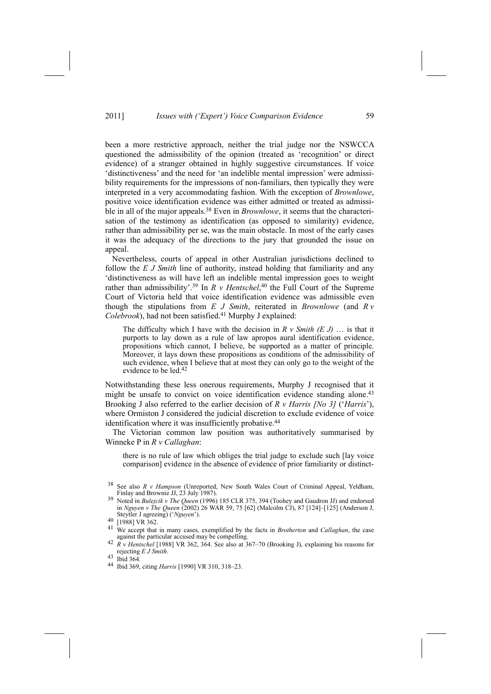been a more restrictive approach, neither the trial judge nor the NSWCCA questioned the admissibility of the opinion (treated as 'recognition' or direct evidence) of a stranger obtained in highly suggestive circumstances. If voice 'distinctiveness' and the need for 'an indelible mental impression' were admissibility requirements for the impressions of non-familiars, then typically they were interpreted in a very accommodating fashion. With the exception of *Brownlowe*, positive voice identification evidence was either admitted or treated as admissible in all of the major appeals.38 Even in *Brownlowe*, it seems that the characterisation of the testimony as identification (as opposed to similarity) evidence, rather than admissibility per se, was the main obstacle. In most of the early cases it was the adequacy of the directions to the jury that grounded the issue on appeal.

Nevertheless, courts of appeal in other Australian jurisdictions declined to follow the *E J Smith* line of authority, instead holding that familiarity and any 'distinctiveness as will have left an indelible mental impression goes to weight rather than admissibility'.<sup>39</sup> In *R v Hentschel*,<sup>40</sup> the Full Court of the Supreme Court of Victoria held that voice identification evidence was admissible even though the stipulations from *E J Smith*, reiterated in *Brownlowe* (and *R v Colebrook*), had not been satisfied.41 Murphy J explained:

The difficulty which I have with the decision in  $R \vee \text{Smith} (E \cup \text{In})$  is that it purports to lay down as a rule of law apropos aural identification evidence, propositions which cannot, I believe, be supported as a matter of principle. Moreover, it lays down these propositions as conditions of the admissibility of such evidence, when I believe that at most they can only go to the weight of the evidence to be led.42

Notwithstanding these less onerous requirements, Murphy J recognised that it might be unsafe to convict on voice identification evidence standing alone.<sup>43</sup> Brooking J also referred to the earlier decision of  $R$  *v Harris* [No 3] ('Harris'), where Ormiston J considered the judicial discretion to exclude evidence of voice identification where it was insufficiently probative.<sup>44</sup>

The Victorian common law position was authoritatively summarised by Winneke P in *R v Callaghan*:

there is no rule of law which obliges the trial judge to exclude such [lay voice comparison] evidence in the absence of evidence of prior familiarity or distinct-

<sup>38</sup> See also *R v Hampson* (Unreported, New South Wales Court of Criminal Appeal, Yeldham, Finlay and Brownie JJ, 23 July 1987). 39 Noted in *Bulejcik <sup>v</sup> The Queen* (1996) 185 CLR 375, 394 (Toohey and Gaudron JJ) and endorsed

in *Nguyen v* The Queen (2002) 26 WAR 59, 75 [62] (Malcolm CJ), 87 [124]-[125] (Anderson J, Steytler J agreeing) ('*Nguyen*').<br><sup>40</sup> [1988] VR 362.<br><sup>41</sup> We accent that in many asses

We accept that in many cases, exemplified by the facts in *Brotherton* and *Callaghan*, the case against the particular accused may be compelling.

<sup>&</sup>lt;sup>42</sup> *R v Hentschel* [1988] VR 362, 364. See also at 367-70 (Brooking J), explaining his reasons for rejecting *<sup>E</sup> <sup>J</sup> Smith*. 43 Ibid 364.

<sup>44</sup> Ibid 369, citing *Harris* [1990] VR 310, 318-23.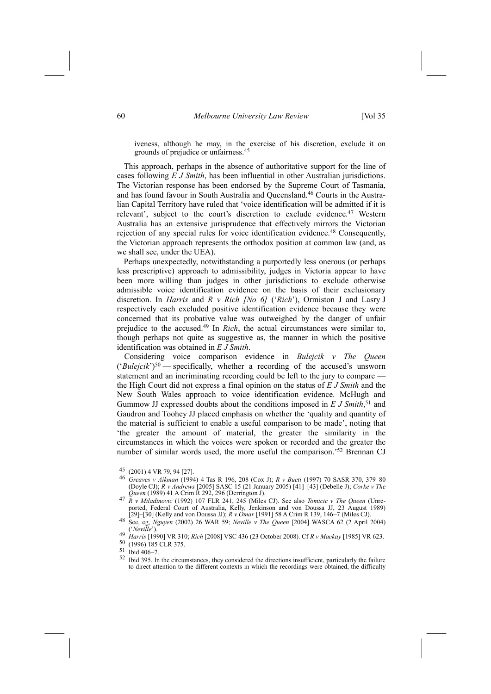iveness, although he may, in the exercise of his discretion, exclude it on grounds of prejudice or unfairness.45

This approach, perhaps in the absence of authoritative support for the line of cases following *E J Smith*, has been influential in other Australian jurisdictions. The Victorian response has been endorsed by the Supreme Court of Tasmania, and has found favour in South Australia and Queensland.46 Courts in the Australian Capital Territory have ruled that 'voice identification will be admitted if it is relevant', subject to the court's discretion to exclude evidence.<sup>47</sup> Western Australia has an extensive jurisprudence that effectively mirrors the Victorian rejection of any special rules for voice identification evidence.<sup>48</sup> Consequently, the Victorian approach represents the orthodox position at common law (and, as we shall see, under the UEA).

Perhaps unexpectedly, notwithstanding a purportedly less onerous (or perhaps less prescriptive) approach to admissibility, judges in Victoria appear to have been more willing than judges in other jurisdictions to exclude otherwise admissible voice identification evidence on the basis of their exclusionary discretion. In *Harris* and *R v Rich [No 6]* ('*Rich*'), Ormiston J and Lasry J respectively each excluded positive identification evidence because they were concerned that its probative value was outweighed by the danger of unfair prejudice to the accused.49 In *Rich*, the actual circumstances were similar to, though perhaps not quite as suggestive as, the manner in which the positive identification was obtained in *E J Smith*.

Considering voice comparison evidence in *Bulejcik v The Queen*  $('Bulejcik')<sup>50</sup>$  -specifically, whether a recording of the accused's unsworn statement and an incriminating recording could be left to the jury to compare the High Court did not express a final opinion on the status of *E J Smith* and the New South Wales approach to voice identification evidence. McHugh and Gummow JJ expressed doubts about the conditions imposed in *E J Smith*, 51 and Gaudron and Toohey JJ placed emphasis on whether the 'quality and quantity of the material is sufficient to enable a useful comparison to be made', noting that the greater the amount of material, the greater the similarity in the circumstances in which the voices were spoken or recorded and the greater the number of similar words used, the more useful the comparison.<sup>52</sup> Brennan CJ

- 45 (2001) 4 VR 79, 94 [27].<br><sup>46</sup> *Greaves v Aikman* (1994) 4 Tas R 196, 208 (Cox J); *R v Bueti* (1997) 70 SASR 370, 379-80 (Doyle CJ); *R v Andrews* [2005] SASC 15 (21 January 2005) [41]-[43] (Debelle J); *Corke v The Queen* (1989) 41 A Crim R 292, 296 (Derrington J).
- *Queen* (1989) 41 A Crim R 292, 296 (Derrington J). 47 *<sup>R</sup> <sup>v</sup> Miladinovic* (1992) 107 FLR 241, 245 (Miles CJ). See also *Tomicic <sup>v</sup> The Queen* (Unreported, Federal Court of Australia, Kelly, Jenkinson and von Doussa JJ, 23 August 1989)
- [29]–[30] (Kelly and von Doussa JJ);  $R \nu \hat{O}mar$  [1991] 58 A Crim R 139, 146–7 (Miles CJ).<br><sup>48</sup> See, eg, *Nguyen* (2002) 26 WAR 59; *Neville v The Queen* [2004] WASCA 62 (2 April 2004) See, eg, *Nguyen* (2002) 26 WAR 59; *Neville v The Queen* [2004] WASCA 62 (2 April 2004) ('*Neville'*).<br> *Harris* [1990] VR 310; *Rich* [2008] VSC 436 (23 October 2008). Cf *R v Mackay* [1985] VR 623.

 $\frac{50}{51}$  (1996) 185 CLR 375.<br>51 Ibid 406–7.<br>52 Ibid 205 In the size

<sup>52</sup> Ibid 395. In the circumstances, they considered the directions insufficient, particularly the failure to direct attention to the different contexts in which the recordings were obtained, the difficulty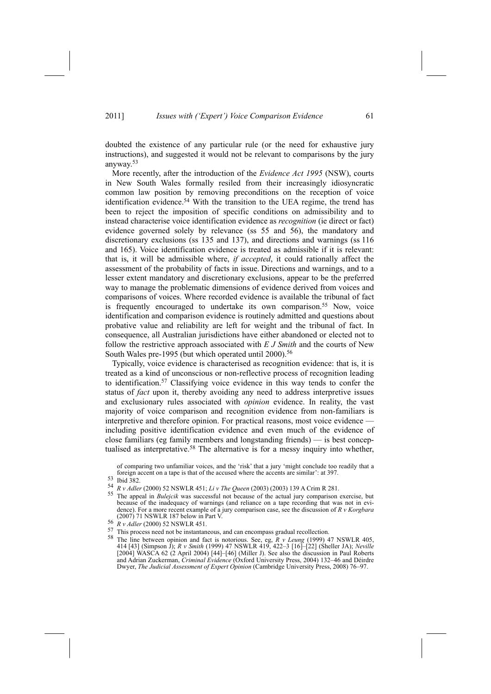doubted the existence of any particular rule (or the need for exhaustive jury instructions), and suggested it would not be relevant to comparisons by the jury anyway.53

More recently, after the introduction of the *Evidence Act 1995* (NSW), courts in New South Wales formally resiled from their increasingly idiosyncratic common law position by removing preconditions on the reception of voice identification evidence.54 With the transition to the UEA regime, the trend has been to reject the imposition of specific conditions on admissibility and to instead characterise voice identification evidence as *recognition* (ie direct or fact) evidence governed solely by relevance (ss 55 and 56), the mandatory and discretionary exclusions (ss 135 and 137), and directions and warnings (ss 116 and 165). Voice identification evidence is treated as admissible if it is relevant: that is, it will be admissible where, *if accepted*, it could rationally affect the assessment of the probability of facts in issue. Directions and warnings, and to a lesser extent mandatory and discretionary exclusions, appear to be the preferred way to manage the problematic dimensions of evidence derived from voices and comparisons of voices. Where recorded evidence is available the tribunal of fact is frequently encouraged to undertake its own comparison.<sup>55</sup> Now, voice identification and comparison evidence is routinely admitted and questions about probative value and reliability are left for weight and the tribunal of fact. In consequence, all Australian jurisdictions have either abandoned or elected not to follow the restrictive approach associated with *E J Smith* and the courts of New South Wales pre-1995 (but which operated until 2000).<sup>56</sup>

Typically, voice evidence is characterised as recognition evidence: that is, it is treated as a kind of unconscious or non-reflective process of recognition leading to identification.57 Classifying voice evidence in this way tends to confer the status of *fact* upon it, thereby avoiding any need to address interpretive issues and exclusionary rules associated with *opinion* evidence. In reality, the vast majority of voice comparison and recognition evidence from non-familiars is interpretive and therefore opinion. For practical reasons, most voice evidence including positive identification evidence and even much of the evidence of close familiars (eg family members and longstanding friends) - is best conceptualised as interpretative.<sup>58</sup> The alternative is for a messy inquiry into whether,

of comparing two unfamiliar voices, and the 'risk' that a jury 'might conclude too readily that a foreign accent on a tape is that of the accused where the accents are similar': at 397.<br>  $\frac{53}{100}$  Ibid 382.<br>  $\frac{54}{100}$   $\frac{1}{100}$   $\frac{1}{100}$   $\frac{2000}{1000}$   $\frac{2000}{1000}$   $\frac{2000}{1000}$   $\frac{2000}{1000}$   $\frac{1}{1$ 

- <sup>54</sup> *R v Adler* (2000) 52 NSWLR 451; *Li v The Queen* (2003) (2003) 139 A Crim R 281.
- The appeal in *Bulejcik* was successful not because of the actual jury comparison exercise, but because of the inadequacy of warnings (and reliance on a tape recording that was not in evidence). For a more recent example of a jury comparison case, see the discussion of *R v Korgbara* (2007) 71 NSWLR 187 below in Part V. 56 *<sup>R</sup> <sup>v</sup> Adler* (2000) 52 NSWLR 451.
- 
- 
- 57 This process need not be instantaneous, and can encompass gradual recollection. 58 The line between opinion and fact is notorious. See, eg, *<sup>R</sup> <sup>v</sup> Leung* (1999) 47 NSWLR 405, 414 [43] (Simpson J); *R v Smith* (1999) 47 NSWLR 419, 422–3 [16]-[22] (Sheller JA); *Neville*  $[2004]$  WASCA 62 (2 April 2004)  $[44]$ – $[46]$  (Miller J). See also the discussion in Paul Roberts and Adrian Zuckerman, *Criminal Evidence* (Oxford University Press, 2004) 132–46 and Déirdre Dwyer, *The Judicial Assessment of Expert Opinion* (Cambridge University Press, 2008) 76-97.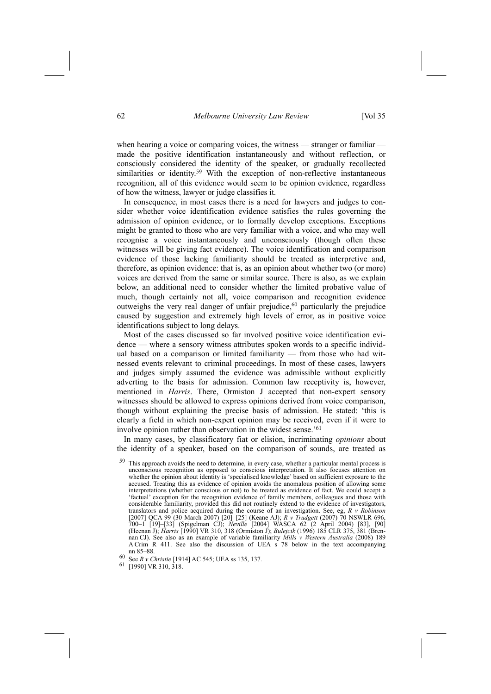when hearing a voice or comparing voices, the witness  $-$  stranger or familiar  $$ made the positive identification instantaneously and without reflection, or consciously considered the identity of the speaker, or gradually recollected similarities or identity.<sup>59</sup> With the exception of non-reflective instantaneous recognition, all of this evidence would seem to be opinion evidence, regardless of how the witness, lawyer or judge classifies it.

In consequence, in most cases there is a need for lawyers and judges to consider whether voice identification evidence satisfies the rules governing the admission of opinion evidence, or to formally develop exceptions. Exceptions might be granted to those who are very familiar with a voice, and who may well recognise a voice instantaneously and unconsciously (though often these witnesses will be giving fact evidence). The voice identification and comparison evidence of those lacking familiarity should be treated as interpretive and, therefore, as opinion evidence: that is, as an opinion about whether two (or more) voices are derived from the same or similar source. There is also, as we explain below, an additional need to consider whether the limited probative value of much, though certainly not all, voice comparison and recognition evidence outweighs the very real danger of unfair prejudice, $60$  particularly the prejudice caused by suggestion and extremely high levels of error, as in positive voice identifications subject to long delays.

Most of the cases discussed so far involved positive voice identification evidence — where a sensory witness attributes spoken words to a specific individual based on a comparison or limited familiarity - from those who had witnessed events relevant to criminal proceedings. In most of these cases, lawyers and judges simply assumed the evidence was admissible without explicitly adverting to the basis for admission. Common law receptivity is, however, mentioned in *Harris*. There, Ormiston J accepted that non-expert sensory witnesses should be allowed to express opinions derived from voice comparison, though without explaining the precise basis of admission. He stated: 'this is clearly a field in which non-expert opinion may be received, even if it were to involve opinion rather than observation in the widest sense.<sup> $61$ </sup>

In many cases, by classificatory fiat or elision, incriminating *opinions* about the identity of a speaker, based on the comparison of sounds, are treated as

This approach avoids the need to determine, in every case, whether a particular mental process is unconscious recognition as opposed to conscious interpretation. It also focuses attention on whether the opinion about identity is 'specialised knowledge' based on sufficient exposure to the accused. Treating this as evidence of opinion avoids the anomalous position of allowing some interpretations (whether conscious or not) to be treated as evidence of fact. We could accept a factual' exception for the recognition evidence of family members, colleagues and those with considerable familiarity, provided this did not routinely extend to the evidence of investigators, translators and police acquired during the course of an investigation. See, eg, *R v Robinson* [2007] QCA 99<sup>'</sup>(30 March 2007) [20]-[25] (Keane AJ); *R v Trudgett* (2007) 70 NSWLR 696, 700n1 [19]n[33] (Spigelman CJ); *Neville* [2004] WASCA 62 (2 April 2004) [83], [90] (Heenan J); *Harris* [1990] VR 310, 318 (Ormiston J); *Bulejcik* (1996) 185 CLR 375, 381 (Brennan CJ). See also as an example of variable familiarity *Mills v Western Australia* (2008) 189 A Crim R 411. See also the discussion of UEA s 78 below in the text accompanying nn 85–88.

61 [1990] VR 310, 318.

<sup>60</sup> See *R v Christie* [1914] AC 545; UEA ss 135, 137.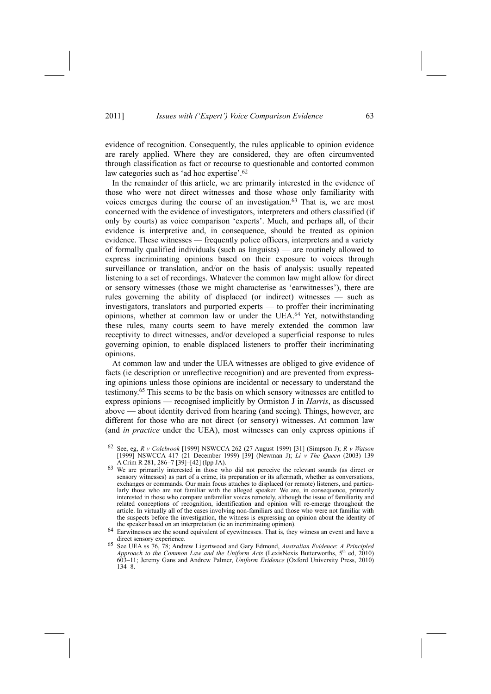evidence of recognition. Consequently, the rules applicable to opinion evidence are rarely applied. Where they are considered, they are often circumvented through classification as fact or recourse to questionable and contorted common law categories such as 'ad hoc expertise'.<sup>62</sup>

In the remainder of this article, we are primarily interested in the evidence of those who were not direct witnesses and those whose only familiarity with voices emerges during the course of an investigation.<sup>63</sup> That is, we are most concerned with the evidence of investigators, interpreters and others classified (if only by courts) as voice comparison 'experts'. Much, and perhaps all, of their evidence is interpretive and, in consequence, should be treated as opinion evidence. These witnesses — frequently police officers, interpreters and a variety of formally qualified individuals (such as linguists)  $-$  are routinely allowed to express incriminating opinions based on their exposure to voices through surveillance or translation, and/or on the basis of analysis: usually repeated listening to a set of recordings. Whatever the common law might allow for direct or sensory witnesses (those we might characterise as 'earwitnesses'), there are rules governing the ability of displaced (or indirect) witnesses - such as investigators, translators and purported experts — to proffer their incriminating opinions, whether at common law or under the UEA.64 Yet, notwithstanding these rules, many courts seem to have merely extended the common law receptivity to direct witnesses, and/or developed a superficial response to rules governing opinion, to enable displaced listeners to proffer their incriminating opinions.

At common law and under the UEA witnesses are obliged to give evidence of facts (ie description or unreflective recognition) and are prevented from expressing opinions unless those opinions are incidental or necessary to understand the testimony.65 This seems to be the basis on which sensory witnesses are entitled to express opinions — recognised implicitly by Ormiston J in *Harris*, as discussed above  $-$  about identity derived from hearing (and seeing). Things, however, are different for those who are not direct (or sensory) witnesses. At common law (and *in practice* under the UEA), most witnesses can only express opinions if

<sup>62</sup> See, eg, *R v Colebrook* [1999] NSWCCA 262 (27 August 1999) [31] (Simpson J); *R v Watson* [1999] NSWCCA 417 (21 December 1999) [39] (Newman J); *Li v The Queen* (2003) 139

<sup>&</sup>lt;sup>63</sup> We are primarily interested in those who did not perceive the relevant sounds (as direct or sensory witnesses) as part of a crime, its preparation or its aftermath, whether as conversations, exchanges or commands. Our main focus attaches to displaced (or remote) listeners, and particularly those who are not familiar with the alleged speaker. We are, in consequence, primarily interested in those who compare unfamiliar voices remotely, although the issue of familiarity and related conceptions of recognition, identification and opinion will re-emerge throughout the article. In virtually all of the cases involving non-familiars and those who were not familiar with the suspects before the investigation, the witness is expressing an opinion about the identity of

the speaker based on an interpretation (ie an incriminating opinion).<br>Earwitnesses are the sound equivalent of eyewitnesses. That is, they witness an event and have a direct sensory experience.

direct sensory experience. 65 See UEA ss 76, 78; Andrew Ligertwood and Gary Edmond, *Australian Evidence*: *<sup>A</sup> Principled Approach to the Common Law and the Uniform Acts* (LexisNexis Butterworths, 5th ed, 2010) 603n11; Jeremy Gans and Andrew Palmer, *Uniform Evidence* (Oxford University Press, 2010)  $134 - 8$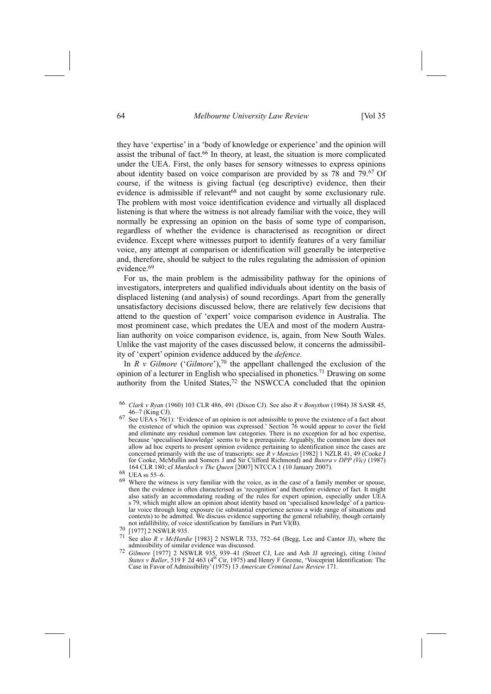64 *Melbourne University Law Review* [Vol 35

they have 'expertise' in a 'body of knowledge or experience' and the opinion will assist the tribunal of fact.66 In theory, at least, the situation is more complicated under the UEA. First, the only bases for sensory witnesses to express opinions about identity based on voice comparison are provided by ss 78 and 79.67 Of course, if the witness is giving factual (eg descriptive) evidence, then their evidence is admissible if relevant<sup>68</sup> and not caught by some exclusionary rule. The problem with most voice identification evidence and virtually all displaced listening is that where the witness is not already familiar with the voice, they will normally be expressing an opinion on the basis of some type of comparison, regardless of whether the evidence is characterised as recognition or direct evidence. Except where witnesses purport to identify features of a very familiar voice, any attempt at comparison or identification will generally be interpretive and, therefore, should be subject to the rules regulating the admission of opinion evidence<sup>69</sup>

For us, the main problem is the admissibility pathway for the opinions of investigators, interpreters and qualified individuals about identity on the basis of displaced listening (and analysis) of sound recordings. Apart from the generally unsatisfactory decisions discussed below, there are relatively few decisions that attend to the question of 'expert' voice comparison evidence in Australia. The most prominent case, which predates the UEA and most of the modern Australian authority on voice comparison evidence, is, again, from New South Wales. Unlike the vast majority of the cases discussed below, it concerns the admissibility of 'expert' opinion evidence adduced by the *defence*.

In *R v Gilmore* ('*Gilmore*'),<sup>70</sup> the appellant challenged the exclusion of the opinion of a lecturer in English who specialised in phonetics.71 Drawing on some authority from the United States,<sup>72</sup> the NSWCCA concluded that the opinion

- See also  $R$  *v McHardie* [1983] 2 NSWLR 733, 752–64 (Begg, Lee and Cantor JJ), where the admissibility of similar evidence was discussed. admissibility of similar evidence was discussed.<br><sup>72</sup> *Gilmore* [1977] 2 NSWLR 935, 939–41 (Street CJ, Lee and Ash JJ agreeing), citing *United*
- *States v Baller*, 519 F 2d 463 (4<sup>th</sup> Cir, 1975) and Henry F Greene, 'Voiceprint Identification: The Case in Favor of Admissibility[ (1975) 13 *American Criminal Law Review* 171.

<sup>66</sup> *Clark v Ryan* (1960) 103 CLR 486, 491 (Dixon CJ). See also *R v Bonython* (1984) 38 SASR 45,

 $67$  See UEA s  $76(1)$ : 'Evidence of an opinion is not admissible to prove the existence of a fact about the existence of which the opinion was expressed.' Section  $76$  would appear to cover the field and eliminate any residual common law categories. There is no exception for ad hoc expertise, because 'specialised knowledge' seems to be a prerequisite. Arguably, the common law does not allow ad hoc experts to present opinion evidence pertaining to identification since the cases are concerned primarily with the use of transcripts: see *R v Menzies* [1982] 1 NZLR 41, 49 (Cooke J for Cooke, McMullin and Somers J and Sir Clifford Richmond) and *Butera v DPP (Vic)* (1987) 164 CLR 180; cf *Murdoch v The Queen* [2007] NTCCA 1 (10 January 2007).<br>68 UEA ss 55–6.<br>69 Where the stitutes is very families with the value as in the sex of a familie

<sup>&</sup>lt;sup>69</sup> Where the witness is very familiar with the voice, as in the case of a family member or spouse, then the evidence is often characterised as 'recognition' and therefore evidence of fact. It might also satisfy an accommodating reading of the rules for expert opinion, especially under UEA s 79, which might allow an opinion about identity based on 'specialised knowledge' of a particular voice through long exposure (ie substantial experience across a wide range of situations and contexts) to be admitted. We discuss evidence supporting the general reliability, though certainly not infallibility, of voice identification by familiars in Part VI(B).<br>  $\frac{70}{1977}$  [1977] 2 NSWLR 935.<br>  $\frac{71}{197}$  See also *B*  $\frac{v}{197}$  Me*Hardia* [1083] 2 NSWLB 733, 752, 64 (Begg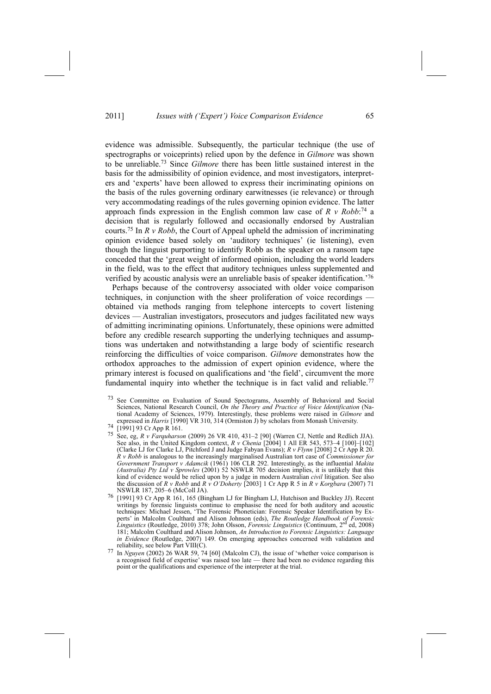evidence was admissible. Subsequently, the particular technique (the use of spectrographs or voiceprints) relied upon by the defence in *Gilmore* was shown to be unreliable.73 Since *Gilmore* there has been little sustained interest in the basis for the admissibility of opinion evidence, and most investigators, interpreters and 'experts' have been allowed to express their incriminating opinions on the basis of the rules governing ordinary earwitnesses (ie relevance) or through very accommodating readings of the rules governing opinion evidence. The latter approach finds expression in the English common law case of  $R$   $\nu$   $Robb$ <sup>-74</sup> a decision that is regularly followed and occasionally endorsed by Australian courts.75 In *R v Robb*, the Court of Appeal upheld the admission of incriminating opinion evidence based solely on 'auditory techniques' (ie listening), even though the linguist purporting to identify Robb as the speaker on a ransom tape conceded that the 'great weight of informed opinion, including the world leaders in the field, was to the effect that auditory techniques unless supplemented and verified by acoustic analysis were an unreliable basis of speaker identification.<sup>76</sup>

Perhaps because of the controversy associated with older voice comparison techniques, in conjunction with the sheer proliferation of voice recordings obtained via methods ranging from telephone intercepts to covert listening devices — Australian investigators, prosecutors and judges facilitated new ways of admitting incriminating opinions. Unfortunately, these opinions were admitted before any credible research supporting the underlying techniques and assumptions was undertaken and notwithstanding a large body of scientific research reinforcing the difficulties of voice comparison. *Gilmore* demonstrates how the orthodox approaches to the admission of expert opinion evidence, where the primary interest is focused on qualifications and 'the field', circumvent the more fundamental inquiry into whether the technique is in fact valid and reliable.<sup>77</sup>

<sup>73</sup> See Committee on Evaluation of Sound Spectograms, Assembly of Behavioral and Social Sciences, National Research Council, *On the Theory and Practice of Voice Identification* (National Academy of Sciences, 1979). Interestingly, these problems were raised in *Gilmore* and expressed in *Harris* [1990] VR 310, 314 (Ormiston J) by scholars from Monash University.<br>
<sup>74</sup> [1991] 93 Cr App R 161.<br>
<sup>75</sup> State and *R* Franck wave (2000) 26 VP 410, 421, 2, 500 (Warry GL Nettle and Radial

See, eg, *R v Farquharson* (2009) 26 VR 410, 431-2 [90] (Warren CJ, Nettle and Redlich JJA). See also, in the United Kingdom context,  $R$   $\nu$  *Chenia* [2004] 1 All ER 543, 573-4 [100]-[102] (Clarke LJ for Clarke LJ, Pitchford J and Judge Fabyan Evans); *R v Flynn* [2008] 2 Cr App R 20. *R v Robb* is analogous to the increasingly marginalised Australian tort case of *Commissioner for Government Transport v Adamcik* (1961) 106 CLR 292. Interestingly, as the influential *Makita (Australia) Pty Ltd v Sprowles* (2001) 52 NSWLR 705 decision implies, it is unlikely that this kind of evidence would be relied upon by a judge in modern Australian *civil* litigation. See also the discussion of *R v Robb* and *R v O'Doherty* [2003] 1 Cr App R 5 in *R v Korgbara* (2007) 71 NSWLR 187, 205–6 (McColl JA).

<sup>&</sup>lt;sup>76</sup> [1991] 93 Cr App R 161, 165 (Bingham LJ for Bingham LJ, Hutchison and Buckley JJ). Recent writings by forensic linguists continue to emphasise the need for both auditory and acoustic techniques: Michael Jessen, 'The Forensic Phonetician: Forensic Speaker Identification by Experts' in Malcolm Coulthard and Alison Johnson (eds), *The Routledge Handbook of Forensic*<br>*Linguistics* (Routledge, 2010) 378; John Olsson, *Forensic Linguistics* (Continuum, 2<sup>nd</sup> ed, 2008) 181; Malcolm Coulthard and Alison Johnson, *An Introduction to Forensic Linguistics: Language in Evidence* (Routledge, 2007) 149. On emerging approaches concerned with validation and reliability, see below Part VIII(C).

 $77$  In *Nguyen* (2002) 26 WAR 59, 74 [60] (Malcolm CJ), the issue of 'whether voice comparison is a recognised field of expertise' was raised too late — there had been no evidence regarding this point or the qualifications and experience of the interpreter at the trial.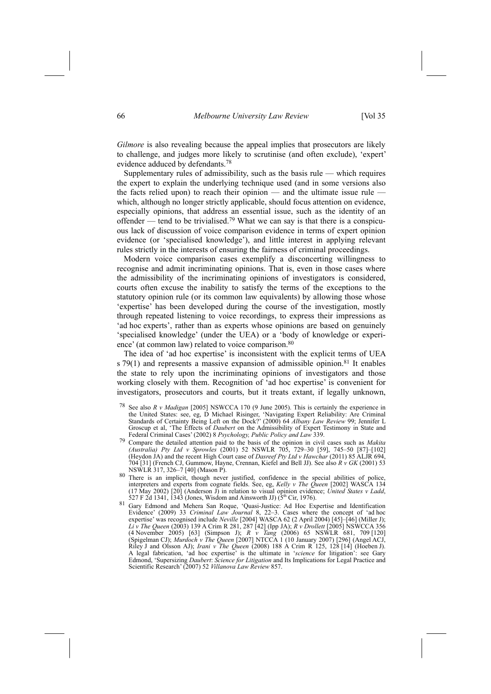*Gilmore* is also revealing because the appeal implies that prosecutors are likely to challenge, and judges more likely to scrutinise (and often exclude), 'expert' evidence adduced by defendants.78

Supplementary rules of admissibility, such as the basis rule  $-$  which requires the expert to explain the underlying technique used (and in some versions also the facts relied upon) to reach their opinion  $-$  and the ultimate issue rule which, although no longer strictly applicable, should focus attention on evidence, especially opinions, that address an essential issue, such as the identity of an offender — tend to be trivialised.<sup>79</sup> What we can say is that there is a conspicuous lack of discussion of voice comparison evidence in terms of expert opinion evidence (or 'specialised knowledge'), and little interest in applying relevant rules strictly in the interests of ensuring the fairness of criminal proceedings.

Modern voice comparison cases exemplify a disconcerting willingness to recognise and admit incriminating opinions. That is, even in those cases where the admissibility of the incriminating opinions of investigators is considered, courts often excuse the inability to satisfy the terms of the exceptions to the statutory opinion rule (or its common law equivalents) by allowing those whose expertise has been developed during the course of the investigation, mostly through repeated listening to voice recordings, to express their impressions as and hoc experts', rather than as experts whose opinions are based on genuinely 'specialised knowledge' (under the UEA) or a 'body of knowledge or experience' (at common law) related to voice comparison.<sup>80</sup>

The idea of 'ad hoc expertise' is inconsistent with the explicit terms of UEA s 79(1) and represents a massive expansion of admissible opinion.<sup>81</sup> It enables the state to rely upon the incriminating opinions of investigators and those working closely with them. Recognition of 'ad hoc expertise' is convenient for investigators, prosecutors and courts, but it treats extant, if legally unknown,

- 78 See also *R v Madigan* [2005] NSWCCA 170 (9 June 2005). This is certainly the experience in the United States: see, eg, D Michael Risinger, 'Navigating Expert Reliability: Are Criminal Standards of Certainty Being Left on the Dock?[ (2000) 64 *Albany Law Review* 99; Jennifer L Groscup et al, 'The Effects of *Daubert* on the Admissibility of Expert Testimony in State and Federal Criminal Cases[ (2002) 8 *Psychology, Public Policy and Law* 339.
- 79 Compare the detailed attention paid to the basis of the opinion in civil cases such as *Makita (Australia) Pty Ltd v Sprowles* (2001) 52 NSWLR 705, 729-30 [59], 745-50 [87]-[102] (Heydon JA) and the recent High Court case of *Dasreef Pty Ltd v Hawchar* (2011) 85 ALJR 694, 704 [31] (French CJ, Gummow, Hayne, Crennan, Kiefel and Bell JJ). See also *R v GK* (2001) 53
- NSWLR 317, 326-7 [40] (Mason P). 80 There is an implicit, though never justified, confidence in the special abilities of police, interpreters and experts from cognate fields. See, eg, *Kelly v The Queen* [2002] WASCA 134 (17 May 2002) [20] (Anderson J) in relation to visual opinion evidence; *United States v Ladd*, 527 F 2d 1341, 1343 (Jones, Wisdom and Ainsworth JJ) (5th Cir, 1976).
- 81 Gary Edmond and Mehera San Roque, 'Quasi-Justice: Ad Hoc Expertise and Identification Evidence' (2009) 33 *Criminal Law Journal* 8, 22–3. Cases where the concept of 'ad hoc expertise' was recognised include *Neville* [2004] WASCA 62 (2 April 2004) [45]-[46] (Miller J); *Li v The Queen* (2003) 139 A Crim R 281, 287 [42] (Ipp JA); *R v Drollett* [2005] NSWCCA 356 (4 November 2005) [63] (Simpson J); *R v Tang* (2006) 65 NSWLR 681, 709 [120] (Spigelman CJ); *Murdoch v The Queen* [2007] NTCCA 1 (10 January 2007) [296] (Angel ACJ, Riley J and Olsson AJ); *Irani v The Queen* (2008) 188 A Crim R 125, 128 [14] (Hoeben J). A legal fabrication, 'ad hoc expertise' is the ultimate in 'science for litigation': see Gary Edmond, 'Supersizing *Daubert: Science for Litigation* and Its Implications for Legal Practice and Scientific Research[ (2007) 52 *Villanova Law Review* 857.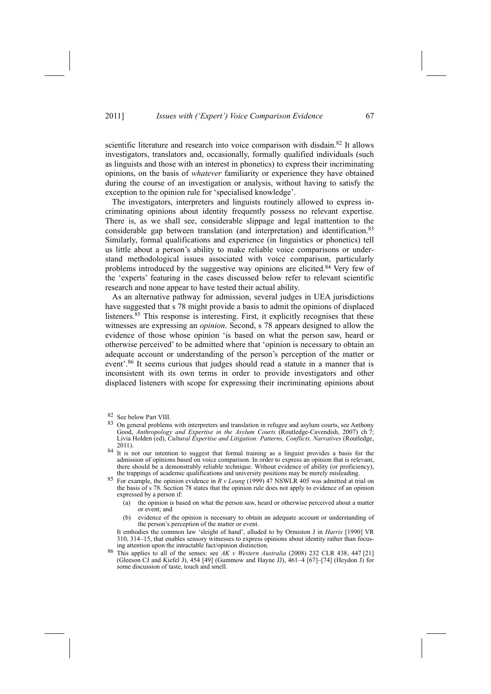scientific literature and research into voice comparison with disdain.<sup>82</sup> It allows investigators, translators and, occasionally, formally qualified individuals (such as linguists and those with an interest in phonetics) to express their incriminating opinions, on the basis of *whatever* familiarity or experience they have obtained during the course of an investigation or analysis, without having to satisfy the exception to the opinion rule for 'specialised knowledge'.

The investigators, interpreters and linguists routinely allowed to express incriminating opinions about identity frequently possess no relevant expertise. There is, as we shall see, considerable slippage and legal inattention to the considerable gap between translation (and interpretation) and identification.83 Similarly, formal qualifications and experience (in linguistics or phonetics) tell us little about a person's ability to make reliable voice comparisons or understand methodological issues associated with voice comparison, particularly problems introduced by the suggestive way opinions are elicited.84 Very few of the 'experts' featuring in the cases discussed below refer to relevant scientific research and none appear to have tested their actual ability.

As an alternative pathway for admission, several judges in UEA jurisdictions have suggested that s 78 might provide a basis to admit the opinions of displaced listeners.85 This response is interesting. First, it explicitly recognises that these witnesses are expressing an *opinion*. Second, s 78 appears designed to allow the evidence of those whose opinion 'is based on what the person saw, heard or otherwise perceived' to be admitted where that 'opinion is necessary to obtain an adequate account or understanding of the person's perception of the matter or event'.<sup>86</sup> It seems curious that judges should read a statute in a manner that is inconsistent with its own terms in order to provide investigators and other displaced listeners with scope for expressing their incriminating opinions about

<sup>82</sup> See below Part VIII.

<sup>83</sup> On general problems with interpreters and translation in refugee and asylum courts, see Anthony Good, *Anthropology and Expertise in the Asylum Courts* (Routledge-Cavendish, 2007) ch 7; Livia Holden (ed), *Cultural Expertise and Litigation: Patterns, Conflicts, Narratives* (Routledge,

<sup>&</sup>lt;sup>84</sup> It is not our intention to suggest that formal training as a linguist provides a basis for the admission of opinions based on voice comparison. In order to express an opinion that is relevant, there should be a demonstrably reliable technique. Without evidence of ability (or proficiency), the trappings of academic qualifications and university positions may be merely misleading.

For example, the opinion evidence in *R v Leung* (1999) 47 NSWLR 405 was admitted at trial on the basis of s 78. Section 78 states that the opinion rule does not apply to evidence of an opinion expressed by a person if:

<sup>(</sup>a) the opinion is based on what the person saw, heard or otherwise perceived about a matter or event; and

<sup>(</sup>b) evidence of the opinion is necessary to obtain an adequate account or understanding of the person's perception of the matter or event.

It embodies the common law 'sleight of hand', alluded to by Ormiston J in *Harris* [1990] VR 310, 314-15, that enables sensory witnesses to express opinions about identity rather than focus-<br>ing attention upon the intractable fact/opinion distinction.

<sup>&</sup>lt;sup>86</sup> This applies to all of the senses: see *AK v Western Australia* (2008) 232 CLR 438, 447 [21] (Gleeson CJ and Kiefel J), 454 [49] (Gummow and Hayne JJ),  $461-4$  [67]–[74] (Heydon J) for some discussion of taste, touch and smell.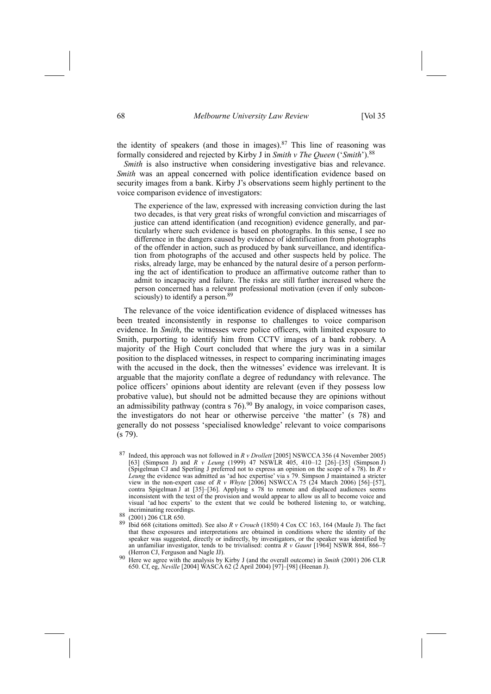the identity of speakers (and those in images). $87$  This line of reasoning was formally considered and rejected by Kirby J in *Smith v The Queen* ('*Smith*').<sup>88</sup>

*Smith* is also instructive when considering investigative bias and relevance. *Smith* was an appeal concerned with police identification evidence based on security images from a bank. Kirby J's observations seem highly pertinent to the voice comparison evidence of investigators:

The experience of the law, expressed with increasing conviction during the last two decades, is that very great risks of wrongful conviction and miscarriages of justice can attend identification (and recognition) evidence generally, and particularly where such evidence is based on photographs. In this sense, I see no difference in the dangers caused by evidence of identification from photographs of the offender in action, such as produced by bank surveillance, and identification from photographs of the accused and other suspects held by police. The risks, already large, may be enhanced by the natural desire of a person performing the act of identification to produce an affirmative outcome rather than to admit to incapacity and failure. The risks are still further increased where the person concerned has a relevant professional motivation (even if only subconsciously) to identify a person.<sup>89</sup>

The relevance of the voice identification evidence of displaced witnesses has been treated inconsistently in response to challenges to voice comparison evidence. In *Smith*, the witnesses were police officers, with limited exposure to Smith, purporting to identify him from CCTV images of a bank robbery. A majority of the High Court concluded that where the jury was in a similar position to the displaced witnesses, in respect to comparing incriminating images with the accused in the dock, then the witnesses' evidence was irrelevant. It is arguable that the majority conflate a degree of redundancy with relevance. The police officers' opinions about identity are relevant (even if they possess low probative value), but should not be admitted because they are opinions without an admissibility pathway (contra s  $76$ ).<sup>90</sup> By analogy, in voice comparison cases, the investigators do not hear or otherwise perceive 'the matter' (s 78) and generally do not possess 'specialised knowledge' relevant to voice comparisons (s 79).

<sup>90</sup> Here we agree with the analysis by Kirby J (and the overall outcome) in *Smith* (2001) 206 CLR 650. Cf, eg, *Neville* [2004] WASCA 62 (2 April 2004) [97]-[98] (Heenan J).

<sup>87</sup> Indeed, this approach was not followed in *R v Drollett* [2005] NSWCCA 356 (4 November 2005) [63] (Simpson J) and *R v Leung* (1999) 47 NSWLR 405, 410–12 [26]–[35] (Simpson J) (Spigelman CJ and Sperling J preferred not to express an opinion on the scope of s 78). In *R v* Leung the evidence was admitted as 'ad hoc expertise' via s 79. Simpson J maintained a stricter view in the non-expert case of *R v Whyte* [2006] NSWCCA 75 (24 March 2006) [56]-[57], contra Spigelman J at  $[35]$ - $[36]$ . Applying s 78 to remote and displaced audiences seems inconsistent with the text of the provision and would appear to allow us all to become voice and visual 'ad hoc experts' to the extent that we could be bothered listening to, or watching,

incriminating recordings.<br><sup>88</sup> (2001) 206 CLR 650.<br><sup>89</sup> Ibid 668 (citations omitted). See also *R v Crouch* (1850) 4 Cox CC 163, 164 (Maule J). The fact that these exposures and interpretations are obtained in conditions where the identity of the speaker was suggested, directly or indirectly, by investigators, or the speaker was identified by an unfamiliar investigator, tends to be trivialised: contra *R v Gaunt* [1964] NSWR 864, 866<sup>-7</sup>. (Herron CJ, Ferguson and Nagle JJ).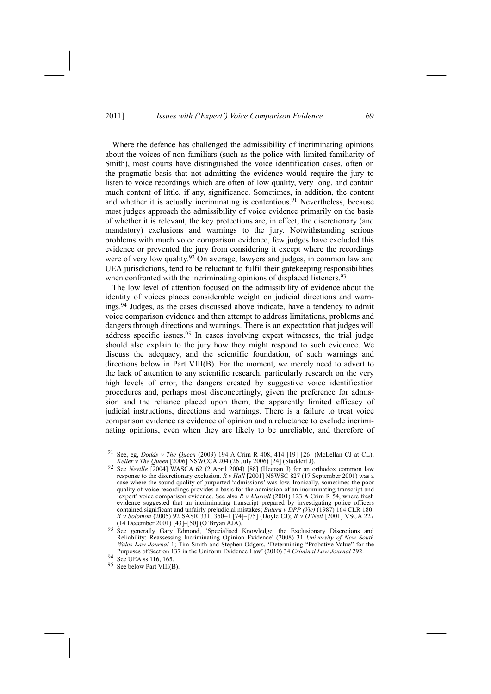Where the defence has challenged the admissibility of incriminating opinions about the voices of non-familiars (such as the police with limited familiarity of Smith), most courts have distinguished the voice identification cases, often on the pragmatic basis that not admitting the evidence would require the jury to listen to voice recordings which are often of low quality, very long, and contain much content of little, if any, significance. Sometimes, in addition, the content and whether it is actually incriminating is contentious.<sup>91</sup> Nevertheless, because most judges approach the admissibility of voice evidence primarily on the basis of whether it is relevant, the key protections are, in effect, the discretionary (and mandatory) exclusions and warnings to the jury. Notwithstanding serious problems with much voice comparison evidence, few judges have excluded this evidence or prevented the jury from considering it except where the recordings were of very low quality.<sup>92</sup> On average, lawyers and judges, in common law and UEA jurisdictions, tend to be reluctant to fulfil their gatekeeping responsibilities when confronted with the incriminating opinions of displaced listeners.<sup>93</sup>

The low level of attention focused on the admissibility of evidence about the identity of voices places considerable weight on judicial directions and warnings.94 Judges, as the cases discussed above indicate, have a tendency to admit voice comparison evidence and then attempt to address limitations, problems and dangers through directions and warnings. There is an expectation that judges will address specific issues.95 In cases involving expert witnesses, the trial judge should also explain to the jury how they might respond to such evidence. We discuss the adequacy, and the scientific foundation, of such warnings and directions below in Part VIII(B). For the moment, we merely need to advert to the lack of attention to any scientific research, particularly research on the very high levels of error, the dangers created by suggestive voice identification procedures and, perhaps most disconcertingly, given the preference for admission and the reliance placed upon them, the apparently limited efficacy of judicial instructions, directions and warnings. There is a failure to treat voice comparison evidence as evidence of opinion and a reluctance to exclude incriminating opinions, even when they are likely to be unreliable, and therefore of

See, eg, *Dodds v The Queen* (2009) 194 A Crim R 408, 414 [19]-[26] (McLellan CJ at CL); *Keller v The Queen* [2006] NSWCCA 204 (26 July 2006) [24] (Studdert J). *Keller v The Queen* [2006] NSWCCA 204 (26 July 2006) [24] (Studdert J).<br><sup>92</sup> See *Neville* [2004] WASCA 62 (2 April 2004) [88] (Heenan J) for an orthodox common law

response to the discretionary exclusion. *R v Hall* [2001] NSWSC 827 (17 September 2001) was a case where the sound quality of purported 'admissions' was low. Ironically, sometimes the poor quality of voice recordings provides a basis for the admission of an incriminating transcript and expert' voice comparison evidence. See also  $R$  *v Murrell* (2001) 123 A Crim R 54, where fresh evidence suggested that an incriminating transcript prepared by investigating police officers contained significant and unfairly prejudicial mistakes; *Butera v DPP (Vic)* (1987) 164 CLR 180; *R v Solomon* (2005) 92 SASR 331, 350–1 [74]–[75] (Doyle CJ); *R v O'Neil* [2001] VSCA 227 (14 December 2001) [43]-[50] (O'Bryan AJA). 93 See generally Gary Edmond, 'Specialised Knowledge, the Exclusionary Discretions and

Reliability: Reassessing Incriminating Opinion Evidence[ (2008) 31 *University of New South Wales Law Journal* 1; Tim Smith and Stephen Odgers, 'Determining "Probative Value" for the Purposes of Section 137 in the Uniform Evidence Law[ (2010) 34 *Criminal Law Journal* 292.

<sup>94</sup> See UEA ss 116, 165.

<sup>95</sup> See below Part VIII(B).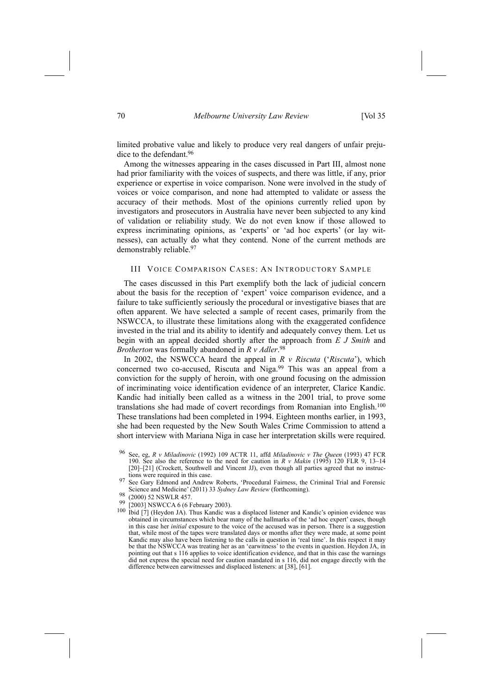limited probative value and likely to produce very real dangers of unfair prejudice to the defendant.96

Among the witnesses appearing in the cases discussed in Part III, almost none had prior familiarity with the voices of suspects, and there was little, if any, prior experience or expertise in voice comparison. None were involved in the study of voices or voice comparison, and none had attempted to validate or assess the accuracy of their methods. Most of the opinions currently relied upon by investigators and prosecutors in Australia have never been subjected to any kind of validation or reliability study. We do not even know if those allowed to express incriminating opinions, as 'experts' or 'ad hoc experts' (or lay witnesses), can actually do what they contend. None of the current methods are demonstrably reliable.<sup>97</sup>

## III VOICE COMPARISON CASES: AN INTRODUCTORY SAMPLE

The cases discussed in this Part exemplify both the lack of judicial concern about the basis for the reception of 'expert' voice comparison evidence, and a failure to take sufficiently seriously the procedural or investigative biases that are often apparent. We have selected a sample of recent cases, primarily from the NSWCCA, to illustrate these limitations along with the exaggerated confidence invested in the trial and its ability to identify and adequately convey them. Let us begin with an appeal decided shortly after the approach from *E J Smith* and *Brotherton* was formally abandoned in *R v Adler*. 98

In 2002, the NSWCCA heard the appeal in  $R \, v$  *Riscuta* ('*Riscuta*'), which concerned two co-accused, Riscuta and Niga.<sup>99</sup> This was an appeal from a conviction for the supply of heroin, with one ground focusing on the admission of incriminating voice identification evidence of an interpreter, Clarice Kandic. Kandic had initially been called as a witness in the 2001 trial, to prove some translations she had made of covert recordings from Romanian into English.100 These translations had been completed in 1994. Eighteen months earlier, in 1993, she had been requested by the New South Wales Crime Commission to attend a short interview with Mariana Niga in case her interpretation skills were required.

- 
- 98 (2000) 52 NSWLR 457.<br>
99 (2000) 52 NSWLR 457.<br>
100 Ibid [7] (Heydon JA). Thus Kandic was a displaced listener and Kandic's opinion evidence was<br>
100 Ibid [7] (Heydon JA). Thus Kandic was a displaced listener and Kandic' obtained in circumstances which bear many of the hallmarks of the 'ad hoc expert' cases, though in this case her *initial* exposure to the voice of the accused was in person. There is a suggestion that, while most of the tapes were translated days or months after they were made, at some point Kandic may also have been listening to the calls in question in 'real time'. In this respect it may be that the NSWCCA was treating her as an 'earwitness' to the events in question. Heydon JA, in pointing out that s 116 applies to voice identification evidence, and that in this case the warnings did not express the special need for caution mandated in s 116, did not engage directly with the difference between earwitnesses and displaced listeners: at [38], [61].

<sup>96</sup> See, eg, *R v Miladinovic* (1992) 109 ACTR 11, affd *Miladinovic v The Queen* (1993) 47 FCR 190. See also the reference to the need for caution in  $R$  *v Makin* (1995) 120 FLR 9, 13-14 [20]-[21] (Crockett, Southwell and Vincent JJ), even though all parties agreed that no instruc-

tions were required in this case.<br>97 See Gary Edmond and Andrew Roberts, 'Procedural Fairness, the Criminal Trial and Forensic<br>Science and Medicine' (2011) 33 Sydney Law Review (forthcoming).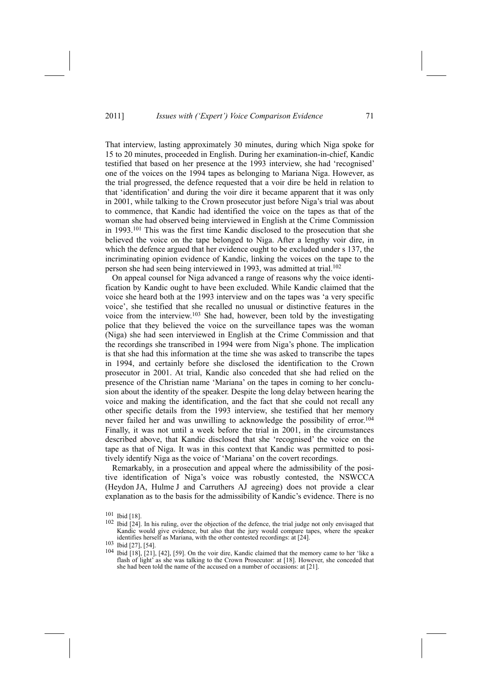That interview, lasting approximately 30 minutes, during which Niga spoke for 15 to 20 minutes, proceeded in English. During her examination-in-chief, Kandic testified that based on her presence at the 1993 interview, she had 'recognised' one of the voices on the 1994 tapes as belonging to Mariana Niga. However, as the trial progressed, the defence requested that a voir dire be held in relation to that 'identification' and during the voir dire it became apparent that it was only in 2001, while talking to the Crown prosecutor just before Niga's trial was about to commence, that Kandic had identified the voice on the tapes as that of the woman she had observed being interviewed in English at the Crime Commission in 1993.101 This was the first time Kandic disclosed to the prosecution that she believed the voice on the tape belonged to Niga. After a lengthy voir dire, in which the defence argued that her evidence ought to be excluded under s 137, the incriminating opinion evidence of Kandic, linking the voices on the tape to the person she had seen being interviewed in 1993, was admitted at trial.<sup>102</sup>

On appeal counsel for Niga advanced a range of reasons why the voice identification by Kandic ought to have been excluded. While Kandic claimed that the voice she heard both at the 1993 interview and on the tapes was 'a very specific voice', she testified that she recalled no unusual or distinctive features in the voice from the interview.103 She had, however, been told by the investigating police that they believed the voice on the surveillance tapes was the woman (Niga) she had seen interviewed in English at the Crime Commission and that the recordings she transcribed in 1994 were from Niga's phone. The implication is that she had this information at the time she was asked to transcribe the tapes in 1994, and certainly before she disclosed the identification to the Crown prosecutor in 2001. At trial, Kandic also conceded that she had relied on the presence of the Christian name 'Mariana' on the tapes in coming to her conclusion about the identity of the speaker. Despite the long delay between hearing the voice and making the identification, and the fact that she could not recall any other specific details from the 1993 interview, she testified that her memory never failed her and was unwilling to acknowledge the possibility of error.<sup>104</sup> Finally, it was not until a week before the trial in 2001, in the circumstances described above, that Kandic disclosed that she 'recognised' the voice on the tape as that of Niga. It was in this context that Kandic was permitted to positively identify Niga as the voice of 'Mariana' on the covert recordings.

Remarkably, in a prosecution and appeal where the admissibility of the positive identification of Niga's voice was robustly contested, the NSWCCA (Heydon JA, Hulme J and Carruthers AJ agreeing) does not provide a clear explanation as to the basis for the admissibility of Kandic's evidence. There is no

<sup>101</sup> Ibid [18].

<sup>102</sup> Ibid [24]. In his ruling, over the objection of the defence, the trial judge not only envisaged that Kandic would give evidence, but also that the jury would compare tapes, where the speaker identifies herself as Mariana, with the other contested recordings: at [24].<br>
<sup>103</sup> Ibid [27], [54].<br>
<sup>104</sup> Ibid [27], [21], [42], [50]. Or the printing Kandia shined that the man

Ibid [18], [21], [42], [59]. On the voir dire, Kandic claimed that the memory came to her 'like a flash of light' as she was talking to the Crown Prosecutor: at [18]. However, she conceded that she had been told the name of the accused on a number of occasions: at [21].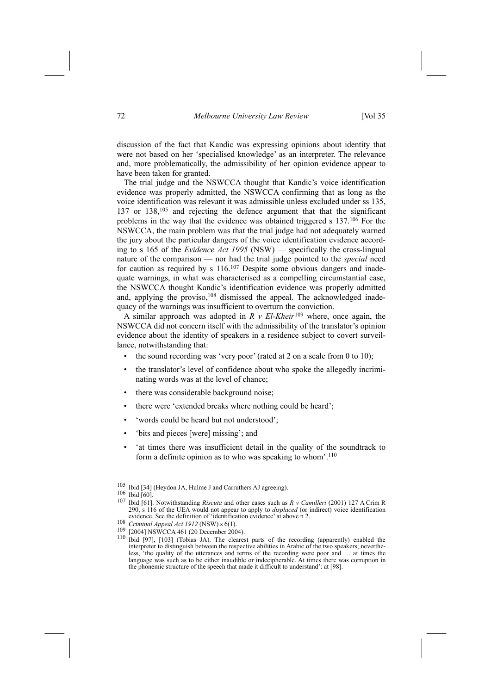discussion of the fact that Kandic was expressing opinions about identity that were not based on her 'specialised knowledge' as an interpreter. The relevance and, more problematically, the admissibility of her opinion evidence appear to have been taken for granted.

The trial judge and the NSWCCA thought that Kandic's voice identification evidence was properly admitted, the NSWCCA confirming that as long as the voice identification was relevant it was admissible unless excluded under ss 135, 137 or 138,<sup>105</sup> and rejecting the defence argument that that the significant problems in the way that the evidence was obtained triggered s 137.106 For the NSWCCA, the main problem was that the trial judge had not adequately warned the jury about the particular dangers of the voice identification evidence according to s 165 of the *Evidence Act 1995* (NSW) — specifically the cross-lingual nature of the comparison — nor had the trial judge pointed to the *special* need for caution as required by s 116.107 Despite some obvious dangers and inadequate warnings, in what was characterised as a compelling circumstantial case, the NSWCCA thought Kandic's identification evidence was properly admitted and, applying the proviso,<sup>108</sup> dismissed the appeal. The acknowledged inadequacy of the warnings was insufficient to overturn the conviction.

A similar approach was adopted in *R v El-Kheir*109 where, once again, the NSWCCA did not concern itself with the admissibility of the translator's opinion evidence about the identity of speakers in a residence subject to covert surveillance, notwithstanding that:

- the sound recording was 'very poor' (rated at 2 on a scale from 0 to 10);
- the translator's level of confidence about who spoke the allegedly incriminating words was at the level of chance;
- there was considerable background noise;
- there were 'extended breaks where nothing could be heard';
- 'words could be heard but not understood';
- 'bits and pieces [were] missing'; and
- 'at times there was insufficient detail in the quality of the soundtrack to form a definite opinion as to who was speaking to whom'. $110$

<sup>105</sup> Ibid [34] (Heydon JA, Hulme J and Carruthers AJ agreeing).<br>106 Ibid [60].<br>107 Ibid [60].

<sup>107</sup> Ibid [61]. Notwithstanding *Riscuta* and other cases such as *R v Camilleri* (2001) 127 A Crim R 290, s 116 of the UEA would not appear to apply to *displaced* (or indirect) voice identification evidence. See the definition of 'identification evidence' at above n 2.

<sup>108</sup> *Criminal Appeal Act* 1912 (NSW) s 6(1).<br>
<sup>109</sup> [2004] NSWCCA 461 (20 December 2004).<br>
<sup>110</sup> Ibid [97], [103] (Tobias JA). The clearest parts of the recording (apparently) enabled the interpreter to distinguish between the respective abilities in Arabic of the two speakers; nevertheless, 'the quality of the utterances and terms of the recording were poor and ... at times the language was such as to be either inaudible or indecipherable. At times there was corruption in the phonemic structure of the speech that made it difficult to understand': at [98].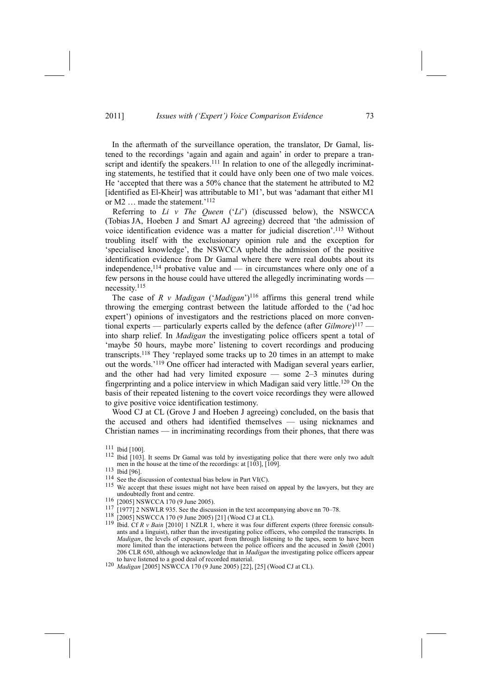In the aftermath of the surveillance operation, the translator, Dr Gamal, listened to the recordings 'again and again and again' in order to prepare a transcript and identify the speakers.<sup>111</sup> In relation to one of the allegedly incriminating statements, he testified that it could have only been one of two male voices. He 'accepted that there was a 50% chance that the statement he attributed to M2 [identified as El-Kheir] was attributable to M1', but was 'adamant that either M1 or M2 ... made the statement.'<sup>112</sup>

Referring to *Li v The Queen* ('Li') (discussed below), the NSWCCA (Tobias JA, Hoeben J and Smart AJ agreeing) decreed that 'the admission of voice identification evidence was a matter for judicial discretion'.<sup>113</sup> Without troubling itself with the exclusionary opinion rule and the exception for 'specialised knowledge', the NSWCCA upheld the admission of the positive identification evidence from Dr Gamal where there were real doubts about its independence,<sup>114</sup> probative value and  $-$  in circumstances where only one of a few persons in the house could have uttered the allegedly incriminating words k necessity.115

The case of  $R$  *v Madigan* ('*Madigan*')<sup>116</sup> affirms this general trend while throwing the emerging contrast between the latitude afforded to the ('ad hoc expert') opinions of investigators and the restrictions placed on more conventional experts — particularly experts called by the defence (after *Gilmore*)<sup>117</sup> into sharp relief. In *Madigan* the investigating police officers spent a total of 'maybe 50 hours, maybe more' listening to covert recordings and producing transcripts.<sup>118</sup> They 'replayed some tracks up to 20 times in an attempt to make out the words.<sup>'119</sup> One officer had interacted with Madigan several years earlier, and the other had had very limited exposure  $-$  some 2-3 minutes during fingerprinting and a police interview in which Madigan said very little.120 On the basis of their repeated listening to the covert voice recordings they were allowed to give positive voice identification testimony.

Wood CJ at CL (Grove J and Hoeben J agreeing) concluded, on the basis that the accused and others had identified themselves - using nicknames and Christian names  $-$  in incriminating recordings from their phones, that there was

<sup>111</sup> Ibid [100].

<sup>112</sup> Ibid [103]. It seems Dr Gamal was told by investigating police that there were only two adult men in the house at the time of the recordings: at  $[103]$ ,  $[109]$ .<br>
<sup>113</sup> Ibid [96].<br>
<sup>114</sup> See the discussion of contextual bias below in Part VI(C).

<sup>&</sup>lt;sup>115</sup> We accept that these issues might not have been raised on appeal by the lawyers, but they are undoubtedly front and centre.

<sup>116 [2005]</sup> NSWCCA 170 (9 June 2005).<br>
117 [1977] 2 NSWLR 935. See the discussion in the text accompanying above nn 70–78.<br>
117 [1977] 2 NSWLR 935. See the discussion in the text accompanying above nn 70–78.<br>
118 [2005] NS ants and a linguist), rather than the investigating police officers, who compiled the transcripts. In *Madigan*, the levels of exposure, apart from through listening to the tapes, seem to have been more limited than the interactions between the police officers and the accused in *Smith* (2001) 206 CLR 650, although we acknowledge that in *Madigan* the investigating police officers appear

<sup>120</sup> *Madigan* [2005] NSWCCA 170 (9 June 2005) [22], [25] (Wood CJ at CL).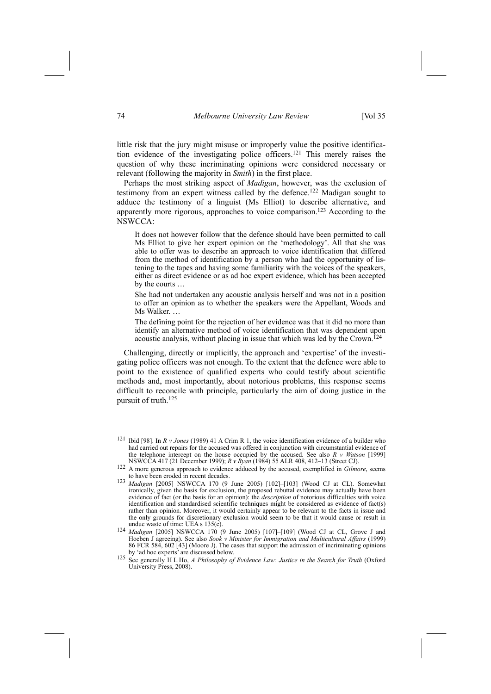little risk that the jury might misuse or improperly value the positive identification evidence of the investigating police officers.121 This merely raises the question of why these incriminating opinions were considered necessary or relevant (following the majority in *Smith*) in the first place.

Perhaps the most striking aspect of *Madigan*, however, was the exclusion of testimony from an expert witness called by the defence.<sup>122</sup> Madigan sought to adduce the testimony of a linguist (Ms Elliot) to describe alternative, and apparently more rigorous, approaches to voice comparison.123 According to the NSWCCA:

It does not however follow that the defence should have been permitted to call Ms Elliot to give her expert opinion on the 'methodology'. All that she was able to offer was to describe an approach to voice identification that differed from the method of identification by a person who had the opportunity of listening to the tapes and having some familiarity with the voices of the speakers, either as direct evidence or as ad hoc expert evidence, which has been accepted by the courts  $\ldots$ 

She had not undertaken any acoustic analysis herself and was not in a position to offer an opinion as to whether the speakers were the Appellant, Woods and Ms Walker...

The defining point for the rejection of her evidence was that it did no more than identify an alternative method of voice identification that was dependent upon acoustic analysis, without placing in issue that which was led by the Crown.<sup>124</sup>

Challenging, directly or implicitly, the approach and 'expertise' of the investigating police officers was not enough. To the extent that the defence were able to point to the existence of qualified experts who could testify about scientific methods and, most importantly, about notorious problems, this response seems difficult to reconcile with principle, particularly the aim of doing justice in the pursuit of truth.125

<sup>121</sup> Ibid [98]. In *R v Jones* (1989) 41 A Crim R 1, the voice identification evidence of a builder who had carried out repairs for the accused was offered in conjunction with circumstantial evidence of the telephone intercept on the house occupied by the accused. See also  $R$  *v Watson* [1999] NSWCCA 417 (21 December 1999);  $R$  *v Ryan* (1984) 55 ALR 408, 412–13 (Street CJ).

<sup>122</sup> A more generous approach to evidence adduced by the accused, exemplified in *Gilmore*, seems to have been eroded in recent decades.

<sup>123</sup> *Madigan* [2005] NSWCCA 170 (9 June 2005) [102]-[103] (Wood CJ at CL). Somewhat ironically, given the basis for exclusion, the proposed rebuttal evidence may actually have been evidence of fact (or the basis for an opinion): the *description* of notorious difficulties with voice identification and standardised scientific techniques might be considered as evidence of fact(s) rather than opinion. Moreover, it would certainly appear to be relevant to the facts in issue and the only grounds for discretionary exclusion would seem to be that it would cause or result in

undue waste of time: UEA s 135(c).<br><sup>124</sup> *Madigan* [2005] NSWCCA 170 (9 June 2005) [107]–[109] (Wood CJ at CL, Grove J and Hoeben J agreeing). See also *Sook v Minister for Immigration and Multicultural Affairs* (1999) 86 FCR 584, 602 [43] (Moore J). The cases that support the admission of incriminating opinions

by Zad hoc experts[ are discussed below. 125 See generally H L Ho, *<sup>A</sup> Philosophy of Evidence Law: Justice in the Search for Truth* (Oxford University Press, 2008).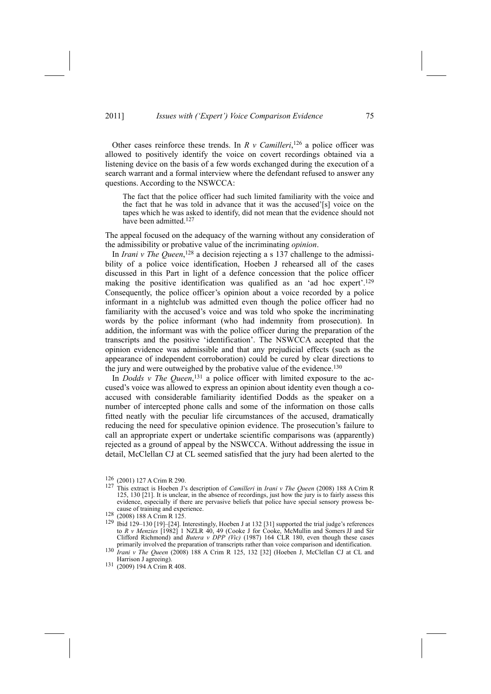Other cases reinforce these trends. In  $R$   $\nu$  *Camilleri*,<sup>126</sup> a police officer was allowed to positively identify the voice on covert recordings obtained via a listening device on the basis of a few words exchanged during the execution of a search warrant and a formal interview where the defendant refused to answer any questions. According to the NSWCCA:

The fact that the police officer had such limited familiarity with the voice and the fact that he was told in advance that it was the accused'[s] voice on the tapes which he was asked to identify, did not mean that the evidence should not have been admitted.<sup>127</sup>

The appeal focused on the adequacy of the warning without any consideration of the admissibility or probative value of the incriminating *opinion*.

In *Irani v The Queen*, 128 a decision rejecting a s 137 challenge to the admissibility of a police voice identification, Hoeben J rehearsed all of the cases discussed in this Part in light of a defence concession that the police officer making the positive identification was qualified as an 'ad hoc expert'.<sup>129</sup> Consequently, the police officer's opinion about a voice recorded by a police informant in a nightclub was admitted even though the police officer had no familiarity with the accused's voice and was told who spoke the incriminating words by the police informant (who had indemnity from prosecution). In addition, the informant was with the police officer during the preparation of the transcripts and the positive 'identification'. The NSWCCA accepted that the opinion evidence was admissible and that any prejudicial effects (such as the appearance of independent corroboration) could be cured by clear directions to the jury and were outweighed by the probative value of the evidence.<sup>130</sup>

In *Dodds v The Queen*, 131 a police officer with limited exposure to the accused's voice was allowed to express an opinion about identity even though a coaccused with considerable familiarity identified Dodds as the speaker on a number of intercepted phone calls and some of the information on those calls fitted neatly with the peculiar life circumstances of the accused, dramatically reducing the need for speculative opinion evidence. The prosecution's failure to call an appropriate expert or undertake scientific comparisons was (apparently) rejected as a ground of appeal by the NSWCCA. Without addressing the issue in detail, McClellan CJ at CL seemed satisfied that the jury had been alerted to the

<sup>&</sup>lt;sup>126</sup> (2001) 127 A Crim R 290.<br><sup>127</sup> This extract is Hoeben J's description of *Camilleri* in *Irani v The Queen* (2008) 188 A Crim R 125, 130 [21]. It is unclear, in the absence of recordings, just how the jury is to fairly assess this evidence, especially if there are pervasive beliefs that police have special sensory prowess be-<br>cause of training and experience.

cause of training and experience.<br>
<sup>128</sup> (2008) 188 A Crim R 125.<br>
<sup>129</sup> Ibid 129–130 [19]–[24]. Interestingly, Hoeben J at 132 [31] supported the trial judge's references to *R v Menzies* [1982] 1 NZLR 40, 49 (Cooke J for Cooke, McMullin and Somers JJ and Sir Clifford Richmond) and *Butera v DPP (Vic)* (1987) 164 CLR 180, even though these cases

primarily involved the preparation of transcripts rather than voice comparison and identification. 130 *Irani <sup>v</sup> The Queen* (2008) 188 A Crim R 125, 132 [32] (Hoeben J, McClellan CJ at CL and

<sup>131 (2009) 194</sup> A Crim R 408.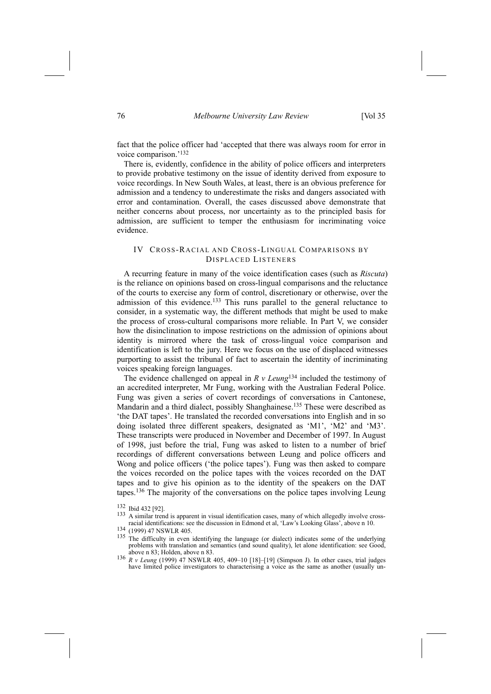fact that the police officer had 'accepted that there was always room for error in voice comparison.'<sup>132</sup>

There is, evidently, confidence in the ability of police officers and interpreters to provide probative testimony on the issue of identity derived from exposure to voice recordings. In New South Wales, at least, there is an obvious preference for admission and a tendency to underestimate the risks and dangers associated with error and contamination. Overall, the cases discussed above demonstrate that neither concerns about process, nor uncertainty as to the principled basis for admission, are sufficient to temper the enthusiasm for incriminating voice evidence.

# IV CROSS-RACIAL AND CROSS-LINGUAL COMPARISONS BY DISPLACED LISTENERS

A recurring feature in many of the voice identification cases (such as *Riscuta*) is the reliance on opinions based on cross-lingual comparisons and the reluctance of the courts to exercise any form of control, discretionary or otherwise, over the admission of this evidence.133 This runs parallel to the general reluctance to consider, in a systematic way, the different methods that might be used to make the process of cross-cultural comparisons more reliable. In Part V, we consider how the disinclination to impose restrictions on the admission of opinions about identity is mirrored where the task of cross-lingual voice comparison and identification is left to the jury. Here we focus on the use of displaced witnesses purporting to assist the tribunal of fact to ascertain the identity of incriminating voices speaking foreign languages.

The evidence challenged on appeal in *R v Leung*134 included the testimony of an accredited interpreter, Mr Fung, working with the Australian Federal Police. Fung was given a series of covert recordings of conversations in Cantonese, Mandarin and a third dialect, possibly Shanghainese.<sup>135</sup> These were described as the DAT tapes'. He translated the recorded conversations into English and in so doing isolated three different speakers, designated as 'M1', 'M2' and 'M3'. These transcripts were produced in November and December of 1997. In August of 1998, just before the trial, Fung was asked to listen to a number of brief recordings of different conversations between Leung and police officers and Wong and police officers ('the police tapes'). Fung was then asked to compare the voices recorded on the police tapes with the voices recorded on the DAT tapes and to give his opinion as to the identity of the speakers on the DAT tapes.136 The majority of the conversations on the police tapes involving Leung

<sup>132</sup> Ibid 432 [92].

<sup>&</sup>lt;sup>133</sup> A similar trend is apparent in visual identification cases, many of which allegedly involve cross-<br>racial identifications: see the discussion in Edmond et al, 'Law's Looking Glass', above n 10.

<sup>&</sup>lt;sup>134</sup> (1999) 47 NSWLR 405. **135** The difficulty in even identifying the language (or dialect) indicates some of the underlying  $135$  The difficulty in even identifying the language (or dialect) indicates some of the under problems with translation and semantics (and sound quality), let alone identification: see Good, above n 83; Holden, above n 83.

<sup>136</sup> *R v Leung* (1999) 47 NSWLR 405, 409-10 [18]-[19] (Simpson J). In other cases, trial judges have limited police investigators to characterising a voice as the same as another (usually un-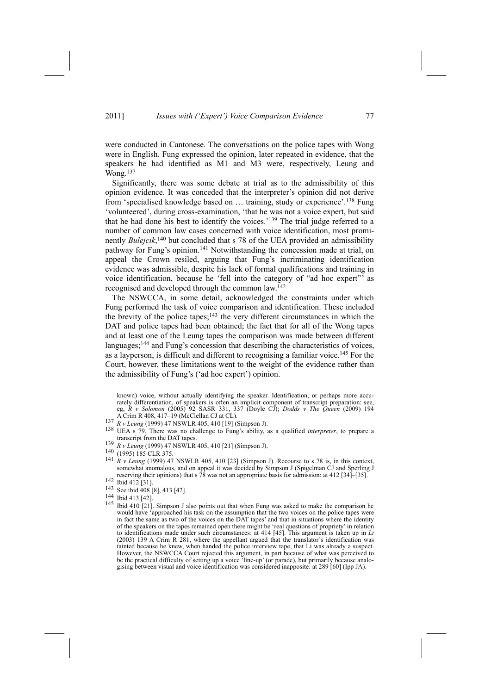were conducted in Cantonese. The conversations on the police tapes with Wong were in English. Fung expressed the opinion, later repeated in evidence, that the speakers he had identified as M1 and M3 were, respectively, Leung and Wong.<sup>137</sup>

Significantly, there was some debate at trial as to the admissibility of this opinion evidence. It was conceded that the interpreter's opinion did not derive from 'specialised knowledge based on ... training, study or experience'.<sup>138</sup> Fung 'volunteered', during cross-examination, 'that he was not a voice expert, but said that he had done his best to identify the voices.<sup> $139$ </sup> The trial judge referred to a number of common law cases concerned with voice identification, most prominently *Bulejcik*, 140 but concluded that s 78 of the UEA provided an admissibility pathway for Fung's opinion.<sup>141</sup> Notwithstanding the concession made at trial, on appeal the Crown resiled, arguing that Fung's incriminating identification evidence was admissible, despite his lack of formal qualifications and training in voice identification, because he 'fell into the category of "ad hoc expert" as recognised and developed through the common law.142

The NSWCCA, in some detail, acknowledged the constraints under which Fung performed the task of voice comparison and identification. These included the brevity of the police tapes; $143$  the very different circumstances in which the DAT and police tapes had been obtained; the fact that for all of the Wong tapes and at least one of the Leung tapes the comparison was made between different languages;<sup>144</sup> and Fung's concession that describing the characteristics of voices, as a layperson, is difficult and different to recognising a familiar voice.145 For the Court, however, these limitations went to the weight of the evidence rather than the admissibility of Fung's ('ad hoc expert') opinion.

known) voice, without actually identifying the speaker. Identification, or perhaps more accurately differentiation, of speakers is often an implicit component of transcript preparation: see, eg, *R v Solomon* (2005) 92 SASR 331, 337 (Doyle CJ); *Dodds v The Queen* (2009) 194

- 
- A Crim R 408, 417 D (McClelland C at CL).<br>
137 *R v Leung* (1999) 47 NSWLR 405, 410 [19] (Simpson J).<br>
138 UEA s 79. There was no challenge to Fung's ability, as a qualified *interpreter*, to prepare a<br>
transcript from the
- 
- 
- <sup>139</sup> R v Leung (1999) 47 NSWLR 405, 410 [21] (Simpson J).<br>
<sup>140</sup> (1995) 185 CLR 375.<br>
<sup>141</sup> R v Leung (1999) 47 NSWLR 405, 410 [23] (Simpson J). Recourse to s 78 is, in this context, somewhat anomalous, and on appeal it was decided by Simpson J (Spigelman CJ and Sperling J reserving their opinions) that s  $\overline{78}$  was not an appropriate basis for admission: at 412 [34]–[35]. 142 Ibid 412 [31].
- 
- <sup>142</sup> Ibid 412 [31].<br><sup>143</sup> See ibid 408 [8], 413 [42].
- 144 Ibid 413 [42].
- 145 Ibid 410 [21]. Simpson J also points out that when Fung was asked to make the comparison he would have 'approached his task on the assumption that the two voices on the police tapes were in fact the same as two of the voices on the DAT tapes' and that in situations where the identity of the speakers on the tapes remained open there might be 'real questions of propriety' in relation to identifications made under such circumstances: at 414 [45]. This argument is taken up in *Li* (2003) 139 A Crim R 281, where the appellant argued that the translator's identification was tainted because he knew, when handed the police interview tape, that Li was already a suspect. However, the NSWCCA Court rejected this argument, in part because of what was perceived to be the practical difficulty of setting up a voice <sup>7</sup>line-up' (or parade), but primarily because analogising between visual and voice identification was considered inapposite: at 289 [60] (Ipp JA).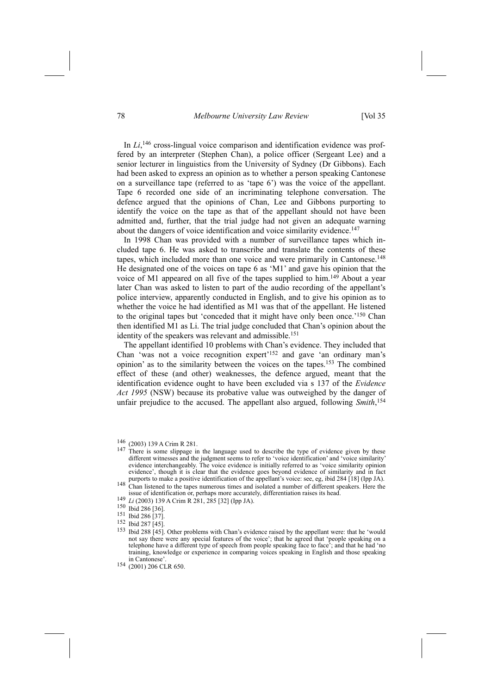# 78 *Melbourne University Law Review* [Vol 35

In *Li*,<sup>146</sup> cross-lingual voice comparison and identification evidence was proffered by an interpreter (Stephen Chan), a police officer (Sergeant Lee) and a senior lecturer in linguistics from the University of Sydney (Dr Gibbons). Each had been asked to express an opinion as to whether a person speaking Cantonese on a surveillance tape (referred to as 'tape  $6$ ) was the voice of the appellant. Tape 6 recorded one side of an incriminating telephone conversation. The defence argued that the opinions of Chan, Lee and Gibbons purporting to identify the voice on the tape as that of the appellant should not have been admitted and, further, that the trial judge had not given an adequate warning about the dangers of voice identification and voice similarity evidence.147

In 1998 Chan was provided with a number of surveillance tapes which included tape 6. He was asked to transcribe and translate the contents of these tapes, which included more than one voice and were primarily in Cantonese.<sup>148</sup> He designated one of the voices on tape  $6$  as 'M1' and gave his opinion that the voice of M1 appeared on all five of the tapes supplied to him.149 About a year later Chan was asked to listen to part of the audio recording of the appellant's police interview, apparently conducted in English, and to give his opinion as to whether the voice he had identified as M1 was that of the appellant. He listened to the original tapes but 'conceded that it might have only been once.<sup>'150</sup> Chan then identified M1 as Li. The trial judge concluded that Chan's opinion about the identity of the speakers was relevant and admissible.<sup>151</sup>

The appellant identified 10 problems with Chan's evidence. They included that Chan 'was not a voice recognition expert'<sup>152</sup> and gave 'an ordinary man's opinion' as to the similarity between the voices on the tapes.<sup>153</sup> The combined effect of these (and other) weaknesses, the defence argued, meant that the identification evidence ought to have been excluded via s 137 of the *Evidence Act 1995* (NSW) because its probative value was outweighed by the danger of unfair prejudice to the accused. The appellant also argued, following *Smith*, 154

 $146$  (2003) 139 A Crim R 281.<br>147 There is some slippage in the language used to describe the type of evidence given by these different witnesses and the judgment seems to refer to 'voice identification' and 'voice similarity evidence interchangeably. The voice evidence is initially referred to as 'voice similarity opinion evidence', though it is clear that the evidence goes beyond evidence of similarity and in fact purports to make a positive identification of the appellant's voice: see, eg, ibid 284 [18] (Ipp JA).

<sup>&</sup>lt;sup>148</sup> Chan listened to the tapes numerous times and isolated a number of different speakers. Here the issue of identification or, perhaps more accurately, differentiation raises its head. 149 *Li* (2003) 139 A Crim R 281, 285 [32] (Ipp JA). 150 Ibid 286 [36].

<sup>151</sup> Ibid 286 [37].

<sup>152</sup> Ibid 287 [45].

<sup>153</sup> Ibid 288 [45]. Other problems with Chan's evidence raised by the appellant were: that he 'would not say there were any special features of the voice'; that he agreed that 'people speaking on a telephone have a different type of speech from people speaking face to face'; and that he had 'no training, knowledge or experience in comparing voices speaking in English and those speaking in Cantonese<sup>®</sup>

<sup>154 (2001) 206</sup> CLR 650.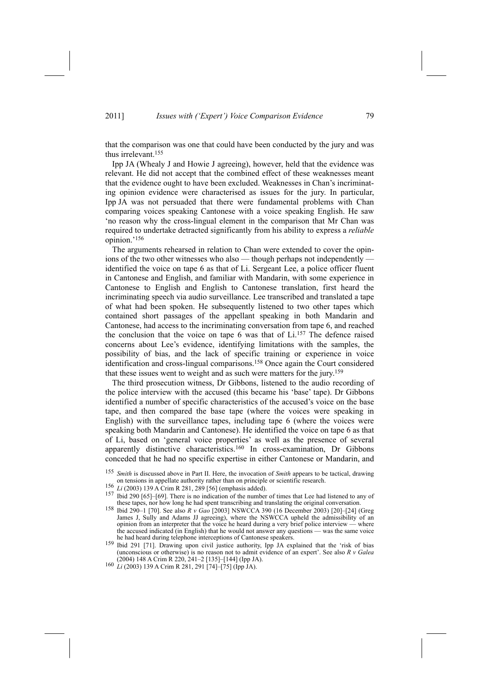that the comparison was one that could have been conducted by the jury and was thus irrelevant.155

Ipp JA (Whealy J and Howie J agreeing), however, held that the evidence was relevant. He did not accept that the combined effect of these weaknesses meant that the evidence ought to have been excluded. Weaknesses in Chan's incriminating opinion evidence were characterised as issues for the jury. In particular, Ipp JA was not persuaded that there were fundamental problems with Chan comparing voices speaking Cantonese with a voice speaking English. He saw 'no reason why the cross-lingual element in the comparison that Mr Chan was required to undertake detracted significantly from his ability to express a *reliable* opinion.'<sup>156</sup>

The arguments rehearsed in relation to Chan were extended to cover the opinions of the two other witnesses who also — though perhaps not independently identified the voice on tape 6 as that of Li. Sergeant Lee, a police officer fluent in Cantonese and English, and familiar with Mandarin, with some experience in Cantonese to English and English to Cantonese translation, first heard the incriminating speech via audio surveillance. Lee transcribed and translated a tape of what had been spoken. He subsequently listened to two other tapes which contained short passages of the appellant speaking in both Mandarin and Cantonese, had access to the incriminating conversation from tape 6, and reached the conclusion that the voice on tape 6 was that of  $Li$ <sup>157</sup> The defence raised concerns about Lee's evidence, identifying limitations with the samples, the possibility of bias, and the lack of specific training or experience in voice identification and cross-lingual comparisons.158 Once again the Court considered that these issues went to weight and as such were matters for the jury.159

The third prosecution witness, Dr Gibbons, listened to the audio recording of the police interview with the accused (this became his 'base' tape). Dr Gibbons identified a number of specific characteristics of the accused's voice on the base tape, and then compared the base tape (where the voices were speaking in English) with the surveillance tapes, including tape 6 (where the voices were speaking both Mandarin and Cantonese). He identified the voice on tape 6 as that of Li, based on 'general voice properties' as well as the presence of several apparently distinctive characteristics.160 In cross-examination, Dr Gibbons conceded that he had no specific expertise in either Cantonese or Mandarin, and

Smith is discussed above in Part II. Here, the invocation of *Smith* appears to be tactical, drawing on tensions in appellate authority rather than on principle or scientific research.

<sup>&</sup>lt;sup>156</sup> *Li* (2003) 139 A Crim R 281, 289 [56] (emphasis added).<br><sup>157</sup> Ibid 290 [65]-[69]. There is no indication of the number of times that Lee had listened to any of these tapes, nor how long he had spent transcribing an

these tapes, nor how long he had spent transcribing and translating the original conversation. 158 Ibid 290n1 [70]. See also *<sup>R</sup> <sup>v</sup> Gao* [2003] NSWCCA 390 (16 December 2003) [20]n[24] (Greg James J, Sully and Adams JJ agreeing), where the NSWCCA upheld the admissibility of an opinion from an interpreter that the voice he heard during a very brief police interview — where the accused indicated (in English) that he would not answer any questions — was the same voice

he had heard during telephone interceptions of Cantonese speakers.<br><sup>159</sup> Ibid 291 [71]. Drawing upon civil justice authority, Ipp JA explained that the 'risk of bias (unconscious or otherwise) is no reason not to admit evidence of an expert'. See also  $R$  *v Galea* (2004) 148 A Crim R 220, 241–2 [135]–[144] (Ipp JA).

<sup>160</sup> *Li* (2003) 139 A Crim R 281, 291 [74] -[75] (Ipp JA).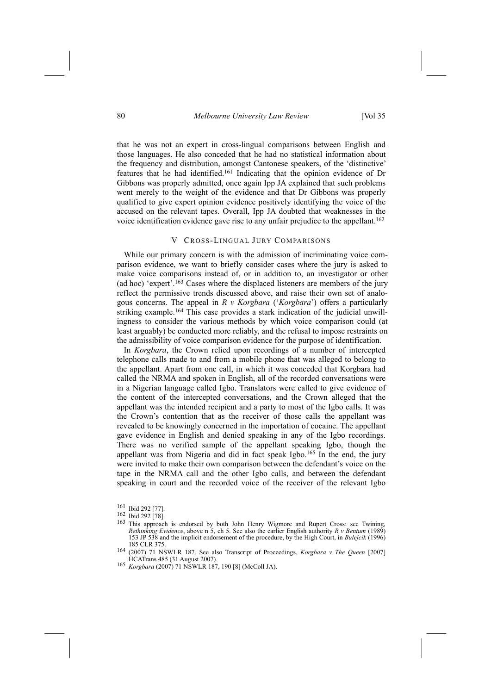that he was not an expert in cross-lingual comparisons between English and those languages. He also conceded that he had no statistical information about the frequency and distribution, amongst Cantonese speakers, of the 'distinctive' features that he had identified.161 Indicating that the opinion evidence of Dr Gibbons was properly admitted, once again Ipp JA explained that such problems went merely to the weight of the evidence and that Dr Gibbons was properly qualified to give expert opinion evidence positively identifying the voice of the accused on the relevant tapes. Overall, Ipp JA doubted that weaknesses in the voice identification evidence gave rise to any unfair prejudice to the appellant.<sup>162</sup>

#### V CROSS-LINGUAL JURY COMPARISONS

While our primary concern is with the admission of incriminating voice comparison evidence, we want to briefly consider cases where the jury is asked to make voice comparisons instead of, or in addition to, an investigator or other (ad hoc) 'expert'.<sup>163</sup> Cases where the displaced listeners are members of the jury reflect the permissive trends discussed above, and raise their own set of analogous concerns. The appeal in  $R \vee K$ orgbara ('Korgbara') offers a particularly striking example.164 This case provides a stark indication of the judicial unwillingness to consider the various methods by which voice comparison could (at least arguably) be conducted more reliably, and the refusal to impose restraints on the admissibility of voice comparison evidence for the purpose of identification.

In *Korgbara*, the Crown relied upon recordings of a number of intercepted telephone calls made to and from a mobile phone that was alleged to belong to the appellant. Apart from one call, in which it was conceded that Korgbara had called the NRMA and spoken in English, all of the recorded conversations were in a Nigerian language called Igbo. Translators were called to give evidence of the content of the intercepted conversations, and the Crown alleged that the appellant was the intended recipient and a party to most of the Igbo calls. It was the Crown's contention that as the receiver of those calls the appellant was revealed to be knowingly concerned in the importation of cocaine. The appellant gave evidence in English and denied speaking in any of the Igbo recordings. There was no verified sample of the appellant speaking Igbo, though the appellant was from Nigeria and did in fact speak Igbo.<sup>165</sup> In the end, the jury were invited to make their own comparison between the defendant's voice on the tape in the NRMA call and the other Igbo calls, and between the defendant speaking in court and the recorded voice of the receiver of the relevant Igbo

<sup>161</sup> Ibid 292 [77].

<sup>162</sup> Ibid 292 [78].

<sup>163</sup> This approach is endorsed by both John Henry Wigmore and Rupert Cross: see Twining, *Rethinking Evidence*, above n 5, ch 5. See also the earlier English authority *R v Bentum* (1989) 153 JP 538 and the implicit endorsement of the procedure, by the High Court, in *Bulejcik* (1996) 185 CLR 375.

<sup>164 (2007) 71</sup> NSWLR 187. See also Transcript of Proceedings, *Korgbara v The Queen* [2007]

<sup>165</sup> Korgbara (2007) 71 NSWLR 187, 190 [8] (McColl JA).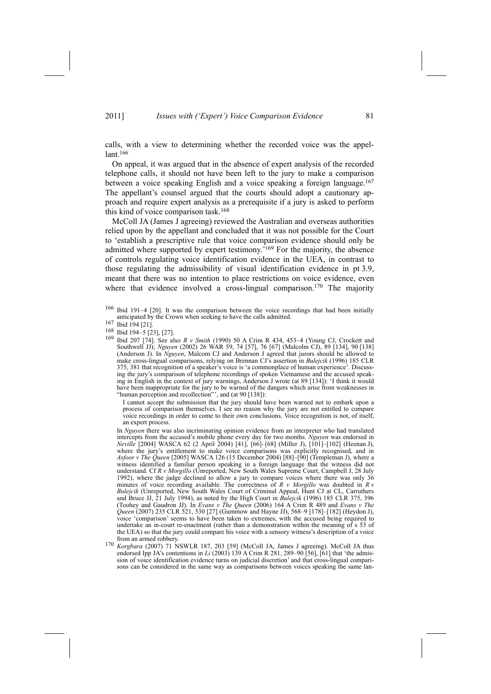calls, with a view to determining whether the recorded voice was the appel $lant.<sup>166</sup>$ 

On appeal, it was argued that in the absence of expert analysis of the recorded telephone calls, it should not have been left to the jury to make a comparison between a voice speaking English and a voice speaking a foreign language.<sup>167</sup> The appellant's counsel argued that the courts should adopt a cautionary approach and require expert analysis as a prerequisite if a jury is asked to perform this kind of voice comparison task.168

McColl JA (James J agreeing) reviewed the Australian and overseas authorities relied upon by the appellant and concluded that it was not possible for the Court to 'establish a prescriptive rule that voice comparison evidence should only be admitted where supported by expert testimony.<sup>7169</sup> For the majority, the absence of controls regulating voice identification evidence in the UEA, in contrast to those regulating the admissibility of visual identification evidence in pt 3.9, meant that there was no intention to place restrictions on voice evidence, even where that evidence involved a cross-lingual comparison.<sup>170</sup> The majority

I cannot accept the submission that the jury should have been warned not to embark upon a process of comparison themselves. I see no reason why the jury are not entitled to compare voice recordings in order to come to their own conclusions. Voice recognition is not, of itself, an expert process.

 In *Nguyen* there was also incriminating opinion evidence from an interpreter who had translated intercepts from the accused's mobile phone every day for two months. *Nguyen* was endorsed in *Neville* [2004] WASCA 62 (2 April 2004) [41], [66]-[68] (Miller J), [101]-[102] (Heenan J), where the jury's entitlement to make voice comparisons was explicitly recognised, and in *Asfoor v The Queen* [2005] WASCA 126 (15 December 2004) [88]-[90] (Templeman J), where a witness identified a familiar person speaking in a foreign language that the witness did not understand. Cf *R v Morgillo* (Unreported, New South Wales Supreme Court, Campbell J, 28 July 1992), where the judge declined to allow a jury to compare voices where there was only 36 minutes of voice recording available. The correctness of *R v Morgillo* was doubted in *R v Bulejcik* (Unreported, New South Wales Court of Criminal Appeal, Hunt CJ at CL, Carruthers and Bruce JJ, 21 July 1994), as noted by the High Court in *Bulejcik* (1996) 185 CLR 375, 396 (Toohey and Gaudron JJ). In *Evans v The Queen* (2006) 164 A Crim R 489 and *Evans v The Queen* (2007) 235 CLR 521, 530 [27] (Gummow and Hayne JJ), 568-9 [178]-[182] (Heydon J), voice 'comparison' seems to have been taken to extremes, with the accused being required to undertake an in-court re-enactment (rather than a demonstration within the meaning of s 53 of the UEA) so that the jury could compare his voice with a sensory witness's description of a voice from an armed robbery

from an armed robbery. 170 *Korgbara* (2007) 71 NSWLR 187, 203 [59] (McColl JA, James J agreeing). McColl JA thus endorsed Ipp JA's contentions in *Li* (2003) 139 A Crim R 281, 289–90 [56], [61] that 'the admission of voice identification evidence turns on judicial discretion' and that cross-lingual comparisons can be considered in the same way as comparisons between voices speaking the same lan-

 $166$  Ibid 191-4 [20]. It was the comparison between the voice recordings that had been initially anticipated by the Crown when seeking to have the calls admitted. 167 Ibid 194 [21].

<sup>168</sup> Ibid 194-5 [23], [27].

<sup>169</sup> Ibid 207 [74]. See also *R v Smith* (1990) 50 A Crim R 434, 453-4 (Young CJ, Crockett and Southwell JJ); *Nguyen* (2002) 26 WAR 59, 74 [57], 76 [67] (Malcolm CJ), 89 [134], 90 [138] (Anderson J). In *Nguyen*, Malcom CJ and Anderson J agreed that jurors should be allowed to make cross-lingual comparisons, relying on Brennan CJ's assertion in *Bulejcik* (1996) 185 CLR 375, 381 that recognition of a speaker's voice is 'a commonplace of human experience'. Discussing the jury's comparison of telephone recordings of spoken Vietnamese and the accused speaking in English in the context of jury warnings, Anderson J wrote (at 89 [134]): 'I think it would have been inappropriate for the jury to be warned of the dangers which arise from weaknesses in "human perception and recollection"", and  $(at 90 [138])$ :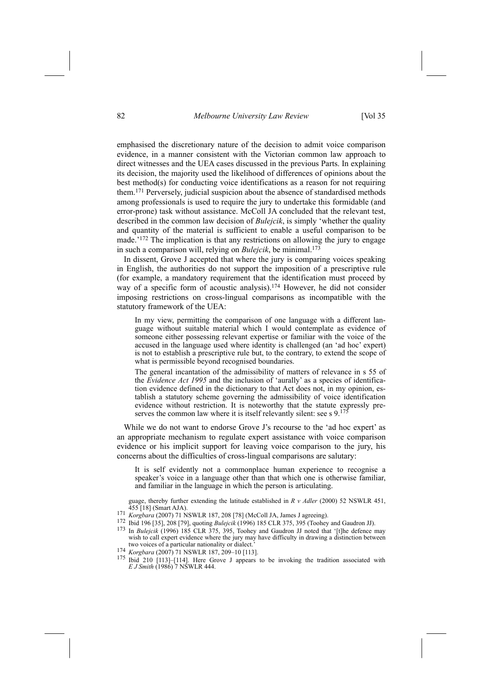emphasised the discretionary nature of the decision to admit voice comparison evidence, in a manner consistent with the Victorian common law approach to direct witnesses and the UEA cases discussed in the previous Parts. In explaining its decision, the majority used the likelihood of differences of opinions about the best method(s) for conducting voice identifications as a reason for not requiring them.171 Perversely, judicial suspicion about the absence of standardised methods among professionals is used to require the jury to undertake this formidable (and error-prone) task without assistance. McColl JA concluded that the relevant test, described in the common law decision of *Bulejcik*, is simply 'whether the quality and quantity of the material is sufficient to enable a useful comparison to be made.<sup>'172</sup> The implication is that any restrictions on allowing the jury to engage in such a comparison will, relying on *Buleicik*, be minimal.<sup>173</sup>

In dissent, Grove J accepted that where the jury is comparing voices speaking in English, the authorities do not support the imposition of a prescriptive rule (for example, a mandatory requirement that the identification must proceed by way of a specific form of acoustic analysis).<sup>174</sup> However, he did not consider imposing restrictions on cross-lingual comparisons as incompatible with the statutory framework of the UEA:

In my view, permitting the comparison of one language with a different language without suitable material which I would contemplate as evidence of someone either possessing relevant expertise or familiar with the voice of the accused in the language used where identity is challenged (an 'ad hoc' expert) is not to establish a prescriptive rule but, to the contrary, to extend the scope of what is permissible beyond recognised boundaries.

The general incantation of the admissibility of matters of relevance in s 55 of the *Evidence Act 1995* and the inclusion of 'aurally' as a species of identification evidence defined in the dictionary to that Act does not, in my opinion, establish a statutory scheme governing the admissibility of voice identification evidence without restriction. It is noteworthy that the statute expressly preserves the common law where it is itself relevantly silent: see s 9.<sup>17</sup>

While we do not want to endorse Grove J's recourse to the 'ad hoc expert' as an appropriate mechanism to regulate expert assistance with voice comparison evidence or his implicit support for leaving voice comparison to the jury, his concerns about the difficulties of cross-lingual comparisons are salutary:

It is self evidently not a commonplace human experience to recognise a speaker's voice in a language other than that which one is otherwise familiar, and familiar in the language in which the person is articulating.

guage, thereby further extending the latitude established in *R v Adler* (2000) 52 NSWLR 451,

- 
- 
- <sup>171</sup> Korgbara (2007) 71 NSWLR 187, 208 [78] (McColl JA, James J agreeing).<br><sup>172</sup> Ibid 196 [35], 208 [79], quoting *Bulejcik* (1996) 185 CLR 375, 395 (Toohey and Gaudron JJ).<br><sup>173</sup> In *Bulejcik* (1996) 185 CLR 375, 395, T wish to call expert evidence where the jury may have difficulty in drawing a distinction between two voices of a particular nationality or dialect.'<br><sup>174</sup> *Korgbara* (2007) 71 NSWLR 187, 209-10 [113].<br><sup>175</sup> Ibid 210 [113]-[114]. Here Grove J appears to be invoking the tradition associated with
- 
- *E J Smith* (1986) 7 NSWLR 444.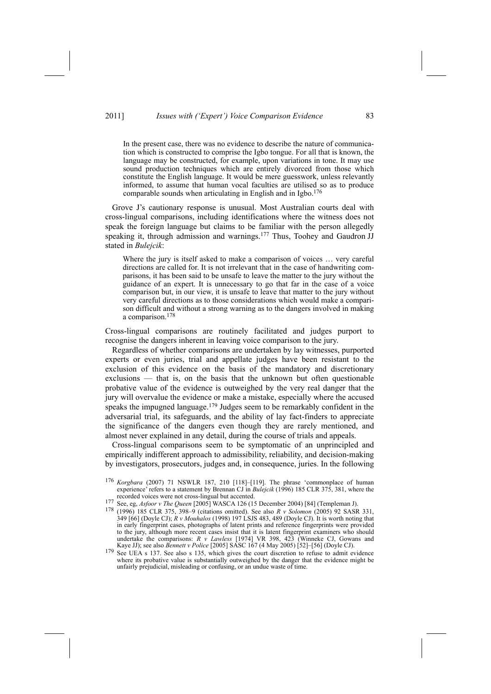In the present case, there was no evidence to describe the nature of communication which is constructed to comprise the Igbo tongue. For all that is known, the language may be constructed, for example, upon variations in tone. It may use sound production techniques which are entirely divorced from those which constitute the English language. It would be mere guesswork, unless relevantly informed, to assume that human vocal faculties are utilised so as to produce comparable sounds when articulating in English and in Igbo.<sup>176</sup>

Grove J's cautionary response is unusual. Most Australian courts deal with cross-lingual comparisons, including identifications where the witness does not speak the foreign language but claims to be familiar with the person allegedly speaking it, through admission and warnings.<sup>177</sup> Thus, Toohey and Gaudron JJ stated in *Bulejcik*:

Where the jury is itself asked to make a comparison of voices  $\ldots$  very careful directions are called for. It is not irrelevant that in the case of handwriting comparisons, it has been said to be unsafe to leave the matter to the jury without the guidance of an expert. It is unnecessary to go that far in the case of a voice comparison but, in our view, it is unsafe to leave that matter to the jury without very careful directions as to those considerations which would make a comparison difficult and without a strong warning as to the dangers involved in making a comparison.<sup>178</sup>

Cross-lingual comparisons are routinely facilitated and judges purport to recognise the dangers inherent in leaving voice comparison to the jury.

Regardless of whether comparisons are undertaken by lay witnesses, purported experts or even juries, trial and appellate judges have been resistant to the exclusion of this evidence on the basis of the mandatory and discretionary exclusions - that is, on the basis that the unknown but often questionable probative value of the evidence is outweighed by the very real danger that the jury will overvalue the evidence or make a mistake, especially where the accused speaks the impugned language.179 Judges seem to be remarkably confident in the adversarial trial, its safeguards, and the ability of lay fact-finders to appreciate the significance of the dangers even though they are rarely mentioned, and almost never explained in any detail, during the course of trials and appeals.

Cross-lingual comparisons seem to be symptomatic of an unprincipled and empirically indifferent approach to admissibility, reliability, and decision-making by investigators, prosecutors, judges and, in consequence, juries. In the following

<sup>&</sup>lt;sup>176</sup> *Korgbara* (2007) 71 NSWLR 187, 210 [118]-[119]. The phrase 'commonplace of human experience' refers to a statement by Brennan CJ in *Bulejcik* (1996) 185 CLR 375, 381, where the recorded voices were not cross-lingual but accented.<br>177 See, eg, Asfoor v The Queen [2005] WASCA 126 (15 December 2004) [84] (Templeman J).

<sup>349 [66] (</sup>Doyle CJ); *R v Mouhalos* (1998) 197 LSJS 483, 489 (Doyle CJ). It is worth noting that in early fingerprint cases, photographs of latent prints and reference fingerprints were provided to the jury, although more recent cases insist that it is latent fingerprint examiners who should undertake the comparisons: *R v Lawless* [1974] VR 398, 423 (Winneke CJ, Gowans and Kaye JJ); see also *Bennett v Police* [2005] SASC 167 (4 May 2005) [52]–[56] (Doyle CJ).

<sup>179</sup> See UEA s 137. See also s 135, which gives the court discretion to refuse to admit evidence where its probative value is substantially outweighed by the danger that the evidence might be unfairly prejudicial, misleading or confusing, or an undue waste of time.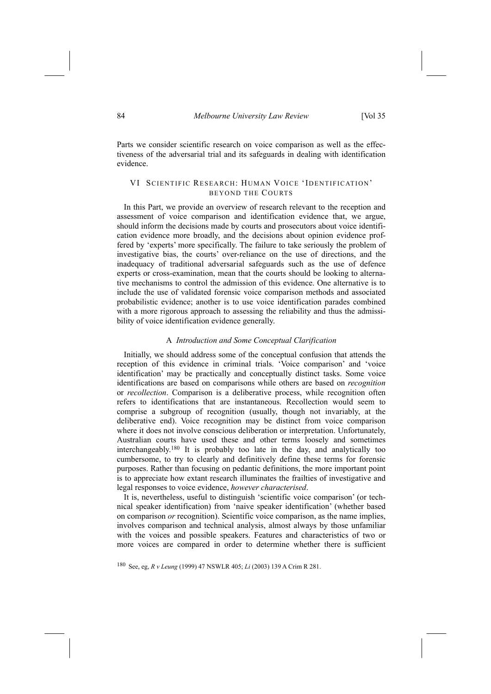Parts we consider scientific research on voice comparison as well as the effectiveness of the adversarial trial and its safeguards in dealing with identification evidence.

# VI SCIENTIFIC RESEARCH: HUMAN VOICE 'IDENTIFICATION' BEYOND THE COURTS

In this Part, we provide an overview of research relevant to the reception and assessment of voice comparison and identification evidence that, we argue, should inform the decisions made by courts and prosecutors about voice identification evidence more broadly, and the decisions about opinion evidence proffered by 'experts' more specifically. The failure to take seriously the problem of investigative bias, the courts' over-reliance on the use of directions, and the inadequacy of traditional adversarial safeguards such as the use of defence experts or cross-examination, mean that the courts should be looking to alternative mechanisms to control the admission of this evidence. One alternative is to include the use of validated forensic voice comparison methods and associated probabilistic evidence; another is to use voice identification parades combined with a more rigorous approach to assessing the reliability and thus the admissibility of voice identification evidence generally.

# A *Introduction and Some Conceptual Clarification*

Initially, we should address some of the conceptual confusion that attends the reception of this evidence in criminal trials. 'Voice comparison' and 'voice identification' may be practically and conceptually distinct tasks. Some voice identifications are based on comparisons while others are based on *recognition* or *recollection*. Comparison is a deliberative process, while recognition often refers to identifications that are instantaneous. Recollection would seem to comprise a subgroup of recognition (usually, though not invariably, at the deliberative end). Voice recognition may be distinct from voice comparison where it does not involve conscious deliberation or interpretation. Unfortunately, Australian courts have used these and other terms loosely and sometimes interchangeably.180 It is probably too late in the day, and analytically too cumbersome, to try to clearly and definitively define these terms for forensic purposes. Rather than focusing on pedantic definitions, the more important point is to appreciate how extant research illuminates the frailties of investigative and legal responses to voice evidence, *however characterised*.

It is, nevertheless, useful to distinguish 'scientific voice comparison' (or technical speaker identification) from 'naive speaker identification' (whether based on comparison *or* recognition). Scientific voice comparison, as the name implies, involves comparison and technical analysis, almost always by those unfamiliar with the voices and possible speakers. Features and characteristics of two or more voices are compared in order to determine whether there is sufficient

180 See, eg, *R v Leung* (1999) 47 NSWLR 405; *Li* (2003) 139 A Crim R 281.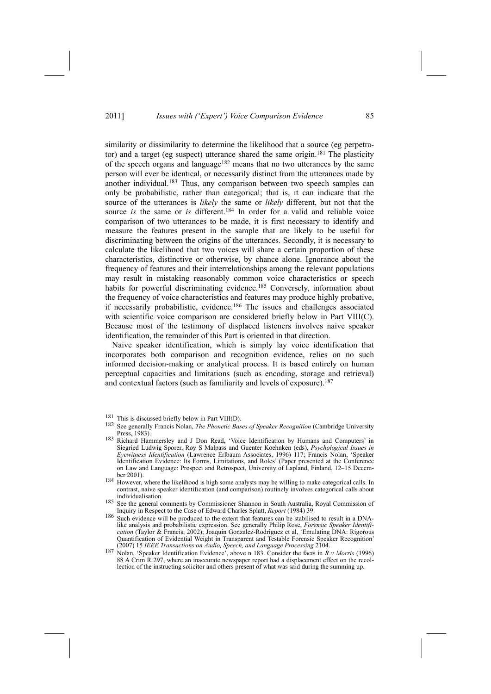similarity or dissimilarity to determine the likelihood that a source (eg perpetrator) and a target (eg suspect) utterance shared the same origin.181 The plasticity of the speech organs and language<sup>182</sup> means that no two utterances by the same person will ever be identical, or necessarily distinct from the utterances made by another individual.<sup>183</sup> Thus, any comparison between two speech samples can only be probabilistic, rather than categorical; that is, it can indicate that the source of the utterances is *likely* the same or *likely* different, but not that the source *is* the same or *is* different.<sup>184</sup> In order for a valid and reliable voice comparison of two utterances to be made, it is first necessary to identify and measure the features present in the sample that are likely to be useful for discriminating between the origins of the utterances. Secondly, it is necessary to calculate the likelihood that two voices will share a certain proportion of these characteristics, distinctive or otherwise, by chance alone. Ignorance about the frequency of features and their interrelationships among the relevant populations may result in mistaking reasonably common voice characteristics or speech habits for powerful discriminating evidence.<sup>185</sup> Conversely, information about the frequency of voice characteristics and features may produce highly probative, if necessarily probabilistic, evidence.186 The issues and challenges associated with scientific voice comparison are considered briefly below in Part VIII(C). Because most of the testimony of displaced listeners involves naive speaker identification, the remainder of this Part is oriented in that direction.

Naive speaker identification, which is simply lay voice identification that incorporates both comparison and recognition evidence, relies on no such informed decision-making or analytical process. It is based entirely on human perceptual capacities and limitations (such as encoding, storage and retrieval) and contextual factors (such as familiarity and levels of exposure).<sup>187</sup>

<sup>181</sup> This is discussed briefly below in Part VIII(D). 182 See generally Francis Nolan, *The Phonetic Bases of Speaker Recognition* (Cambridge University Press, 1983). 183 Richard Hammersley and J Don Read, 'Voice Identification by Humans and Computers' in

Siegried Ludwig Sporer, Roy S Malpass and Guenter Koehnken (eds), *Psychological Issues in Eyewitness Identification* (Lawrence Erlbaum Associates, 1996) 117; Francis Nolan, 'Speaker Identification Evidence: Its Forms, Limitations, and Roles' (Paper presented at the Conference on Law and Language: Prospect and Retrospect, University of Lapland, Finland, 12–15 December 2001).

<sup>184</sup> However, where the likelihood is high some analysts may be willing to make categorical calls. In contrast, naive speaker identification (and comparison) routinely involves categorical calls about individualisation.

<sup>185</sup> See the general comments by Commissioner Shannon in South Australia, Royal Commission of<br>Inquiry in Respect to the Case of Edward Charles Splatt, Report (1984) 39.

Such evidence will be produced to the extent that features can be stabilised to result in a DNAlike analysis and probabilistic expression. See generally Philip Rose, *Forensic Speaker Identification* (Taylor & Francis, 2002); Joaquin Gonzalez-Rodriguez et al, 'Emulating DNA: Rigorous Quantification of Evidential Weight in Transparent and Testable Forensic Speaker Recognition[ (2007) 15 *IEEE Transactions on Audio, Speech, and Language Processing* 2104.

<sup>187</sup> Nolan, 'Speaker Identification Evidence', above n 183. Consider the facts in *R v Morris* (1996) 88 A Crim R 297, where an inaccurate newspaper report had a displacement effect on the recollection of the instructing solicitor and others present of what was said during the summing up.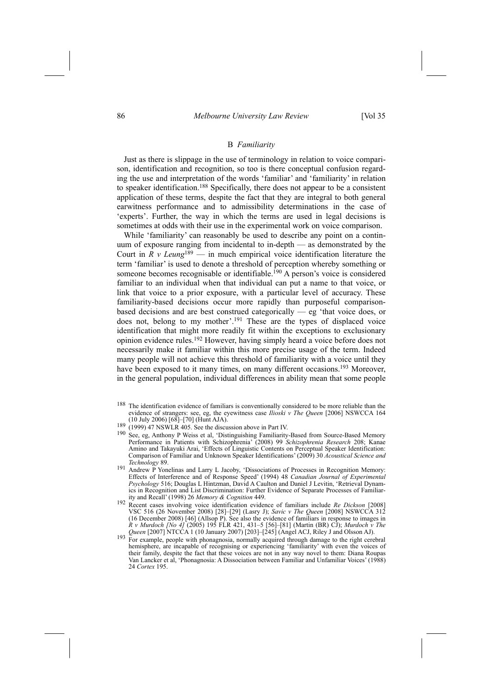## 86 *Melbourne University Law Review* [Vol 35

## B *Familiarity*

Just as there is slippage in the use of terminology in relation to voice comparison, identification and recognition, so too is there conceptual confusion regarding the use and interpretation of the words 'familiar' and 'familiarity' in relation to speaker identification.188 Specifically, there does not appear to be a consistent application of these terms, despite the fact that they are integral to both general earwitness performance and to admissibility determinations in the case of experts'. Further, the way in which the terms are used in legal decisions is sometimes at odds with their use in the experimental work on voice comparison.

While 'familiarity' can reasonably be used to describe any point on a continuum of exposure ranging from incidental to in-depth  $\frac{1}{\sqrt{1-\frac{1}{\sqrt{1-\frac{1}{\sqrt{1-\frac{1}{\sqrt{1-\frac{1}{\sqrt{1-\frac{1}{\sqrt{1-\frac{1}{\sqrt{1-\frac{1}{\sqrt{1-\frac{1}{\sqrt{1-\frac{1}{\sqrt{1-\frac{1}{\sqrt{1-\frac{1}{\sqrt{1-\frac{1}{\sqrt{1-\frac{1}{\sqrt{1-\frac{1}{\sqrt{1-\frac{1}{\sqrt{1-\frac{1}{\sqrt{1-\frac{1}{\sqrt{1-\frac{1}{\$ Court in  $\overline{R}$  *v Leung*<sup>189</sup> – in much empirical voice identification literature the term 'familiar' is used to denote a threshold of perception whereby something or someone becomes recognisable or identifiable.<sup>190</sup> A person's voice is considered familiar to an individual when that individual can put a name to that voice, or link that voice to a prior exposure, with a particular level of accuracy. These familiarity-based decisions occur more rapidly than purposeful comparisonbased decisions and are best construed categorically  $-$  eg 'that voice does, or does not, belong to my mother'.<sup>191</sup> These are the types of displaced voice identification that might more readily fit within the exceptions to exclusionary opinion evidence rules.192 However, having simply heard a voice before does not necessarily make it familiar within this more precise usage of the term. Indeed many people will not achieve this threshold of familiarity with a voice until they have been exposed to it many times, on many different occasions.<sup>193</sup> Moreover, in the general population, individual differences in ability mean that some people

- <sup>188</sup> The identification evidence of familiars is conventionally considered to be more reliable than the evidence of strangers: see, eg, the eyewitness case *Ilioski v The Queen* [2006] NSWCCA 164
- 
- (10 July 2006) [68]–[70] (Hunt AJA). 189 (1999) 47 NSWLR 405. See the discussion above in Part IV. 190 See, eg, Anthony P Weiss et al, 'Distinguishing Familiarity-Based from Source-Based Memory Performance in Patients with Schizophrenia[ (2008) 99 *Schizophrenia Research* 208; Kanae Amino and Takayuki Arai, 'Effects of Linguistic Contents on Perceptual Speaker Identification: Comparison of Familiar and Unknown Speaker Identifications[ (2009) 30 *Acoustical Science and Technology* 89.
- Andrew P Yonelinas and Larry L Jacoby, 'Dissociations of Processes in Recognition Memory: Effects of Interference and of Response Speed' (1994) 48 *Canadian Journal of Experimental* Psychology 516; Douglas L Hintzman, David A Caulton and Daniel J Levitin, 'Retrieval Dynamics in Recognition and List Discrimination: Further Evidence of Separate Processes of Familiarity and Recall' (1998) 26 *Memory & Cognition* 449.
- 192 Recent cases involving voice identification evidence of familiars include *Re Dickson* [2008] VSC 516 (26 November 2008) [28]-[29] (Lasry J); *Savic v* The Queen [2008] NSWCCA 312 (16 December 2008) [46] (Allsop P). See also the evidence of familiars in response to images in *R v Murdoch [No 4]* (2005) 195 FLR 421, 431–5 [56]–[81] (Martin (BR) CJ); *Murdoch v The*
- *Queen* [2007] NTCCA 1 (10 January 2007) [203]-[245] (Angel ACJ, Riley J and Olsson AJ). <sup>193</sup> For example, people with phonagnosia, normally acquired through damage to the right cerebral hemisphere, are incapable of recognising or experiencing 'familiarity' with even the voices of their family, despite the fact that these voices are not in any way novel to them: Diana Roupas Van Lancker et al, 'Phonagnosia: A Dissociation between Familiar and Unfamiliar Voices' (1988) 24 *Cortex* 195.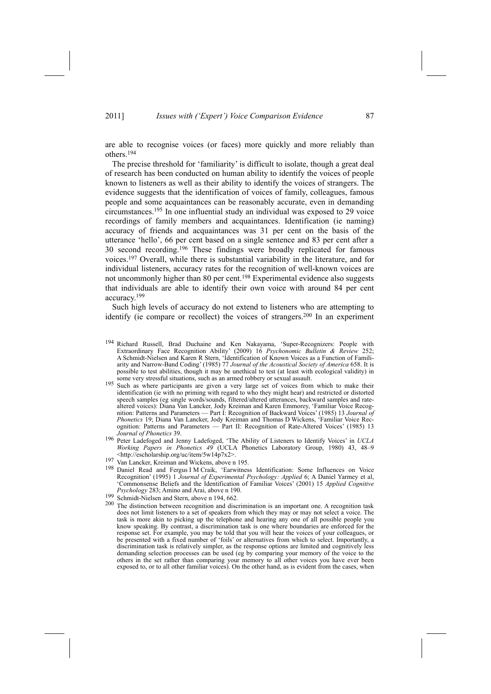are able to recognise voices (or faces) more quickly and more reliably than others.194

The precise threshold for 'familiarity' is difficult to isolate, though a great deal of research has been conducted on human ability to identify the voices of people known to listeners as well as their ability to identify the voices of strangers. The evidence suggests that the identification of voices of family, colleagues, famous people and some acquaintances can be reasonably accurate, even in demanding circumstances.195 In one influential study an individual was exposed to 29 voice recordings of family members and acquaintances. Identification (ie naming) accuracy of friends and acquaintances was 31 per cent on the basis of the utterance 'hello', 66 per cent based on a single sentence and 83 per cent after a 30 second recording.196 These findings were broadly replicated for famous voices.197 Overall, while there is substantial variability in the literature, and for individual listeners, accuracy rates for the recognition of well-known voices are not uncommonly higher than 80 per cent.198 Experimental evidence also suggests that individuals are able to identify their own voice with around 84 per cent accuracy.199

Such high levels of accuracy do not extend to listeners who are attempting to identify (ie compare or recollect) the voices of strangers.200 In an experiment

- <sup>194</sup> Richard Russell, Brad Duchaine and Ken Nakayama, 'Super-Recognizers: People with Extraordinary Face Recognition Ability' (2009) 16 *Psychonomic Bulletin & Review* 252; A Schmidt-Nielsen and Karen R Stern, 'Identification of Known Voices as a Function of Familiarity and Narrow-Band Coding' (1985) 77 *Journal of the Acoustical Society of America* 658. It is possible to test abilities, though it may be unethical to test (at least with ecological validity) in some very stressful situations, such as an armed robbery or sexual assault.<br><sup>195</sup> Such as where participants are given a very large set of voices from which to make their
- identification (ie with no priming with regard to who they might hear) and restricted or distorted speech samples (eg single words/sounds, filtered/altered utterances, backward samples and ratealtered voices): Diana Van Lancker, Jody Kreiman and Karen Emmorey, 'Familiar Voice Recognition: Patterns and Parameters — Part I: Recognition of Backward Voices' (1985) 13 *Journal of Phonetics* 19; Diana Van Lancker, Jody Kreiman and Thomas D Wickens, 'Familiar Voice Recognition: Patterns and Parameters - Part II: Recognition of Rate-Altered Voices' (1985) 13 *Journal of Phonetics* 39.
- 196 Peter Ladefoged and Jenny Ladefoged, 'The Ability of Listeners to Identify Voices' in *UCLA Working Papers in Phonetics*  $49$  (UCLA Phonetics Laboratory Group, 1980) 43, 48-9 <http://escholarship.org/uc/item/5w14p7x2>.
- 197 Van Lancker, Kreiman and Wickens, above n 195.
- <sup>198</sup> Daniel Read and Fergus I M Craik, 'Earwitness Identification: Some Influences on Voice Recognition' (1995) 1 Journal of Experimental Psychology: Applied 6; A Daniel Yarmey et al, ZCommonsense Beliefs and the Identification of Familiar Voices[ (2001) 15 *Applied Cognitive Psychology* 283; Amino and Arai, above n 190.
- 199 Schmidt-Nielsen and Stern, above n 194, 662.
- <sup>200</sup> The distinction between recognition and discrimination is an important one. A recognition task does not limit listeners to a set of speakers from which they may or may not select a voice. The task is more akin to picking up the telephone and hearing any one of all possible people you know speaking. By contrast, a discrimination task is one where boundaries are enforced for the response set. For example, you may be told that you will hear the voices of your colleagues, or be presented with a fixed number of 'foils' or alternatives from which to select. Importantly, a discrimination task is relatively simpler, as the response options are limited and cognitively less demanding selection processes can be used (eg by comparing your memory of the voice to the others in the set rather than comparing your memory to all other voices you have ever been exposed to, or to all other familiar voices). On the other hand, as is evident from the cases, when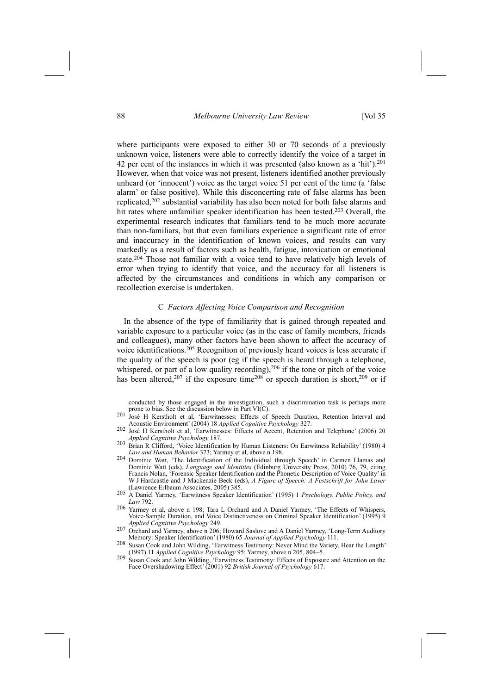where participants were exposed to either 30 or 70 seconds of a previously unknown voice, listeners were able to correctly identify the voice of a target in 42 per cent of the instances in which it was presented (also known as a 'hit').<sup>201</sup> However, when that voice was not present, listeners identified another previously unheard (or  $\hat{}$  innocent $\hat{}$ ) voice as the target voice 51 per cent of the time (a  $\hat{}$ false alarm' or false positive). While this disconcerting rate of false alarms has been replicated,202 substantial variability has also been noted for both false alarms and hit rates where unfamiliar speaker identification has been tested.<sup>203</sup> Overall, the experimental research indicates that familiars tend to be much more accurate than non-familiars, but that even familiars experience a significant rate of error and inaccuracy in the identification of known voices, and results can vary markedly as a result of factors such as health, fatigue, intoxication or emotional state.204 Those not familiar with a voice tend to have relatively high levels of error when trying to identify that voice, and the accuracy for all listeners is affected by the circumstances and conditions in which any comparison or recollection exercise is undertaken.

#### C *Factors Affecting Voice Comparison and Recognition*

In the absence of the type of familiarity that is gained through repeated and variable exposure to a particular voice (as in the case of family members, friends and colleagues), many other factors have been shown to affect the accuracy of voice identifications.205 Recognition of previously heard voices is less accurate if the quality of the speech is poor (eg if the speech is heard through a telephone, whispered, or part of a low quality recording),<sup>206</sup> if the tone or pitch of the voice has been altered,<sup>207</sup> if the exposure time<sup>208</sup> or speech duration is short,<sup>209</sup> or if

conducted by those engaged in the investigation, such a discrimination task is perhaps more prone to bias. See the discussion below in Part VI(C).

- José H Kerstholt et al, 'Earwitnesses: Effects of Speech Duration, Retention Interval and Acoustic Environment' (2004) 18 *Applied Cognitive Psychology* 327.
- 202 José H Kerstholt et al, 'Earwitnesses: Effects of Accent, Retention and Telephone' (2006) 20 *Applied Cognitive Psychology* 187.
- <sup>203</sup> Brian R Clifford, 'Voice Identification by Human Listeners: On Earwitness Reliability' (1980) 4<br>*Law and Human Behavior* 373; Yarmey et al, above n 198.
- 204 Dominic Watt, 'The Identification of the Individual through Speech' in Carmen Llamas and Dominic Watt (eds), *Language and Identities* (Edinburg University Press, 2010) 76, 79, citing Francis Nolan, 'Forensic Speaker Identification and the Phonetic Description of Voice Quality' in W J Hardcastle and J Mackenzie Beck (eds), *A Figure of Speech: A Festschrift for John Laver*
- (Lawrence Erlbaum Associates, 2005) 385. 205 A Daniel Yarmey, ZEarwitness Speaker Identification[ (1995) 1 *Psychology, Public Policy, and Law* 792.
- $206$  Yarmey et al, above n 198; Tara L Orchard and A Daniel Yarmey, 'The Effects of Whispers, Voice-Sample Duration, and Voice Distinctiveness on Criminal Speaker Identification' (1995) 9 *Applied Cognitive Psychology* 249.
- 207 Orchard and Yarmey, above n 206; Howard Saslove and A Daniel Yarmey, 'Long-Term Auditory Memory: Speaker Identification[ (1980) 65 *Journal of Applied Psychology* 111.
- 208 Susan Cook and John Wilding, 'Earwitness Testimony: Never Mind the Variety, Hear the Length<sup>1</sup> (1997) 11 *Applied Cognitive Psychology* 95; Yarmey, above n 205, 804–5. (1997) 11 *Applied Cognitive Psychology* 95; Yarmey, above n 205, 804–5.<br><sup>209</sup> Susan Cook and John Wilding, 'Earwitness Testimony: Effects of Exposure and Attention on the
- Face Overshadowing Effect[ (2001) 92 *British Journal of Psychology* 617.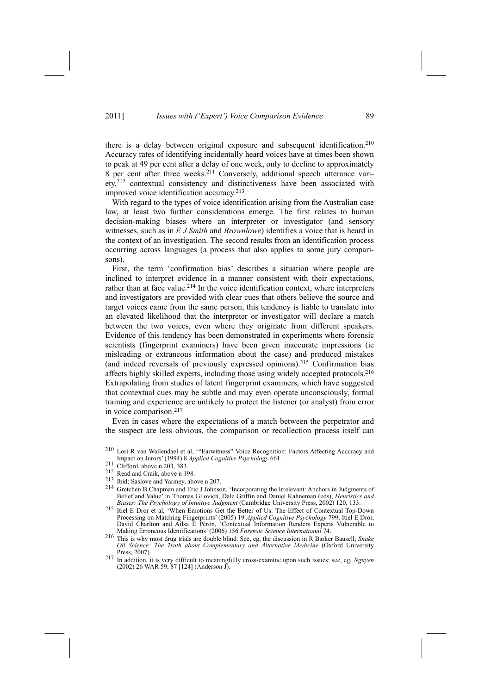there is a delay between original exposure and subsequent identification.<sup>210</sup> Accuracy rates of identifying incidentally heard voices have at times been shown to peak at 49 per cent after a delay of one week, only to decline to approximately 8 per cent after three weeks.211 Conversely, additional speech utterance variety,212 contextual consistency and distinctiveness have been associated with improved voice identification accuracy.213

With regard to the types of voice identification arising from the Australian case law, at least two further considerations emerge. The first relates to human decision-making biases where an interpreter or investigator (and sensory witnesses, such as in *E J Smith* and *Brownlowe*) identifies a voice that is heard in the context of an investigation. The second results from an identification process occurring across languages (a process that also applies to some jury comparisons).

First, the term 'confirmation bias' describes a situation where people are inclined to interpret evidence in a manner consistent with their expectations, rather than at face value.<sup>214</sup> In the voice identification context, where interpreters and investigators are provided with clear cues that others believe the source and target voices came from the same person, this tendency is liable to translate into an elevated likelihood that the interpreter or investigator will declare a match between the two voices, even where they originate from different speakers. Evidence of this tendency has been demonstrated in experiments where forensic scientists (fingerprint examiners) have been given inaccurate impressions (ie misleading or extraneous information about the case) and produced mistakes (and indeed reversals of previously expressed opinions).215 Confirmation bias affects highly skilled experts, including those using widely accepted protocols.216 Extrapolating from studies of latent fingerprint examiners, which have suggested that contextual cues may be subtle and may even operate unconsciously, formal training and experience are unlikely to protect the listener (or analyst) from error in voice comparison.217

Even in cases where the expectations of a match between the perpetrator and the suspect are less obvious, the comparison or recollection process itself can

- 
- 212 Read and Craik, above n 198.<br>
<sup>213</sup> Ibid: Saslove and Yarmey, above n 207.
- 214 Gretchen B Chapman and Eric J Johnson, 'Incorporating the Irrelevant: Anchors in Judgments of Belief and Value' in Thomas Gilovich, Dale Griffin and Daniel Kahneman (eds), *Heuristics and Biases: The Psychology of Intuitive Judgment* (Cambridge University Press, 2002) 120, 133.
- 215 Itiel E Dror et al. 'When Emotions Get the Better of Us: The Effect of Contextual Top-Down Processing on Matching Fingerprints' (2005) 19 *Applied Cognitive Psychology* 799; Itiel E Dror, David Charlton and Ailsa E Péron, 'Contextual Information Renders Experts Vulnerable to Making Erroneous Identifications[ (2006) 156 *Forensic Science International* 74.
- 216 This is why most drug trials are double blind. See, eg, the discussion in R Barker Bausell, *Snake Oil Science: The Truth about Complementary and Alternative Medicine* (Oxford University
- <sup>217</sup> In addition, it is very difficult to meaningfully cross-examine upon such issues: see, eg, *Nguyen* (2002) 26 WAR 59, 87 [124] (Anderson J).

<sup>&</sup>lt;sup>210</sup> Lori R van Wallendael et al, "Earwitness" Voice Recognition: Factors Affecting Accuracy and Impact on Jurors[ (1994) 8 *Applied Cognitive Psychology* 661.

<sup>211</sup> Clifford, above n 203, 383.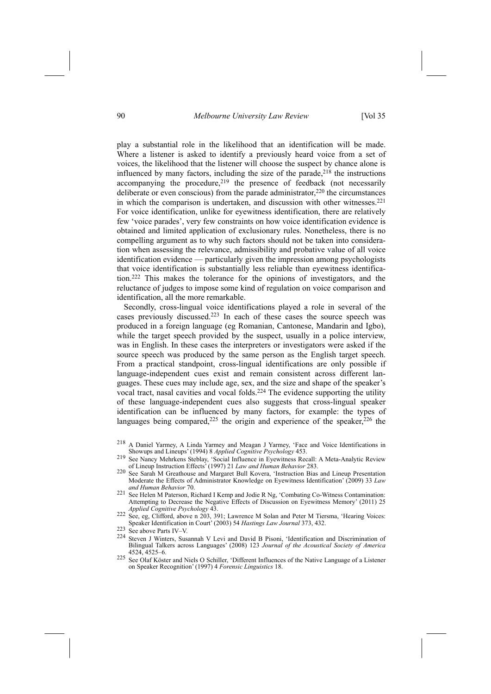90 *Melbourne University Law Review* [Vol 35

play a substantial role in the likelihood that an identification will be made. Where a listener is asked to identify a previously heard voice from a set of voices, the likelihood that the listener will choose the suspect by chance alone is influenced by many factors, including the size of the parade, $218$  the instructions accompanying the procedure, $2^{19}$  the presence of feedback (not necessarily deliberate or even conscious) from the parade administrator, $220$  the circumstances in which the comparison is undertaken, and discussion with other witnesses.221 For voice identification, unlike for eyewitness identification, there are relatively few 'voice parades', very few constraints on how voice identification evidence is obtained and limited application of exclusionary rules. Nonetheless, there is no compelling argument as to why such factors should not be taken into consideration when assessing the relevance, admissibility and probative value of all voice identification evidence — particularly given the impression among psychologists that voice identification is substantially less reliable than eyewitness identification.222 This makes the tolerance for the opinions of investigators, and the reluctance of judges to impose some kind of regulation on voice comparison and identification, all the more remarkable.

Secondly, cross-lingual voice identifications played a role in several of the cases previously discussed.223 In each of these cases the source speech was produced in a foreign language (eg Romanian, Cantonese, Mandarin and Igbo), while the target speech provided by the suspect, usually in a police interview, was in English. In these cases the interpreters or investigators were asked if the source speech was produced by the same person as the English target speech. From a practical standpoint, cross-lingual identifications are only possible if language-independent cues exist and remain consistent across different languages. These cues may include age, sex, and the size and shape of the speaker's vocal tract, nasal cavities and vocal folds.224 The evidence supporting the utility of these language-independent cues also suggests that cross-lingual speaker identification can be influenced by many factors, for example: the types of languages being compared, $225$  the origin and experience of the speaker, $226$  the

- <sup>221</sup> See Helen M Paterson, Richard I Kemp and Jodie R Ng, 'Combating Co-Witness Contamination: Attempting to Decrease the Negative Effects of Discussion on Eyewitness Memory' (2011) 25 *Applied Cognitive Psychology* 43.
- 222 See, eg, Clifford, above n 203, 391; Lawrence M Solan and Peter M Tiersma, 'Hearing Voices: Speaker Identification in Court[ (2003) 54 *Hastings Law Journal* 373, 432.

- Steven J Winters, Susannah V Levi and David B Pisoni, 'Identification and Discrimination of Bilingual Talkers across Languages[ (2008) 123 *Journal of the Acoustical Society of America* 4525-6.
- <sup>225</sup> See Olaf Köster and Niels O Schiller, 'Different Influences of the Native Language of a Listener on Speaker Recognition[ (1997) 4 *Forensic Linguistics* 18.

<sup>&</sup>lt;sup>218</sup> A Daniel Yarmey, A Linda Yarmey and Meagan J Yarmey, 'Face and Voice Identifications in Showups and Lineups[ (1994) 8 *Applied Cognitive Psychology* 453.

<sup>&</sup>lt;sup>219</sup> See Nancy Mehrkens Steblay, 'Social Influence in Eyewitness Recall: A Meta-Analytic Review of Lineup Instruction Effects[ (1997) 21 *Law and Human Behavior* 283.

<sup>&</sup>lt;sup>220</sup> See Sarah M Greathouse and Margaret Bull Kovera, 'Instruction Bias and Lineup Presentation Moderate the Effects of Administrator Knowledge on Eyewitness Identification<sup>'</sup> (2009) 33 *Law and Human Behavior* 70.

 $223$  See above Parts IV-V.<br>224 Stoven J Winters, Sup.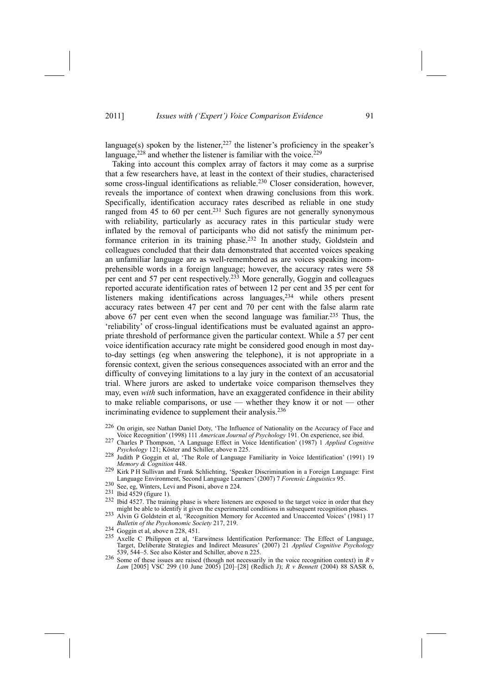language(s) spoken by the listener,  $227$  the listener's proficiency in the speaker's language,  $228$  and whether the listener is familiar with the voice.  $229$ 

Taking into account this complex array of factors it may come as a surprise that a few researchers have, at least in the context of their studies, characterised some cross-lingual identifications as reliable.<sup>230</sup> Closer consideration, however, reveals the importance of context when drawing conclusions from this work. Specifically, identification accuracy rates described as reliable in one study ranged from 45 to 60 per cent.<sup>231</sup> Such figures are not generally synonymous with reliability, particularly as accuracy rates in this particular study were inflated by the removal of participants who did not satisfy the minimum performance criterion in its training phase.232 In another study, Goldstein and colleagues concluded that their data demonstrated that accented voices speaking an unfamiliar language are as well-remembered as are voices speaking incomprehensible words in a foreign language; however, the accuracy rates were 58 per cent and 57 per cent respectively.233 More generally, Goggin and colleagues reported accurate identification rates of between 12 per cent and 35 per cent for listeners making identifications across languages,<sup>234</sup> while others present accuracy rates between 47 per cent and 70 per cent with the false alarm rate above 67 per cent even when the second language was familiar.235 Thus, the reliability' of cross-lingual identifications must be evaluated against an appropriate threshold of performance given the particular context. While a 57 per cent voice identification accuracy rate might be considered good enough in most dayto-day settings (eg when answering the telephone), it is not appropriate in a forensic context, given the serious consequences associated with an error and the difficulty of conveying limitations to a lay jury in the context of an accusatorial trial. Where jurors are asked to undertake voice comparison themselves they may, even *with* such information, have an exaggerated confidence in their ability to make reliable comparisons, or use  $\frac{d}{dx}$  whether they know it or not  $\frac{d}{dx}$  other incriminating evidence to supplement their analysis.<sup>236</sup>

- <sup>226</sup> On origin, see Nathan Daniel Doty, 'The Influence of Nationality on the Accuracy of Face and Voice Recognition' (1998) 111 *American Journal of Psychology* 191. On experience, see ibid.
- 227 Charles P Thompson, 'A Language Effect in Voice Identification' (1987) 1 Applied Cognitive *Psychology* 121; Köster and Schiller, above n 225.
- <sup>228</sup> Judith P Goggin et al, 'The Role of Language Familiarity in Voice Identification' (1991) 19 *Memory & Cognition* 448.
- 229 Kirk P H Sullivan and Frank Schlichting, 'Speaker Discrimination in a Foreign Language: First Language Environment, Second Language Learners' (2007) 7 *Forensic Linguistics* 95.<br>
230 See, eg, Winters, Levi and Pisoni, above n 224.
- 
- 
- 231 Ibid 4529 (figure 1).<br>
<sup>232</sup> Ibid 4527. The training phase is where listeners are exposed to the target voice in order that they might be able to identify it given the experimental conditions in subsequent recognition
- 233 Alvin G Goldstein et al, 'Recognition Memory for Accented and Unaccented Voices' (1981) 17 *Bulletin of the Psychonomic Society* 217, 219.<br><sup>234</sup> Goggin et al, above n 228, 451.
- 
- Axelle C Philippon et al, 'Earwitness Identification Performance: The Effect of Language, Target, Deliberate Strategies and Indirect Measures[ (2007) 21 *Applied Cognitive Psychology* 539, 544–5. See also Köster and Schiller, above n 225.
- 236 Some of these issues are raised (though not necessarily in the voice recognition context) in *R v Lam* [2005] VSC 299 (10 June 2005) [20]-[28] (Redlich J); *R v Bennett* (2004) 88 SASR 6,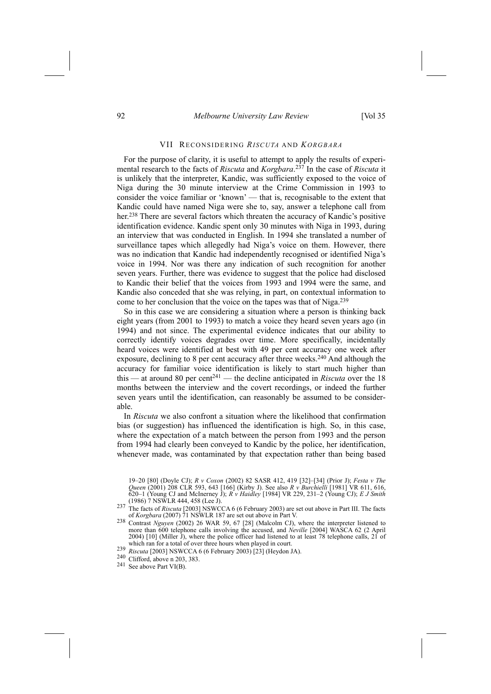# 92 *Melbourne University Law Review* [Vol 35

#### VII RECONSIDERING *RISCUTA* AND *KORGBARA*

For the purpose of clarity, it is useful to attempt to apply the results of experimental research to the facts of *Riscuta* and *Korgbara*. 237 In the case of *Riscuta* it is unlikely that the interpreter, Kandic, was sufficiently exposed to the voice of Niga during the 30 minute interview at the Crime Commission in 1993 to consider the voice familiar or 'known' — that is, recognisable to the extent that Kandic could have named Niga were she to, say, answer a telephone call from her.<sup>238</sup> There are several factors which threaten the accuracy of Kandic's positive identification evidence. Kandic spent only 30 minutes with Niga in 1993, during an interview that was conducted in English. In 1994 she translated a number of surveillance tapes which allegedly had Niga's voice on them. However, there was no indication that Kandic had independently recognised or identified Niga's voice in 1994. Nor was there any indication of such recognition for another seven years. Further, there was evidence to suggest that the police had disclosed to Kandic their belief that the voices from 1993 and 1994 were the same, and Kandic also conceded that she was relying, in part, on contextual information to come to her conclusion that the voice on the tapes was that of Niga.239

So in this case we are considering a situation where a person is thinking back eight years (from 2001 to 1993) to match a voice they heard seven years ago (in 1994) and not since. The experimental evidence indicates that our ability to correctly identify voices degrades over time. More specifically, incidentally heard voices were identified at best with 49 per cent accuracy one week after exposure, declining to 8 per cent accuracy after three weeks.<sup>240</sup> And although the accuracy for familiar voice identification is likely to start much higher than this  $-$  at around 80 per cent<sup>241</sup>  $-$  the decline anticipated in *Riscuta* over the 18 months between the interview and the covert recordings, or indeed the further seven years until the identification, can reasonably be assumed to be considerable.

In *Riscuta* we also confront a situation where the likelihood that confirmation bias (or suggestion) has influenced the identification is high. So, in this case, where the expectation of a match between the person from 1993 and the person from 1994 had clearly been conveyed to Kandic by the police, her identification, whenever made, was contaminated by that expectation rather than being based

<sup>19-20 [80] (</sup>Doyle CJ);  $R$  *v Coxon* (2002) 82 SASR 412, 419 [32]-[34] (Prior J); *Festa v The Queen* (2001) 208 CLR 593, 643 [166] (Kirby J). See also *R v Burchielli* [1981] VR 611, 616, 620–1 (Young CJ and McInerney J);  $\overrightarrow{R}$  *v Haidley* [1984] VR 229, 231–2 (Young CJ); *E J Smith* (1986) 7 NSWLR 444, 458 (Lee J).

The facts of *Riscuta* [2003] NSWCCA 6 (6 February 2003) are set out above in Part III. The facts of *Korgbara* (2007) 71 NSWLR 187 are set out above in Part V.

of *Korgbara* (2007) 71 NSWLR 187 are set out above in Part V. 238 Contrast *Nguyen* (2002) 26 WAR 59, 67 [28] (Malcolm CJ), where the interpreter listened to more than 600 telephone calls involving the accused, and *Neville* [2004] WASCA 62 (2 April 2004) [10] (Miller J), where the police officer had listened to at least  $78'$  telephone calls,  $21'$  of which ran for a total of over three hours when played in court.

<sup>&</sup>lt;sup>239</sup> *Riscuta* [2003] NSWCCA 6 (6 February 2003) [23] (Heydon JA). <sup>240</sup> Clifford, above n 203, 383.

<sup>241</sup> See above Part VI(B).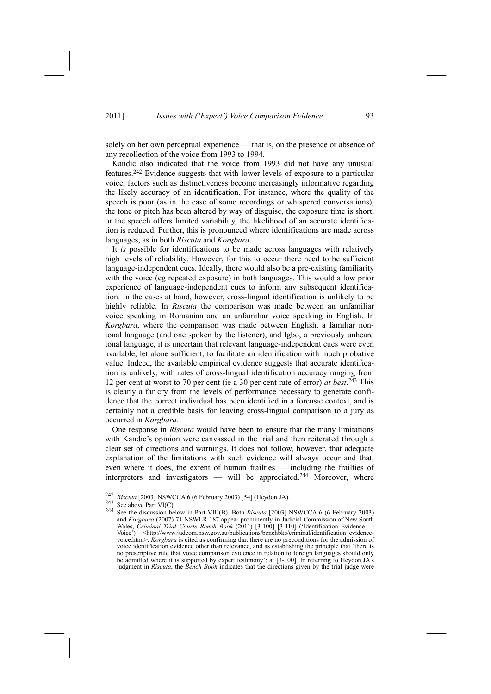solely on her own perceptual experience — that is, on the presence or absence of any recollection of the voice from 1993 to 1994.

Kandic also indicated that the voice from 1993 did not have any unusual features.242 Evidence suggests that with lower levels of exposure to a particular voice, factors such as distinctiveness become increasingly informative regarding the likely accuracy of an identification. For instance, where the quality of the speech is poor (as in the case of some recordings or whispered conversations), the tone or pitch has been altered by way of disguise, the exposure time is short, or the speech offers limited variability, the likelihood of an accurate identification is reduced. Further, this is pronounced where identifications are made across languages, as in both *Riscuta* and *Korgbara*.

It *is* possible for identifications to be made across languages with relatively high levels of reliability. However, for this to occur there need to be sufficient language-independent cues. Ideally, there would also be a pre-existing familiarity with the voice (eg repeated exposure) in both languages. This would allow prior experience of language-independent cues to inform any subsequent identification. In the cases at hand, however, cross-lingual identification is unlikely to be highly reliable. In *Riscuta* the comparison was made between an unfamiliar voice speaking in Romanian and an unfamiliar voice speaking in English. In *Korgbara*, where the comparison was made between English, a familiar nontonal language (and one spoken by the listener), and Igbo, a previously unheard tonal language, it is uncertain that relevant language-independent cues were even available, let alone sufficient, to facilitate an identification with much probative value. Indeed, the available empirical evidence suggests that accurate identification is unlikely, with rates of cross-lingual identification accuracy ranging from 12 per cent at worst to 70 per cent (ie a 30 per cent rate of error) *at best*. 243 This is clearly a far cry from the levels of performance necessary to generate confidence that the correct individual has been identified in a forensic context, and is certainly not a credible basis for leaving cross-lingual comparison to a jury as occurred in *Korgbara*.

One response in *Riscuta* would have been to ensure that the many limitations with Kandic's opinion were canvassed in the trial and then reiterated through a clear set of directions and warnings. It does not follow, however, that adequate explanation of the limitations with such evidence will always occur and that, even where it does, the extent of human frailties - including the frailties of interpreters and investigators — will be appreciated.<sup>244</sup> Moreover, where

<sup>242</sup> *Riscuta* [2003] NSWCCA 6 (6 February 2003) [54] (Heydon JA). 243 See above Part VI(C). 244 See the discussion below in Part VIII(B). Both *Riscuta* [2003] NSWCCA 6 (6 February 2003) and *Korgbara* (2007) 71 NSWLR 187 appear prominently in Judicial Commission of New South Wales, *Criminal Trial Courts Bench Book* (2011) [3-100]-[3-110] ('Identification Evidence Voice') <http://www.judcom.nsw.gov.au/publications/benchbks/criminal/identification\_evidencevoice.html>. *Korgbara* is cited as confirming that there are no preconditions for the admission of voice identification evidence other than relevance, and as establishing the principle that 'there is no prescriptive rule that voice comparison evidence in relation to foreign languages should only be admitted where it is supported by expert testimony: at  $[3-100]$ . In referring to Heydon JA's judgment in *Riscuta*, the *Bench Book* indicates that the directions given by the trial judge were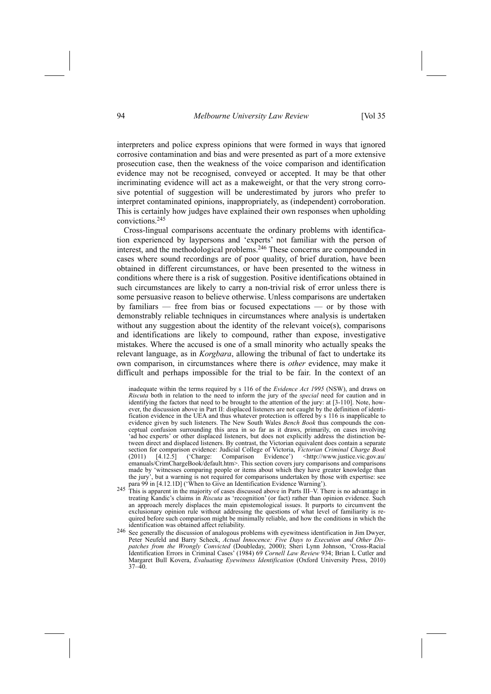interpreters and police express opinions that were formed in ways that ignored corrosive contamination and bias and were presented as part of a more extensive prosecution case, then the weakness of the voice comparison and identification evidence may not be recognised, conveyed or accepted. It may be that other incriminating evidence will act as a makeweight, or that the very strong corrosive potential of suggestion will be underestimated by jurors who prefer to interpret contaminated opinions, inappropriately, as (independent) corroboration. This is certainly how judges have explained their own responses when upholding convictions.245

Cross-lingual comparisons accentuate the ordinary problems with identification experienced by laypersons and 'experts' not familiar with the person of interest, and the methodological problems.246 These concerns are compounded in cases where sound recordings are of poor quality, of brief duration, have been obtained in different circumstances, or have been presented to the witness in conditions where there is a risk of suggestion. Positive identifications obtained in such circumstances are likely to carry a non-trivial risk of error unless there is some persuasive reason to believe otherwise. Unless comparisons are undertaken by familiars  $-$  free from bias or focused expectations  $-$  or by those with demonstrably reliable techniques in circumstances where analysis is undertaken without any suggestion about the identity of the relevant voice $(s)$ , comparisons and identifications are likely to compound, rather than expose, investigative mistakes. Where the accused is one of a small minority who actually speaks the relevant language, as in *Korgbara*, allowing the tribunal of fact to undertake its own comparison, in circumstances where there is *other* evidence, may make it difficult and perhaps impossible for the trial to be fair. In the context of an

inadequate within the terms required by s 116 of the *Evidence Act 1995* (NSW), and draws on *Riscuta* both in relation to the need to inform the jury of the *special* need for caution and in identifying the factors that need to be brought to the attention of the jury: at [3-110]. Note, however, the discussion above in Part II: displaced listeners are not caught by the definition of identification evidence in the UEA and thus whatever protection is offered by s 116 is inapplicable to evidence given by such listeners. The New South Wales *Bench Book* thus compounds the conceptual confusion surrounding this area in so far as it draws, primarily, on cases involving 'ad hoc experts' or other displaced listeners, but does not explicitly address the distinction between direct and displaced listeners. By contrast, the Victorian equivalent does contain a separate section for comparison evidence: Judicial College of Victoria, *Victorian Criminal Charge Book*  $(2011)$   $[4.12.5]$   $(^\circ$ Charge: Comparison Evidence')  $\lt$ http://www.justice.vic.gov.au/ emanuals/CrimChargeBook/default.htm>. This section covers jury comparisons and comparisons made by 'witnesses comparing people or items about which they have greater knowledge than the jury', but a warning is not required for comparisons undertaken by those with expertise: see<br>para 99 in [4.12.1D] ('When to Give an Identification Evidence Warning').

- 245 This is apparent in the majority of cases discussed above in Parts III–V. There is no advantage in treating Kandic's claims in *Riscuta* as 'recognition' (or fact) rather than opinion evidence. Such an approach merely displaces the main epistemological issues. It purports to circumvent the exclusionary opinion rule without addressing the questions of what level of familiarity is required before such comparison might be minimally reliable, and how the conditions in which the
- identification was obtained affect reliability.<br><sup>246</sup> See generally the discussion of analogous problems with eyewitness identification in Jim Dwyer, Peter Neufeld and Barry Scheck, *Actual Innocence: Five Days to Execution and Other Dispatches from the Wrongly Convicted* (Doubleday, 2000); Sheri Lynn Johnson, 'Cross-Racial Identification Errors in Criminal Cases' (1984) 69 *Cornell Law Review* 934; Brian L Cutler and Margaret Bull Kovera, *Evaluating Eyewitness Identification* (Oxford University Press, 2010)  $37 - 40$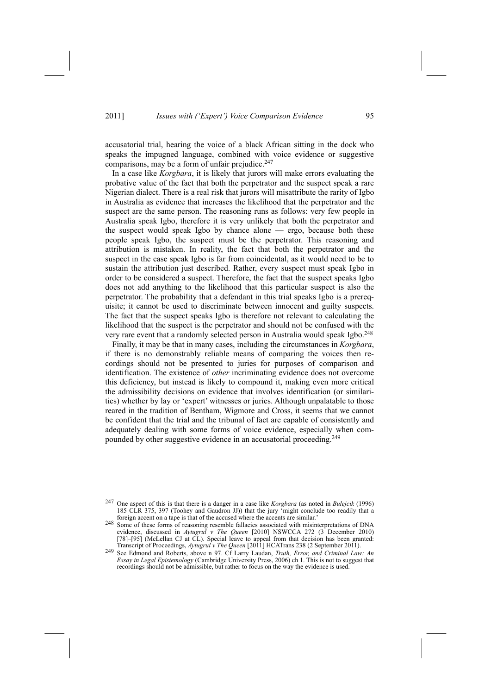accusatorial trial, hearing the voice of a black African sitting in the dock who speaks the impugned language, combined with voice evidence or suggestive comparisons, may be a form of unfair prejudice. $247$ 

In a case like *Korgbara*, it is likely that jurors will make errors evaluating the probative value of the fact that both the perpetrator and the suspect speak a rare Nigerian dialect. There is a real risk that jurors will misattribute the rarity of Igbo in Australia as evidence that increases the likelihood that the perpetrator and the suspect are the same person. The reasoning runs as follows: very few people in Australia speak Igbo, therefore it is very unlikely that both the perpetrator and the suspect would speak Igbo by chance alone  $-$  ergo, because both these people speak Igbo, the suspect must be the perpetrator. This reasoning and attribution is mistaken. In reality, the fact that both the perpetrator and the suspect in the case speak Igbo is far from coincidental, as it would need to be to sustain the attribution just described. Rather, every suspect must speak Igbo in order to be considered a suspect. Therefore, the fact that the suspect speaks Igbo does not add anything to the likelihood that this particular suspect is also the perpetrator. The probability that a defendant in this trial speaks Igbo is a prerequisite; it cannot be used to discriminate between innocent and guilty suspects. The fact that the suspect speaks Igbo is therefore not relevant to calculating the likelihood that the suspect is the perpetrator and should not be confused with the very rare event that a randomly selected person in Australia would speak Igbo.248

Finally, it may be that in many cases, including the circumstances in *Korgbara*, if there is no demonstrably reliable means of comparing the voices then recordings should not be presented to juries for purposes of comparison and identification. The existence of *other* incriminating evidence does not overcome this deficiency, but instead is likely to compound it, making even more critical the admissibility decisions on evidence that involves identification (or similarities) whether by lay or 'expert' witnesses or juries. Although unpalatable to those reared in the tradition of Bentham, Wigmore and Cross, it seems that we cannot be confident that the trial and the tribunal of fact are capable of consistently and adequately dealing with some forms of voice evidence, especially when compounded by other suggestive evidence in an accusatorial proceeding.249

<sup>247</sup> One aspect of this is that there is a danger in a case like *Korgbara* (as noted in *Bulejcik* (1996) 185 CLR 375, 397 (Toohey and Gaudron JJ)) that the jury  $\frac{1}{2}$  might conclude too readily that a foreign accent on a tape is that of the accused where the accents are similar.

foreign accent on a tape is that of the accused where the accents are similar.[ 248 Some of these forms of reasoning resemble fallacies associated with misinterpretations of DNA evidence, discussed in *Aytugrul v The Queen* [2010] NSWCCA 272 (3 December 2010) [78]–[95] (McLellan CJ at CL). Special leave to appeal from that decision has been granted: Transcript of Proceedings, Aytugrul v The Queen [2011] HCATrans 238 (2 September 2011).

Transcript of Proceedings, Aytugrul v The Queen [2011] HCATrans 238 (2 September 2011).<br><sup>249</sup> See Edmond and Roberts, above n 97. Cf Larry Laudan, *Truth, Error, and Criminal Law: An Essay in Legal Epistemology* (Cambridge University Press, 2006) ch 1. This is not to suggest that recordings should not be admissible, but rather to focus on the way the evidence is used.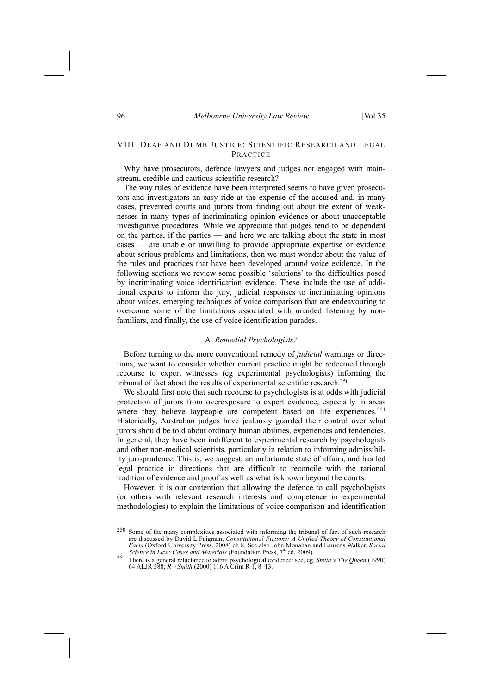# VIII DEAF AND DUMB JUSTICE: SCIENTIFIC RESEARCH AND LEGAL PRACTICE

Why have prosecutors, defence lawyers and judges not engaged with mainstream, credible and cautious scientific research?

The way rules of evidence have been interpreted seems to have given prosecutors and investigators an easy ride at the expense of the accused and, in many cases, prevented courts and jurors from finding out about the extent of weaknesses in many types of incriminating opinion evidence or about unacceptable investigative procedures. While we appreciate that judges tend to be dependent on the parties, if the parties  $-$  and here we are talking about the state in most cases — are unable or unwilling to provide appropriate expertise or evidence about serious problems and limitations, then we must wonder about the value of the rules and practices that have been developed around voice evidence. In the following sections we review some possible 'solutions' to the difficulties posed by incriminating voice identification evidence. These include the use of additional experts to inform the jury, judicial responses to incriminating opinions about voices, emerging techniques of voice comparison that are endeavouring to overcome some of the limitations associated with unaided listening by nonfamiliars, and finally, the use of voice identification parades.

#### A *Remedial Psychologists?*

Before turning to the more conventional remedy of *judicial* warnings or directions, we want to consider whether current practice might be redeemed through recourse to expert witnesses (eg experimental psychologists) informing the tribunal of fact about the results of experimental scientific research.<sup>250</sup>

We should first note that such recourse to psychologists is at odds with judicial protection of jurors from overexposure to expert evidence, especially in areas where they believe laypeople are competent based on life experiences.<sup>251</sup> Historically, Australian judges have jealously guarded their control over what jurors should be told about ordinary human abilities, experiences and tendencies. In general, they have been indifferent to experimental research by psychologists and other non-medical scientists, particularly in relation to informing admissibility jurisprudence. This is, we suggest, an unfortunate state of affairs, and has led legal practice in directions that are difficult to reconcile with the rational tradition of evidence and proof as well as what is known beyond the courts.

However, it is our contention that allowing the defence to call psychologists (or others with relevant research interests and competence in experimental methodologies) to explain the limitations of voice comparison and identification

<sup>250</sup> Some of the many complexities associated with informing the tribunal of fact of such research are discussed by David L Faigman, *Constitutional Fictions: A Unified Theory of Constitutional Facts* (Oxford University Press, 2008) ch 8. See also John Monahan and Laurens Walker, *Social Science in Law: Cases and Materials* (Foundation Press, 7<sup>th</sup> ed, 2009). Science in Law: Cases and Materials (Foundation Press,  $7^{\text{th}}$  ed, 2009).<br><sup>251</sup> There is a general reluctance to admit psychological evidence: see, eg, *Smith v The Queen* (1990)

<sup>64</sup> ALJR 588; *R v Smith* (2000) 116 A Crim R 1, 8-13.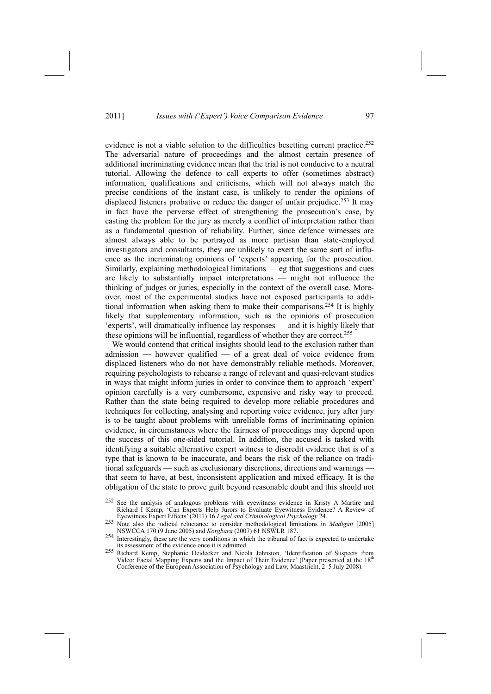evidence is not a viable solution to the difficulties besetting current practice.<sup>252</sup> The adversarial nature of proceedings and the almost certain presence of additional incriminating evidence mean that the trial is not conducive to a neutral tutorial. Allowing the defence to call experts to offer (sometimes abstract) information, qualifications and criticisms, which will not always match the precise conditions of the instant case, is unlikely to render the opinions of displaced listeners probative or reduce the danger of unfair prejudice.<sup>253</sup> It may in fact have the perverse effect of strengthening the prosecution's case, by casting the problem for the jury as merely a conflict of interpretation rather than as a fundamental question of reliability. Further, since defence witnesses are almost always able to be portrayed as more partisan than state-employed investigators and consultants, they are unlikely to exert the same sort of influence as the incriminating opinions of 'experts' appearing for the prosecution. Similarly, explaining methodological limitations  $-$  eg that suggestions and cues are likely to substantially impact interpretations  $-$  might not influence the thinking of judges or juries, especially in the context of the overall case. Moreover, most of the experimental studies have not exposed participants to additional information when asking them to make their comparisons.254 It is highly likely that supplementary information, such as the opinions of prosecution 'experts', will dramatically influence lay responses — and it is highly likely that these opinions will be influential, regardless of whether they are correct.255

We would contend that critical insights should lead to the exclusion rather than admission  $-$  however qualified  $-$  of a great deal of voice evidence from displaced listeners who do not have demonstrably reliable methods. Moreover, requiring psychologists to rehearse a range of relevant and quasi-relevant studies in ways that might inform juries in order to convince them to approach 'expert' opinion carefully is a very cumbersome, expensive and risky way to proceed. Rather than the state being required to develop more reliable procedures and techniques for collecting, analysing and reporting voice evidence, jury after jury is to be taught about problems with unreliable forms of incriminating opinion evidence, in circumstances where the fairness of proceedings may depend upon the success of this one-sided tutorial. In addition, the accused is tasked with identifying a suitable alternative expert witness to discredit evidence that is of a type that is known to be inaccurate, and bears the risk of the reliance on traditional safeguards — such as exclusionary discretions, directions and warnings that seem to have, at best, inconsistent application and mixed efficacy. It is the obligation of the state to prove guilt beyond reasonable doubt and this should not

- 252 See the analysis of analogous problems with eyewitness evidence in Kristy A Martire and Richard I Kemp, 'Can Experts Help Jurors to Evaluate Eyewitness Evidence? A Review of Eyewitness Expert Effects[ (2011) 16 *Legal and Criminological Psychology* 24.
- 253 Note also the judicial reluctance to consider methodological limitations in *Madigan* [2005]
- NSWCCA 170 (9 June 2005) and *Korgbara* (2007) 61 NSWLR 187. 254 Interestingly, these are the very conditions in which the tribunal of fact is expected to undertake its assessment of the evidence once it is admitted.
- <sup>255</sup> Richard Kemp, Stephanie Heidecker and Nicola Johnston, 'Identification of Suspects from Video: Facial Mapping Experts and the Impact of Their Evidence' (Paper presented at the 18<sup>th</sup> Conference of the European Association of Psychology and Law, Maastricht, 2–5 July 2008).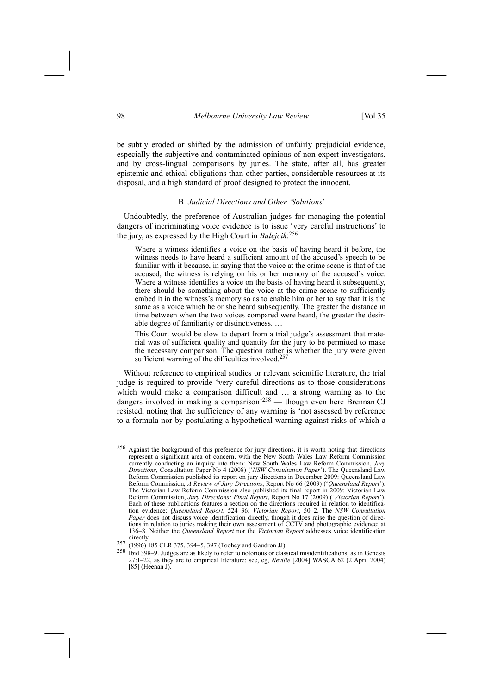be subtly eroded or shifted by the admission of unfairly prejudicial evidence, especially the subjective and contaminated opinions of non-expert investigators, and by cross-lingual comparisons by juries. The state, after all, has greater epistemic and ethical obligations than other parties, considerable resources at its disposal, and a high standard of proof designed to protect the innocent.

#### B *Judicial Directions and Other 'Solutions'*

Undoubtedly, the preference of Australian judges for managing the potential dangers of incriminating voice evidence is to issue 'very careful instructions' to the jury, as expressed by the High Court in *Bulejcik*: 256

Where a witness identifies a voice on the basis of having heard it before, the witness needs to have heard a sufficient amount of the accused's speech to be familiar with it because, in saying that the voice at the crime scene is that of the accused, the witness is relying on his or her memory of the accused's voice. Where a witness identifies a voice on the basis of having heard it subsequently, there should be something about the voice at the crime scene to sufficiently embed it in the witness's memory so as to enable him or her to say that it is the same as a voice which he or she heard subsequently. The greater the distance in time between when the two voices compared were heard, the greater the desirable degree of familiarity or distinctiveness.  $\ldots$ 

This Court would be slow to depart from a trial judge's assessment that material was of sufficient quality and quantity for the jury to be permitted to make the necessary comparison. The question rather is whether the jury were given sufficient warning of the difficulties involved.<sup>257</sup>

Without reference to empirical studies or relevant scientific literature, the trial judge is required to provide 'very careful directions as to those considerations which would make a comparison difficult and ... a strong warning as to the dangers involved in making a comparison<sup>258</sup> — though even here Brennan CJ resisted, noting that the sufficiency of any warning is 'not assessed by reference to a formula nor by postulating a hypothetical warning against risks of which a

<sup>256</sup> Against the background of this preference for jury directions, it is worth noting that directions represent a significant area of concern, with the New South Wales Law Reform Commission currently conducting an inquiry into them: New South Wales Law Reform Commission, *Jury Directions*, Consultation Paper No 4 (2008) ('NSW Consultation Paper'). The Queensland Law Reform Commission published its report on jury directions in December 2009: Queensland Law Reform Commission, *A Review of Jury Directions*, Report No 66 (2009) ('Queensland Report'). The Victorian Law Reform Commission also published its final report in 2009: Victorian Law Reform Commission, *Jury Directions: Final Report*, Report No 17<sup>'</sup>(2009) ('Victorian Report'). Each of these publications features a section on the directions required in relation to identification evidence: *Queensland Report*, 524-36; *Victorian Report*, 50-2. The *NSW Consultation Paper* does not discuss voice identification directly, though it does raise the question of directions in relation to juries making their own assessment of CCTV and photographic evidence: at 136n8. Neither the *Queensland Report* nor the *Victorian Report* addresses voice identification

directly.<br>257 (1996) 185 CLR 375, 394–5, 397 (Toohey and Gaudron JJ).<br>258 Ibid 398–9. Judges are as likely to refer to notorious or classical misidentifications, as in Genesis 27:1-22, as they are to empirical literature: see, eg, *Neville* [2004] WASCA 62 (2 April 2004) [85] (Heenan J).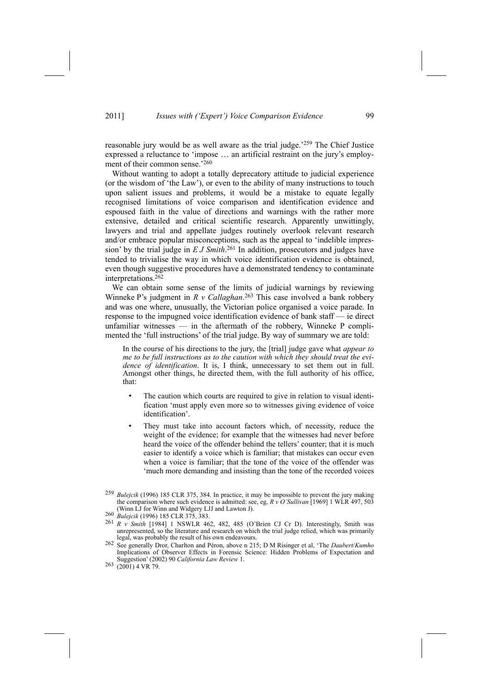reasonable jury would be as well aware as the trial judge.<sup> $259$ </sup> The Chief Justice expressed a reluctance to 'impose ... an artificial restraint on the jury's employment of their common sense. $260$ 

Without wanting to adopt a totally deprecatory attitude to judicial experience (or the wisdom of 'the Law'), or even to the ability of many instructions to touch upon salient issues and problems, it would be a mistake to equate legally recognised limitations of voice comparison and identification evidence and espoused faith in the value of directions and warnings with the rather more extensive, detailed and critical scientific research. Apparently unwittingly, lawyers and trial and appellate judges routinely overlook relevant research and/or embrace popular misconceptions, such as the appeal to 'indelible impression' by the trial judge in  $E J S$ mith.<sup>261</sup> In addition, prosecutors and judges have tended to trivialise the way in which voice identification evidence is obtained, even though suggestive procedures have a demonstrated tendency to contaminate interpretations.262

We can obtain some sense of the limits of judicial warnings by reviewing Winneke P's judgment in  $R$  *v Callaghan*.<sup>263</sup> This case involved a bank robbery and was one where, unusually, the Victorian police organised a voice parade. In response to the impugned voice identification evidence of bank staff  $-$  ie direct unfamiliar witnesses  $\frac{d}{dx}$  in the aftermath of the robbery, Winneke P complimented the 'full instructions' of the trial judge. By way of summary we are told:

In the course of his directions to the jury, the [trial] judge gave what *appear to me to be full instructions as to the caution with which they should treat the evidence of identification*. It is, I think, unnecessary to set them out in full. Amongst other things, he directed them, with the full authority of his office, that:

- The caution which courts are required to give in relation to visual identification 'must apply even more so to witnesses giving evidence of voice identification'.
- They must take into account factors which, of necessity, reduce the weight of the evidence; for example that the witnesses had never before heard the voice of the offender behind the tellers' counter; that it is much easier to identify a voice which is familiar; that mistakes can occur even when a voice is familiar; that the tone of the voice of the offender was much more demanding and insisting than the tone of the recorded voices

<sup>259</sup> *Bulejcik* (1996) 185 CLR 375, 384. In practice, it may be impossible to prevent the jury making the comparison where such evidence is admitted: see, eg, *R v O* Sullivan [1969] 1 WLR 497, 503 (Winn LJ for Winn and Widgery LJJ and Lawton J).

<sup>260</sup> *Bulejcik* (1996) 185 CLR 375, 383.<br>
<sup>261</sup> *R v Smith* [1984] 1 NSWLR 462, 482, 485 (O'Brien CJ Cr D). Interestingly, Smith was unrepresented, so the literature and research on which the trial judge relied, which was primarily

legal, was probably the result of his own endeavours.<br><sup>262</sup> See generally Dror, Charlton and Péron, above n 215; D M Risinger et al, 'The *Daubert*/*Kumho* Implications of Observer Effects in Forensic Science: Hidden Problems of Expectation and Suggestion[ (2002) 90 *California Law Review* 1.

 $263$  (2001) 4 VR 79.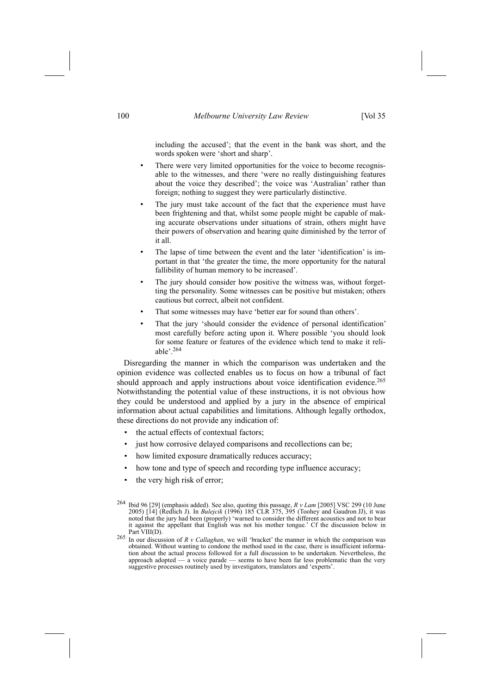including the accused'; that the event in the bank was short, and the words spoken were 'short and sharp'.

- There were very limited opportunities for the voice to become recognisable to the witnesses, and there 'were no really distinguishing features about the voice they described'; the voice was 'Australian' rather than foreign; nothing to suggest they were particularly distinctive.
- The jury must take account of the fact that the experience must have been frightening and that, whilst some people might be capable of making accurate observations under situations of strain, others might have their powers of observation and hearing quite diminished by the terror of it all.
- The lapse of time between the event and the later 'identification' is important in that 'the greater the time, the more opportunity for the natural fallibility of human memory to be increased'.
- The jury should consider how positive the witness was, without forgetting the personality. Some witnesses can be positive but mistaken; others cautious but correct, albeit not confident.
- That some witnesses may have 'better ear for sound than others'.
- That the jury 'should consider the evidence of personal identification' most carefully before acting upon it. Where possible 'you should look for some feature or features of the evidence which tend to make it reliable $^{\prime}$ .<sup>264</sup>

Disregarding the manner in which the comparison was undertaken and the opinion evidence was collected enables us to focus on how a tribunal of fact should approach and apply instructions about voice identification evidence.<sup>265</sup> Notwithstanding the potential value of these instructions, it is not obvious how they could be understood and applied by a jury in the absence of empirical information about actual capabilities and limitations. Although legally orthodox, these directions do not provide any indication of:

- the actual effects of contextual factors;
- just how corrosive delayed comparisons and recollections can be;
- how limited exposure dramatically reduces accuracy;
- how tone and type of speech and recording type influence accuracy;
- the very high risk of error;

<sup>264</sup> Ibid 96 [29] (emphasis added). See also, quoting this passage, *R v Lam* [2005] VSC 299 (10 June 2005) [14] (Redlich J). In *Bulejcik* (1996) 185 CLR 375, 395 (Toohey and Gaudron JJ), it was noted that the jury had been (properly) 'warned to consider the different acoustics and not to bear it against the appellant that English was not his mother tongue.' Cf the discussion below in Part VIII(D)

 $265$  In our discussion of *R v Callaghan*, we will 'bracket' the manner in which the comparison was obtained. Without wanting to condone the method used in the case, there is insufficient information about the actual process followed for a full discussion to be undertaken. Nevertheless, the approach adopted  $-$  a voice parade  $-$  seems to have been far less problematic than the very suggestive processes routinely used by investigators, translators and 'experts'.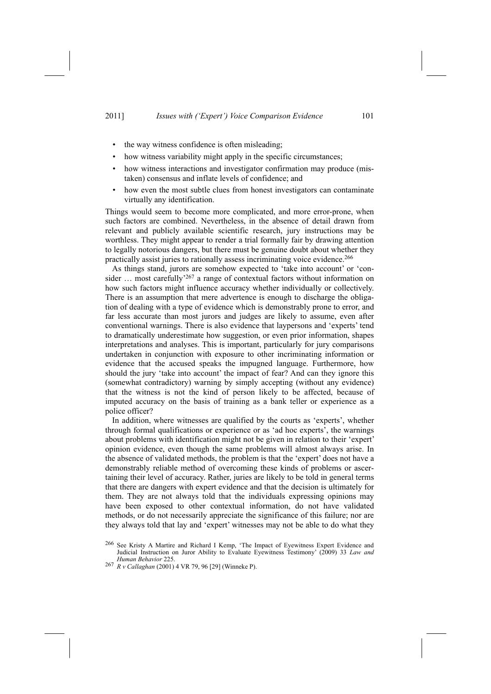- the way witness confidence is often misleading;
- how witness variability might apply in the specific circumstances;
- how witness interactions and investigator confirmation may produce (mistaken) consensus and inflate levels of confidence; and
- how even the most subtle clues from honest investigators can contaminate virtually any identification.

Things would seem to become more complicated, and more error-prone, when such factors are combined. Nevertheless, in the absence of detail drawn from relevant and publicly available scientific research, jury instructions may be worthless. They might appear to render a trial formally fair by drawing attention to legally notorious dangers, but there must be genuine doubt about whether they practically assist juries to rationally assess incriminating voice evidence.266

As things stand, jurors are somehow expected to 'take into account' or 'consider  $\ldots$  most carefully<sup>267</sup> a range of contextual factors without information on how such factors might influence accuracy whether individually or collectively. There is an assumption that mere advertence is enough to discharge the obligation of dealing with a type of evidence which is demonstrably prone to error, and far less accurate than most jurors and judges are likely to assume, even after conventional warnings. There is also evidence that laypersons and 'experts' tend to dramatically underestimate how suggestion, or even prior information, shapes interpretations and analyses. This is important, particularly for jury comparisons undertaken in conjunction with exposure to other incriminating information or evidence that the accused speaks the impugned language. Furthermore, how should the jury 'take into account' the impact of fear? And can they ignore this (somewhat contradictory) warning by simply accepting (without any evidence) that the witness is not the kind of person likely to be affected, because of imputed accuracy on the basis of training as a bank teller or experience as a police officer?

In addition, where witnesses are qualified by the courts as 'experts', whether through formal qualifications or experience or as 'ad hoc experts', the warnings about problems with identification might not be given in relation to their 'expert' opinion evidence, even though the same problems will almost always arise. In the absence of validated methods, the problem is that the 'expert' does not have a demonstrably reliable method of overcoming these kinds of problems or ascertaining their level of accuracy. Rather, juries are likely to be told in general terms that there are dangers with expert evidence and that the decision is ultimately for them. They are not always told that the individuals expressing opinions may have been exposed to other contextual information, do not have validated methods, or do not necessarily appreciate the significance of this failure; nor are they always told that lay and 'expert' witnesses may not be able to do what they

<sup>&</sup>lt;sup>266</sup> See Kristy A Martire and Richard I Kemp, 'The Impact of Eyewitness Expert Evidence and Judicial Instruction on Juror Ability to Evaluate Eyewitness Testimony' (2009) 33 *Law and Human Behavior* 225.

<sup>267</sup> *R v Callaghan* (2001) 4 VR 79, 96 [29] (Winneke P).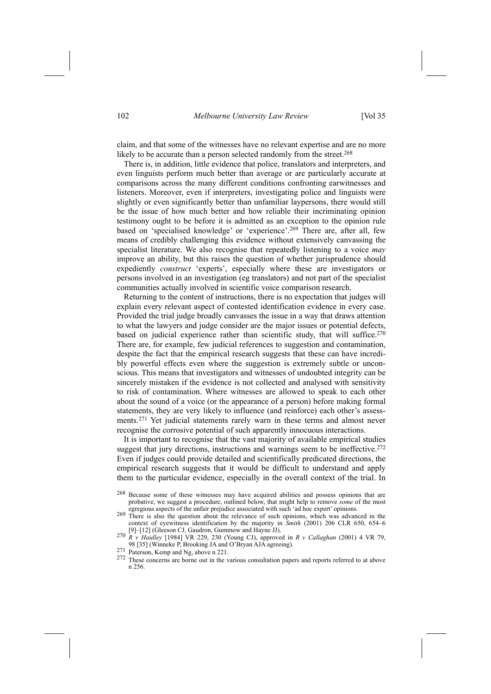claim, and that some of the witnesses have no relevant expertise and are no more likely to be accurate than a person selected randomly from the street.<sup>268</sup>

There is, in addition, little evidence that police, translators and interpreters, and even linguists perform much better than average or are particularly accurate at comparisons across the many different conditions confronting earwitnesses and listeners. Moreover, even if interpreters, investigating police and linguists were slightly or even significantly better than unfamiliar laypersons, there would still be the issue of how much better and how reliable their incriminating opinion testimony ought to be before it is admitted as an exception to the opinion rule based on 'specialised knowledge' or 'experience'.<sup>269</sup> There are, after all, few means of credibly challenging this evidence without extensively canvassing the specialist literature. We also recognise that repeatedly listening to a voice *may* improve an ability, but this raises the question of whether jurisprudence should expediently *construct* 'experts', especially where these are investigators or persons involved in an investigation (eg translators) and not part of the specialist communities actually involved in scientific voice comparison research.

Returning to the content of instructions, there is no expectation that judges will explain every relevant aspect of contested identification evidence in every case. Provided the trial judge broadly canvasses the issue in a way that draws attention to what the lawyers and judge consider are the major issues or potential defects, based on judicial experience rather than scientific study, that will suffice.<sup>270</sup> There are, for example, few judicial references to suggestion and contamination, despite the fact that the empirical research suggests that these can have incredibly powerful effects even where the suggestion is extremely subtle or unconscious. This means that investigators and witnesses of undoubted integrity can be sincerely mistaken if the evidence is not collected and analysed with sensitivity to risk of contamination. Where witnesses are allowed to speak to each other about the sound of a voice (or the appearance of a person) before making formal statements, they are very likely to influence (and reinforce) each other's assessments.271 Yet judicial statements rarely warn in these terms and almost never recognise the corrosive potential of such apparently innocuous interactions.

It is important to recognise that the vast majority of available empirical studies suggest that jury directions, instructions and warnings seem to be ineffective.<sup>272</sup> Even if judges could provide detailed and scientifically predicated directions, the empirical research suggests that it would be difficult to understand and apply them to the particular evidence, especially in the overall context of the trial. In

- 268 Because some of these witnesses may have acquired abilities and possess opinions that are probative, we suggest a procedure, outlined below, that might help to remove *some* of the most egregious aspects of the unfair prejudice associated with such 'ad hoc expert' opinions.
- 269 There is also the question about the relevance of such opinions, which was advanced in the context of eyewitness identification by the majority in  $\ddot{S}$ *mith* (2001) 206 CLR 650, 654–6 [9]–[12] (Gleeson CJ, Gaudron, Gummow and Hayne JJ).
- [9]n[12] (Gleeson CJ, Gaudron, Gummow and Hayne JJ). 270 *<sup>R</sup> <sup>v</sup> Haidley* [1984] VR 229, 230 (Young CJ), approved in *<sup>R</sup> <sup>v</sup> Callaghan* (2001) 4 VR 79,
- 
- 98 [35] (Winneke P, Brooking JA and O'Bryan AJA agreeing). 271 Paterson, Kemp and Ng, above n 221. 272 These concerns are borne out in the various consultation papers and reports referred to at above n 256.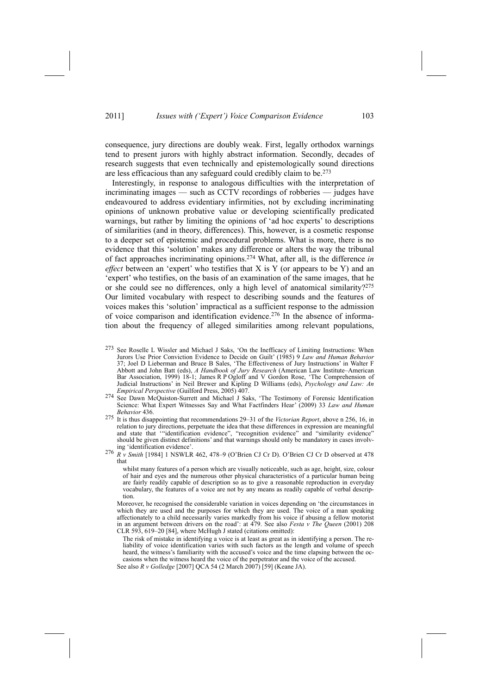consequence, jury directions are doubly weak. First, legally orthodox warnings tend to present jurors with highly abstract information. Secondly, decades of research suggests that even technically and epistemologically sound directions are less efficacious than any safeguard could credibly claim to be.273

Interestingly, in response to analogous difficulties with the interpretation of incriminating images  $-$  such as CCTV recordings of robberies  $-$  judges have endeavoured to address evidentiary infirmities, not by excluding incriminating opinions of unknown probative value or developing scientifically predicated warnings, but rather by limiting the opinions of 'ad hoc experts' to descriptions of similarities (and in theory, differences). This, however, is a cosmetic response to a deeper set of epistemic and procedural problems. What is more, there is no evidence that this 'solution' makes any difference or alters the way the tribunal of fact approaches incriminating opinions.274 What, after all, is the difference *in effect* between an 'expert' who testifies that X is Y (or appears to be Y) and an 'expert' who testifies, on the basis of an examination of the same images, that he or she could see no differences, only a high level of anatomical similarity?<sup>275</sup> Our limited vocabulary with respect to describing sounds and the features of voices makes this 'solution' impractical as a sufficient response to the admission of voice comparison and identification evidence.276 In the absence of information about the frequency of alleged similarities among relevant populations,

- <sup>273</sup> See Roselle L Wissler and Michael J Saks, 'On the Inefficacy of Limiting Instructions: When Jurors Use Prior Conviction Evidence to Decide on Guilt' (1985) 9 *Law and Human Behavior* 37; Joel D Lieberman and Bruce B Sales, 'The Effectiveness of Jury Instructions' in Walter F Abbott and John Batt (eds), *A Handbook of Jury Research* (American Law Institute–American Bar Association, 1999) 18-1; James R P Ogloff and V Gordon Rose, 'The Comprehension of Judicial Instructions' in Neil Brewer and Kipling D Williams (eds), *Psychology and Law: An Empirical Perspective* (Guilford Press, 2005) 407.
- **See Dawn McQuiston-Surrett and Michael J Saks, 'The Testimony of Forensic Identification** Science: What Expert Witnesses Say and What Factfinders Hear' (2009) 33 *Law and Human Behavior* 436.
- <sup>275</sup> It is thus disappointing that recommendations 29-31 of the *Victorian Report*, above n 256, 16, in relation to jury directions, perpetuate the idea that these differences in expression are meaningful and state that "identification evidence", "recognition evidence" and "similarity evidence" should be given distinct definitions' and that warnings should only be mandatory in cases involv-
- ing 'identification evidence'.<br>
<sup>276</sup> *R v Smith* [1984] 1 NSWLR 462, 478–9 (O'Brien CJ Cr D). O'Brien CJ Cr D observed at 478 that

whilst many features of a person which are visually noticeable, such as age, height, size, colour of hair and eyes and the numerous other physical characteristics of a particular human being are fairly readily capable of description so as to give a reasonable reproduction in everyday vocabulary, the features of a voice are not by any means as readily capable of verbal description.

Moreover, he recognised the considerable variation in voices depending on 'the circumstances in which they are used and the purposes for which they are used. The voice of a man speaking affectionately to a child necessarily varies markedly from his voice if abusing a fellow motorist in an argument between drivers on the road': at 479. See also *Festa v The Queen* (2001) 208 CLR 593, 619-20 [84], where McHugh J stated (citations omitted):

The risk of mistake in identifying a voice is at least as great as in identifying a person. The reliability of voice identification varies with such factors as the length and volume of speech heard, the witness's familiarity with the accused's voice and the time elapsing between the occasions when the witness heard the voice of the perpetrator and the voice of the accused.

See also *R v Golledge* [2007] QCA 54 (2 March 2007) [59] (Keane JA).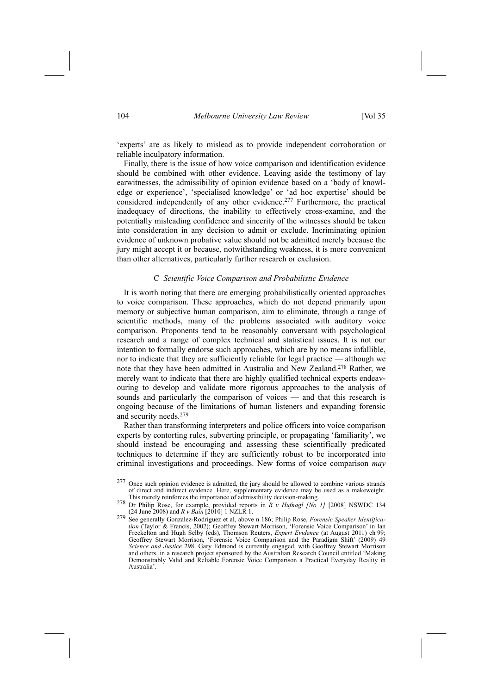'experts' are as likely to mislead as to provide independent corroboration or reliable inculpatory information.

Finally, there is the issue of how voice comparison and identification evidence should be combined with other evidence. Leaving aside the testimony of lay earwitnesses, the admissibility of opinion evidence based on a 'body of knowledge or experience', 'specialised knowledge' or 'ad hoc expertise' should be considered independently of any other evidence.<sup>277</sup> Furthermore, the practical inadequacy of directions, the inability to effectively cross-examine, and the potentially misleading confidence and sincerity of the witnesses should be taken into consideration in any decision to admit or exclude. Incriminating opinion evidence of unknown probative value should not be admitted merely because the jury might accept it or because, notwithstanding weakness, it is more convenient than other alternatives, particularly further research or exclusion.

## C *Scientific Voice Comparison and Probabilistic Evidence*

It is worth noting that there are emerging probabilistically oriented approaches to voice comparison. These approaches, which do not depend primarily upon memory or subjective human comparison, aim to eliminate, through a range of scientific methods, many of the problems associated with auditory voice comparison. Proponents tend to be reasonably conversant with psychological research and a range of complex technical and statistical issues. It is not our intention to formally endorse such approaches, which are by no means infallible, nor to indicate that they are sufficiently reliable for legal practice — although we note that they have been admitted in Australia and New Zealand.278 Rather, we merely want to indicate that there are highly qualified technical experts endeavouring to develop and validate more rigorous approaches to the analysis of sounds and particularly the comparison of voices — and that this research is ongoing because of the limitations of human listeners and expanding forensic and security needs.279

Rather than transforming interpreters and police officers into voice comparison experts by contorting rules, subverting principle, or propagating 'familiarity', we should instead be encouraging and assessing these scientifically predicated techniques to determine if they are sufficiently robust to be incorporated into criminal investigations and proceedings. New forms of voice comparison *may*

<sup>&</sup>lt;sup>277</sup> Once such opinion evidence is admitted, the jury should be allowed to combine various strands of direct and indirect evidence. Here, supplementary evidence may be used as a makeweight.<br>This merely reinforces the importance of admissibility decision-making.

This merely reinforces the importance of admissibility decision-making. 278 Dr Philip Rose, for example, provided reports in *<sup>R</sup> <sup>v</sup> Hufnagl [No 1]* [2008] NSWDC 134

<sup>(24</sup> June 2008) and *R v Bain* [2010] 1 NZLR 1. <sup>279</sup> See generally Gonzalez-Rodriguez et al, above n 186; Philip Rose, *Forensic Speaker Identifica*tion (Taylor & Francis, 2002); Geoffrey Stewart Morrison, 'Forensic Voice Comparison' in Ian Freckelton and Hugh Selby (eds), Thomson Reuters, *Expert Evidence* (at August 2011) ch 99; Geoffrey Stewart Morrison, 'Forensic Voice Comparison and the Paradigm Shift' (2009) 49 *Science and Justice* 298. Gary Edmond is currently engaged, with Geoffrey Stewart Morrison and others, in a research project sponsored by the Australian Research Council entitled 'Making Demonstrably Valid and Reliable Forensic Voice Comparison a Practical Everyday Reality in Australia<sup>'</sup>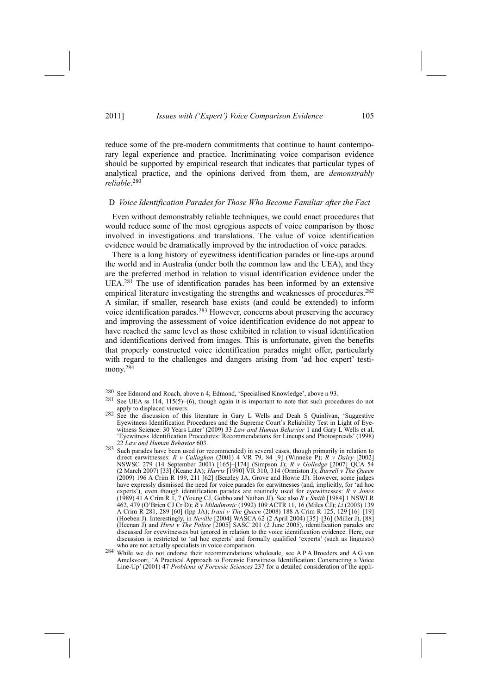reduce some of the pre-modern commitments that continue to haunt contemporary legal experience and practice. Incriminating voice comparison evidence should be supported by empirical research that indicates that particular types of analytical practice, and the opinions derived from them, are *demonstrably reliable*. 280

### D *Voice Identification Parades for Those Who Become Familiar after the Fact*

Even without demonstrably reliable techniques, we could enact procedures that would reduce some of the most egregious aspects of voice comparison by those involved in investigations and translations. The value of voice identification evidence would be dramatically improved by the introduction of voice parades.

There is a long history of eyewitness identification parades or line-ups around the world and in Australia (under both the common law and the UEA), and they are the preferred method in relation to visual identification evidence under the UEA.281 The use of identification parades has been informed by an extensive empirical literature investigating the strengths and weaknesses of procedures.<sup>282</sup> A similar, if smaller, research base exists (and could be extended) to inform voice identification parades.283 However, concerns about preserving the accuracy and improving the assessment of voice identification evidence do not appear to have reached the same level as those exhibited in relation to visual identification and identifications derived from images. This is unfortunate, given the benefits that properly constructed voice identification parades might offer, particularly with regard to the challenges and dangers arising from 'ad hoc expert' testimony.<sup>284</sup>

- <sup>280</sup> See Edmond and Roach, above n 4; Edmond, 'Specialised Knowledge', above n 93.<br><sup>281</sup> See UEA ss 114, 115(5)–(6), though again it is important to note that such procedures do not<br>apply to displaced viewers.
- $282$  See the discussion of this literature in Gary L Wells and Deah S Quinlivan, Suggestive Eyewitness Identification Procedures and the Supreme Court's Reliability Test in Light of Eyewitness Science: 30 Years Later' (2009) 33 *Law and Human Behavior* 1 and Gary L Wells et al. 'Eyewitness Identification Procedures: Recommendations for Lineups and Photospreads' (1998) 22 *Law and Human Behavior* 603.
- <sup>283</sup> Such parades have been used (or recommended) in several cases, though primarily in relation to direct earwitnesses: *R v Callaghan* (2001) 4 VR 79, 84 [9] (Winneke P); *R v Daley* [2002] NSWSC 279 (14 September 2001) [165]-[174] (Simpson J); *R v Golledge* [2007] QCA 54 (2 March 2007) [33] (Keane JA); *Harris* [1990] VR 310, 314 (Ormiston J); *Burrell v The Queen* (2009) 196 A Crim R 199, 211 [62] (Beazley JA, Grove and Howie JJ). However, some judges have expressly dismissed the need for voice parades for earwitnesses (and, implicitly, for 'ad hoc experts[), even though identification parades are routinely used for eyewitnesses: *R v Jones* (1989) 41 A Crim R 1, 7 (Young CJ, Gobbo and Nathan JJ). See also *R v Smith* [1984] 1 NSWLR 462, 479 (O[Brien CJ Cr D); *R v Miladinovic* (1992) 109 ACTR 11, 16 (Miles CJ); *Li* (2003) 139 A Crim R 281, 289 [60] (Ipp JA); *Irani v* The Queen (2008) 188 A Crim R 125, 129 [16]-[19] (Hoeben J). Interestingly, in *Neville* [2004] WASCA 62 (2 April 2004) [35]-[36] (Miller J), [88] (Heenan J) and *Hirst v The Police* [2005] SASC 201 (2 June 2005), identification parades are discussed for eyewitnesses but ignored in relation to the voice identification evidence. Here, our discussion is restricted to 'ad hoc experts' and formally qualified 'experts' (such as linguists) who are not actually specialists in voice comparison.
- 284 While we do not endorse their recommendations wholesale, see A P A Broeders and A G van Amelsvoort, 'A Practical Approach to Forensic Earwitness Identification: Constructing a Voice Line-Up[ (2001) 47 *Problems of Forensic Sciences* 237 for a detailed consideration of the appli-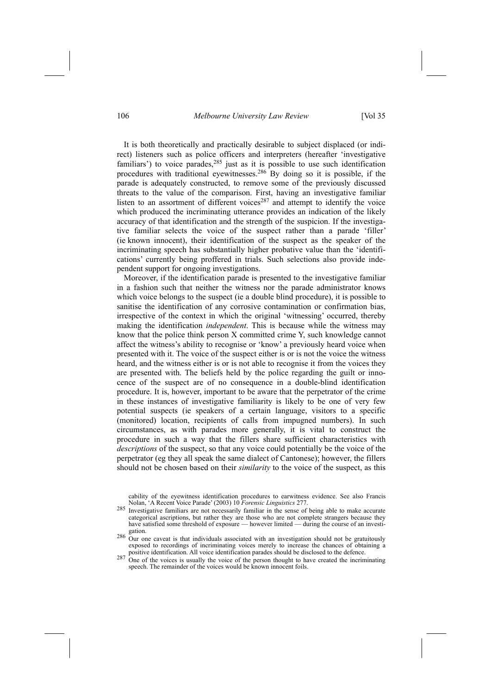### 106 *Melbourne University Law Review* [Vol 35

It is both theoretically and practically desirable to subject displaced (or indirect) listeners such as police officers and interpreters (hereafter 'investigative familiars') to voice parades, $285$  just as it is possible to use such identification procedures with traditional eyewitnesses.286 By doing so it is possible, if the parade is adequately constructed, to remove some of the previously discussed threats to the value of the comparison. First, having an investigative familiar listen to an assortment of different voices<sup>287</sup> and attempt to identify the voice which produced the incriminating utterance provides an indication of the likely accuracy of that identification and the strength of the suspicion. If the investigative familiar selects the voice of the suspect rather than a parade 'filler' (ie known innocent), their identification of the suspect as the speaker of the incriminating speech has substantially higher probative value than the 'identifications' currently being proffered in trials. Such selections also provide independent support for ongoing investigations.

Moreover, if the identification parade is presented to the investigative familiar in a fashion such that neither the witness nor the parade administrator knows which voice belongs to the suspect (ie a double blind procedure), it is possible to sanitise the identification of any corrosive contamination or confirmation bias, irrespective of the context in which the original 'witnessing' occurred, thereby making the identification *independent*. This is because while the witness may know that the police think person X committed crime Y, such knowledge cannot affect the witness's ability to recognise or 'know' a previously heard voice when presented with it. The voice of the suspect either is or is not the voice the witness heard, and the witness either is or is not able to recognise it from the voices they are presented with. The beliefs held by the police regarding the guilt or innocence of the suspect are of no consequence in a double-blind identification procedure. It is, however, important to be aware that the perpetrator of the crime in these instances of investigative familiarity is likely to be one of very few potential suspects (ie speakers of a certain language, visitors to a specific (monitored) location, recipients of calls from impugned numbers). In such circumstances, as with parades more generally, it is vital to construct the procedure in such a way that the fillers share sufficient characteristics with *descriptions* of the suspect, so that any voice could potentially be the voice of the perpetrator (eg they all speak the same dialect of Cantonese); however, the fillers should not be chosen based on their *similarity* to the voice of the suspect, as this

cability of the eyewitness identification procedures to earwitness evidence. See also Francis Nolan, 'A Recent Voice Parade' (2003) 10 *Forensic Linguistics* 277.

<sup>&</sup>lt;sup>285</sup> Investigative familiars are not necessarily familiar in the sense of being able to make accurate categorical ascriptions, but rather they are those who are not complete strangers because they have satisfied some threshold of exposure — however limited — during the course of an investi-

gation.<br><sup>286</sup> Our one caveat is that individuals associated with an investigation should not be gratuitously exposed to recordings of incriminating voices merely to increase the chances of obtaining a positive identification. All voice identification parades should be disclosed to the defence.

positive identification. All voice identification parades should be disclosed to the defence.  $287$  One of the voices is usually the voice of the person thought to have created the incriminating speech. The remainder of the voices would be known innocent foils.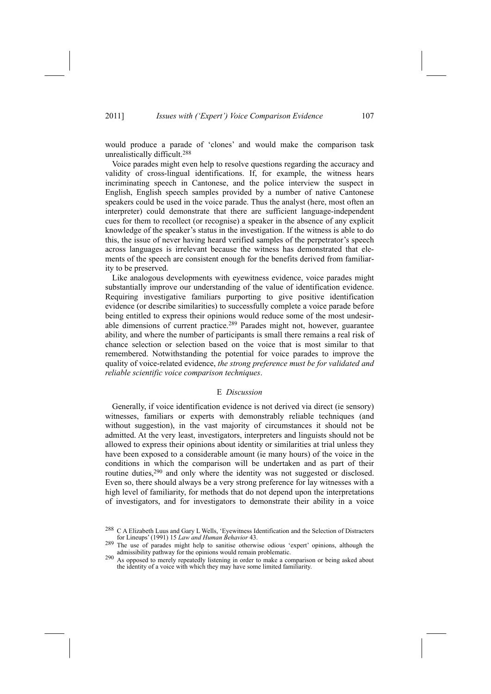would produce a parade of 'clones' and would make the comparison task unrealistically difficult.288

Voice parades might even help to resolve questions regarding the accuracy and validity of cross-lingual identifications. If, for example, the witness hears incriminating speech in Cantonese, and the police interview the suspect in English, English speech samples provided by a number of native Cantonese speakers could be used in the voice parade. Thus the analyst (here, most often an interpreter) could demonstrate that there are sufficient language-independent cues for them to recollect (or recognise) a speaker in the absence of any explicit knowledge of the speaker's status in the investigation. If the witness is able to do this, the issue of never having heard verified samples of the perpetrator's speech across languages is irrelevant because the witness has demonstrated that elements of the speech are consistent enough for the benefits derived from familiarity to be preserved.

Like analogous developments with eyewitness evidence, voice parades might substantially improve our understanding of the value of identification evidence. Requiring investigative familiars purporting to give positive identification evidence (or describe similarities) to successfully complete a voice parade before being entitled to express their opinions would reduce some of the most undesirable dimensions of current practice.289 Parades might not, however, guarantee ability, and where the number of participants is small there remains a real risk of chance selection or selection based on the voice that is most similar to that remembered. Notwithstanding the potential for voice parades to improve the quality of voice-related evidence, *the strong preference must be for validated and reliable scientific voice comparison techniques*.

## E *Discussion*

Generally, if voice identification evidence is not derived via direct (ie sensory) witnesses, familiars or experts with demonstrably reliable techniques (and without suggestion), in the vast majority of circumstances it should not be admitted. At the very least, investigators, interpreters and linguists should not be allowed to express their opinions about identity or similarities at trial unless they have been exposed to a considerable amount (ie many hours) of the voice in the conditions in which the comparison will be undertaken and as part of their routine duties,290 and only where the identity was not suggested or disclosed. Even so, there should always be a very strong preference for lay witnesses with a high level of familiarity, for methods that do not depend upon the interpretations of investigators, and for investigators to demonstrate their ability in a voice

<sup>&</sup>lt;sup>288</sup> C A Elizabeth Luus and Gary L Wells, 'Eyewitness Identification and the Selection of Distracters for Lineups[ (1991) 15 *Law and Human Behavior* 43.

<sup>289</sup> The use of parades might help to sanitise otherwise odious 'expert' opinions, although the admissibility pathway for the opinions would remain problematic.

<sup>&</sup>lt;sup>290</sup> As opposed to merely repeatedly listening in order to make a comparison or being asked about the identity of a voice with which they may have some limited familiarity.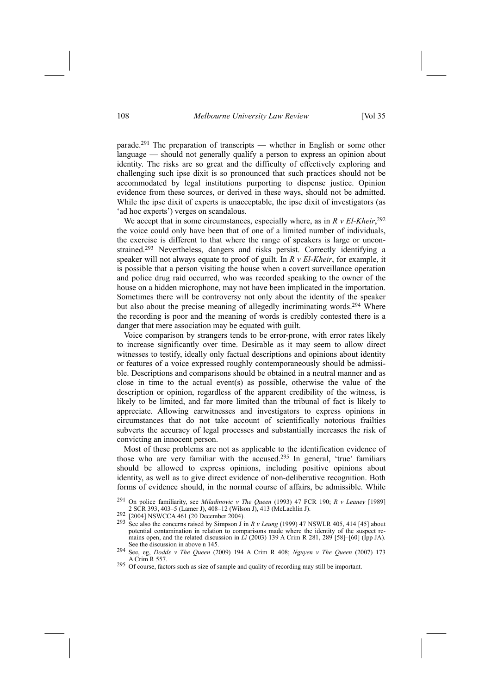parade.<sup>291</sup> The preparation of transcripts — whether in English or some other language — should not generally qualify a person to express an opinion about identity. The risks are so great and the difficulty of effectively exploring and challenging such ipse dixit is so pronounced that such practices should not be accommodated by legal institutions purporting to dispense justice. Opinion evidence from these sources, or derived in these ways, should not be admitted. While the ipse dixit of experts is unacceptable, the ipse dixit of investigators (as 'ad hoc experts') verges on scandalous.

We accept that in some circumstances, especially where, as in  $R$   $v$   $El$ - $Kh$ *eir*,  $292$ the voice could only have been that of one of a limited number of individuals, the exercise is different to that where the range of speakers is large or unconstrained.293 Nevertheless, dangers and risks persist. Correctly identifying a speaker will not always equate to proof of guilt. In *R v El-Kheir*, for example, it is possible that a person visiting the house when a covert surveillance operation and police drug raid occurred, who was recorded speaking to the owner of the house on a hidden microphone, may not have been implicated in the importation. Sometimes there will be controversy not only about the identity of the speaker but also about the precise meaning of allegedly incriminating words.<sup>294</sup> Where the recording is poor and the meaning of words is credibly contested there is a danger that mere association may be equated with guilt.

Voice comparison by strangers tends to be error-prone, with error rates likely to increase significantly over time. Desirable as it may seem to allow direct witnesses to testify, ideally only factual descriptions and opinions about identity or features of a voice expressed roughly contemporaneously should be admissible. Descriptions and comparisons should be obtained in a neutral manner and as close in time to the actual event(s) as possible, otherwise the value of the description or opinion, regardless of the apparent credibility of the witness, is likely to be limited, and far more limited than the tribunal of fact is likely to appreciate. Allowing earwitnesses and investigators to express opinions in circumstances that do not take account of scientifically notorious frailties subverts the accuracy of legal processes and substantially increases the risk of convicting an innocent person.

Most of these problems are not as applicable to the identification evidence of those who are very familiar with the accused.<sup>295</sup> In general, 'true' familiars should be allowed to express opinions, including positive opinions about identity, as well as to give direct evidence of non-deliberative recognition. Both forms of evidence should, in the normal course of affairs, be admissible. While

291 On police familiarity, see *Miladinovic v The Queen* (1993) 47 FCR 190; *R v Leaney* [1989]

292 [2004] NSWCCA 461 (20 December 2004).<br><sup>292</sup> [2004] NSWCCA 461 (20 December 2004).<br><sup>293</sup> See also the concerns raised by Simpson J in *R v Leung* (1999) 47 NSWLR 405, 414 [45] about potential contamination in relation to comparisons made where the identity of the suspect remains open, and the related discussion in  $\dot{Li}$  (2003) 139 A Crim R 281, 289 [58]-[60] (Ipp JA). See the discussion in above n 145.

<sup>294</sup> See, eg, *Dodds v The Queen* (2009) 194 A Crim R 408; *Nguyen v The Queen* (2007) 173 A Crim R 557.

<sup>295</sup> Of course, factors such as size of sample and quality of recording may still be important.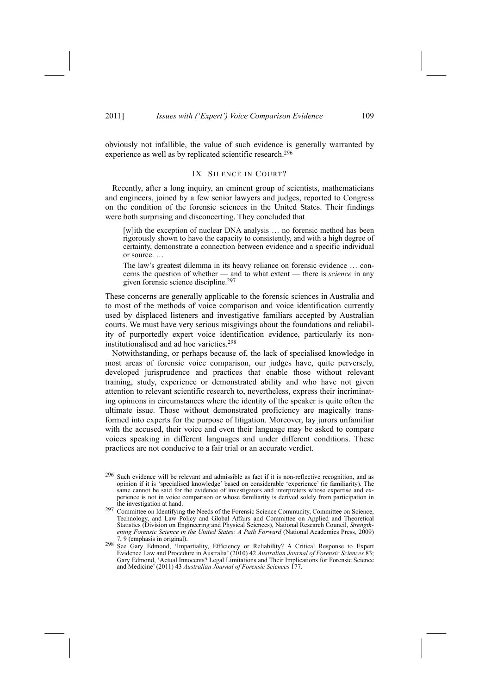obviously not infallible, the value of such evidence is generally warranted by experience as well as by replicated scientific research.<sup>296</sup>

## IX SILENCE IN COURT?

Recently, after a long inquiry, an eminent group of scientists, mathematicians and engineers, joined by a few senior lawyers and judges, reported to Congress on the condition of the forensic sciences in the United States. Their findings were both surprising and disconcerting. They concluded that

[w]ith the exception of nuclear DNA analysis ... no forensic method has been rigorously shown to have the capacity to consistently, and with a high degree of certainty, demonstrate a connection between evidence and a specific individual or source...

The law's greatest dilemma in its heavy reliance on forensic evidence ... concerns the question of whether — and to what extent — there is *science* in any given forensic science discipline.297

These concerns are generally applicable to the forensic sciences in Australia and to most of the methods of voice comparison and voice identification currently used by displaced listeners and investigative familiars accepted by Australian courts. We must have very serious misgivings about the foundations and reliability of purportedly expert voice identification evidence, particularly its noninstitutionalised and ad hoc varieties.298

Notwithstanding, or perhaps because of, the lack of specialised knowledge in most areas of forensic voice comparison, our judges have, quite perversely, developed jurisprudence and practices that enable those without relevant training, study, experience or demonstrated ability and who have not given attention to relevant scientific research to, nevertheless, express their incriminating opinions in circumstances where the identity of the speaker is quite often the ultimate issue. Those without demonstrated proficiency are magically transformed into experts for the purpose of litigation. Moreover, lay jurors unfamiliar with the accused, their voice and even their language may be asked to compare voices speaking in different languages and under different conditions. These practices are not conducive to a fair trial or an accurate verdict.

<sup>296</sup> Such evidence will be relevant and admissible as fact if it is non-reflective recognition, and as opinion if it is 'specialised knowledge' based on considerable 'experience' (ie familiarity). The same cannot be said for the evidence of investigators and interpreters whose expertise and experience is not in voice comparison or whose familiarity is derived solely from participation in

<sup>297</sup> Committee on Identifying the Needs of the Forensic Science Community, Committee on Science Technology, and Law Policy and Global Affairs and Committee on Applied and Theoretical Statistics (Division on Engineering and Physical Sciences), National Research Council, *Strengthening Forensic Science in the United States: A Path Forward* (National Academies Press, 2009) 7, 9 (emphasis in original).

<sup>298</sup> See Gary Edmond, 'Impartiality, Efficiency or Reliability? A Critical Response to Expert Evidence Law and Procedure in Australia' (2010) 42 *Australian Journal of Forensic Sciences* 83; Gary Edmond, 'Actual Innocents? Legal Limitations and Their Implications for Forensic Science and Medicine<sup> $\dot{}$ </sup> (2011) 43 *Australian Journal of Forensic Sciences* 177.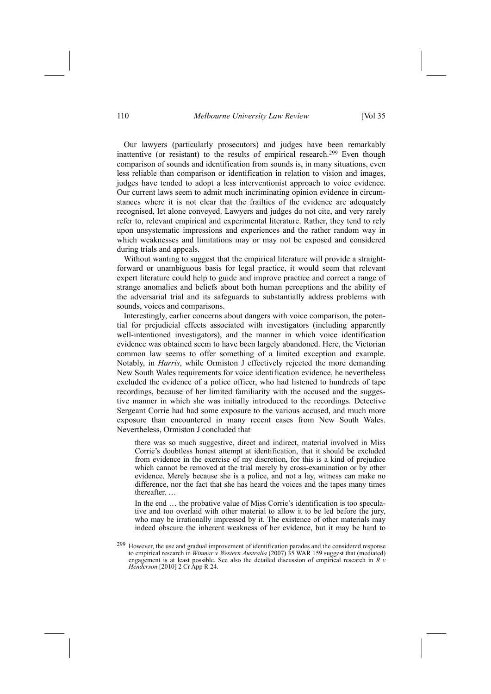#### 110 *Melbourne University Law Review* [Vol 35

Our lawyers (particularly prosecutors) and judges have been remarkably inattentive (or resistant) to the results of empirical research.<sup>299</sup> Even though comparison of sounds and identification from sounds is, in many situations, even less reliable than comparison or identification in relation to vision and images, judges have tended to adopt a less interventionist approach to voice evidence. Our current laws seem to admit much incriminating opinion evidence in circumstances where it is not clear that the frailties of the evidence are adequately recognised, let alone conveyed. Lawyers and judges do not cite, and very rarely refer to, relevant empirical and experimental literature. Rather, they tend to rely upon unsystematic impressions and experiences and the rather random way in which weaknesses and limitations may or may not be exposed and considered during trials and appeals.

Without wanting to suggest that the empirical literature will provide a straightforward or unambiguous basis for legal practice, it would seem that relevant expert literature could help to guide and improve practice and correct a range of strange anomalies and beliefs about both human perceptions and the ability of the adversarial trial and its safeguards to substantially address problems with sounds, voices and comparisons.

Interestingly, earlier concerns about dangers with voice comparison, the potential for prejudicial effects associated with investigators (including apparently well-intentioned investigators), and the manner in which voice identification evidence was obtained seem to have been largely abandoned. Here, the Victorian common law seems to offer something of a limited exception and example. Notably, in *Harris*, while Ormiston J effectively rejected the more demanding New South Wales requirements for voice identification evidence, he nevertheless excluded the evidence of a police officer, who had listened to hundreds of tape recordings, because of her limited familiarity with the accused and the suggestive manner in which she was initially introduced to the recordings. Detective Sergeant Corrie had had some exposure to the various accused, and much more exposure than encountered in many recent cases from New South Wales. Nevertheless, Ormiston J concluded that

there was so much suggestive, direct and indirect, material involved in Miss Corrie's doubtless honest attempt at identification, that it should be excluded from evidence in the exercise of my discretion, for this is a kind of prejudice which cannot be removed at the trial merely by cross-examination or by other evidence. Merely because she is a police, and not a lay, witness can make no difference, nor the fact that she has heard the voices and the tapes many times thereafter...

In the end  $\ldots$  the probative value of Miss Corrie's identification is too speculative and too overlaid with other material to allow it to be led before the jury, who may be irrationally impressed by it. The existence of other materials may indeed obscure the inherent weakness of her evidence, but it may be hard to

<sup>&</sup>lt;sup>299</sup> However, the use and gradual improvement of identification parades and the considered response to empirical research in *Winmar v Western Australia* (2007) 35 WAR 159 suggest that (mediated) engagement is at least possible. See also the detailed discussion of empirical research in *R v Henderson* [2010] 2 Cr App R 24.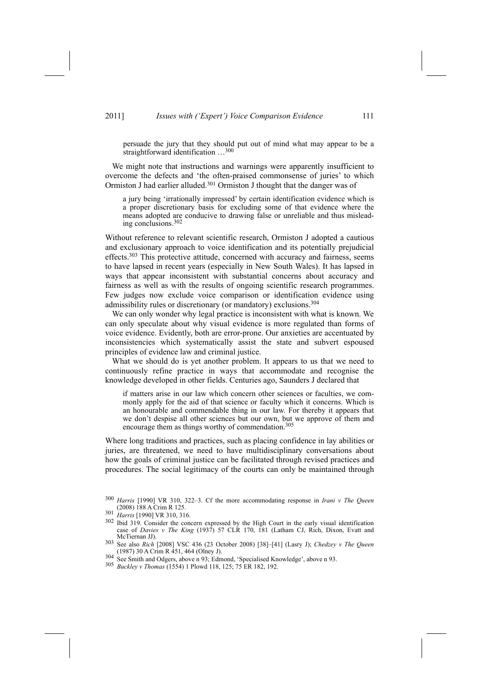persuade the jury that they should put out of mind what may appear to be a straightforward identification  $\dots^{300}$ 

We might note that instructions and warnings were apparently insufficient to overcome the defects and 'the often-praised commonsense of juries' to which Ormiston J had earlier alluded.301 Ormiston J thought that the danger was of

a jury being 'irrationally impressed' by certain identification evidence which is a proper discretionary basis for excluding some of that evidence where the means adopted are conducive to drawing false or unreliable and thus misleading conclusions.302

Without reference to relevant scientific research, Ormiston J adopted a cautious and exclusionary approach to voice identification and its potentially prejudicial effects.<sup>303</sup> This protective attitude, concerned with accuracy and fairness, seems to have lapsed in recent years (especially in New South Wales). It has lapsed in ways that appear inconsistent with substantial concerns about accuracy and fairness as well as with the results of ongoing scientific research programmes. Few judges now exclude voice comparison or identification evidence using admissibility rules or discretionary (or mandatory) exclusions.304

We can only wonder why legal practice is inconsistent with what is known. We can only speculate about why visual evidence is more regulated than forms of voice evidence. Evidently, both are error-prone. Our anxieties are accentuated by inconsistencies which systematically assist the state and subvert espoused principles of evidence law and criminal justice.

What we should do is yet another problem. It appears to us that we need to continuously refine practice in ways that accommodate and recognise the knowledge developed in other fields. Centuries ago, Saunders J declared that

if matters arise in our law which concern other sciences or faculties, we commonly apply for the aid of that science or faculty which it concerns. Which is an honourable and commendable thing in our law. For thereby it appears that we don't despise all other sciences but our own, but we approve of them and encourage them as things worthy of commendation.<sup>305</sup>

Where long traditions and practices, such as placing confidence in lay abilities or juries, are threatened, we need to have multidisciplinary conversations about how the goals of criminal justice can be facilitated through revised practices and procedures. The social legitimacy of the courts can only be maintained through

<sup>&</sup>lt;sup>300</sup> *Harris* [1990] VR 310, 322-3. Cf the more accommodating response in *Irani v The Queen* (2008) 188 A Crim R 125.

<sup>(2008) 188</sup> A Crim R 125. 301 *Harris* [1990] VR 310, 316.

<sup>&</sup>lt;sup>302</sup> Ibid 319. Consider the concern expressed by the High Court in the early visual identification case of *Davies v The King* (1937) 57 CLR 170, 181 (Latham CJ, Rich, Dixon, Evatt and

McTiernan JJ).<br><sup>303</sup> See also *Rich* [2008] VSC 436 (23 October 2008) [38]-[41] (Lasry J); *Chedzey v The Queen* (1987) 30 A Crim R 451, 464 (Olney J).<br><sup>304</sup> See Smith and Odgers, above n 93; Edmond, 'Specialised Knowledge', above n 93.<br><sup>305</sup> *Buckley v Thomas* (1554) 1 Plowd 118, 125; 75 ER 182, 192.